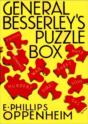# **GENERAI** BESSERI EY'S PUZZLE **BOX**  $E$ **PHILLIPS** OPPENHEIM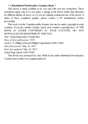#### **\* A Distributed Proofreaders Canada eBook \***

This ebook is made available at no cost and with very few restrictions. These restrictions apply only if (1) you make a change in the ebook (other than alteration for different display devices), or (2) you are making commercial use of the ebook. If either of these conditions applies, please contact a FP administrator before proceeding.

This work is in the Canadian public domain, but may be under copyright in some countries. If you live outside Canada, check your country's copyright laws. IF THE BOOK IS UNDER COPYRIGHT IN YOUR COUNTRY, DO NOT DOWNLOAD OR REDISTRIBUTE THIS FILE.

*Title:* General Besserley's Puzzle Box

*Date of first publication:* 1935

*Author:* E. Phillips (Edward Phillips) Oppenheim (1866-1946)

*Date first posted:* Mar. 25, 2017

*Date last updated:* Mar. 25, 2017

Faded Page eBook #20170340

This ebook was produced by: Alex White & the online Distributed Proofreaders Canada team at http://www.pgdpcanada.net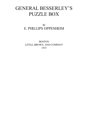## GENERAL BESSERLEY'S PUZZLE BOX

By E. PHILLIPS OPPENHEIM

BOSTON LITTLE, BROWN, AND COMPANY 1935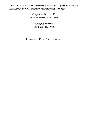Short stories from "GeneralBesserley's Puzzle Box" appeared in the *New York Herald Tribune*, *American Magazine* and *This Week*

> *Copyright, 1934, 1935*, BY LITTLE, BROWN, AND COMPANY

> > *All rights reserved* Published May, 1935

PRINTED IN THE UNITED STATES OF AMERICA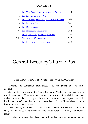#### **CONTENTS**

| I THE MAN WHO THOUGHT HE WAS A PAUPER               |     |
|-----------------------------------------------------|-----|
| II THE LADY IN THE GREY WIG                         | 43  |
| <b>III</b> THE MAN WHO HARNESSED THE LAWS OF CHANCE | 66  |
| <b>IV THE PHANTOM FLEET</b>                         | 101 |
| V THE DEVIL'S WIND                                  | 132 |
| VI THE MYSTERIOUS PIRANDETTIS                       | 162 |
| VII THE BUTTERFLY IN THE DEATH CHAMBER              | 190 |
| VIII GIANTS IN THE COUNTINGHOUSE                    | 217 |
| IX THE BRIDE OF THE SHINING HOUR                    | 238 |

### General Besserley's Puzzle Box

#### I THE MAN WHO THOUGHT HE WAS A PAUPER

"General," his companion pronounced, "you are getting fat. Too many cocktails."

General Besserley, late of the Secret Service at Washington and now a very popular member of Monaco society, glanced downwards at his slightly increasing outline. He was rather a fine figure of a man and his carriage was beyond reproach, but it was certainly true that there was sometimes a little difficulty about the two bottom buttons of his waistcoat.

"Gas, Nicolas," he confided. "I have spoken to the doctor once or twice about it lately. Not an ounce of fat anywhere. Gas—that's what it is. Purely a temporary affair."

The General proved that there was truth in his universal reputation as an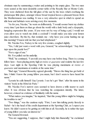obstinate man by summoning a waiter and pointing to his empty glass. The two men were seated at the most desirable corner table of the Royalty Bar at Monte Carlo. They were sheltered from the full glare of the sun by the trees which overhung the picturesque little place, amongst whose broad tropical leaves a pleasant breeze from the Mediterranean was rustling. It was a very attractive spot in which to spend an idle hour and habitués were arriving every few moments.

"As for you, Nicolas," he went on deliberately, "I would sooner burst my clothes every time I put them on than go about the world with a lank body and a dyspeptic, hangdog expression like yours. If you were not by way of being a pal, I would not even allow you to watch me drink a cocktail! I would make you take your lemon juice elsewhere. By-the-by, that reminds me—why have you come hunting me up this morning? Francis told me that you had telephoned."

Mr. Nicolas Fox, Nickey to his very few cronies, coughed slightly.

"Yes, I did just want a word with you, General," he acknowledged. "Any fresh taps upon the puzzle box?"

"Not a sign of one."

Mr. Fox pulled out his underlip.

"Well," he continued, "I am told you may have one before long. There is a young fellow here—been playing pretty high at *trente et quarante* and roulette the last few days. Last night in the Sporting Club he was playing maximums at *trente et quarante* and maximums at roulette at the same time."

"Bad sign," General Besserley agreed gloomily. "Shows the thing has got hold of him. I think I know the young fellow you mean, but I don't seem to have heard his name"

"Lavarie he calls himself. Guy Lavarie. I see he's got 'Bart.' after his name in the visitors' book in the Hôtel de Paris."

Mr. Nicolas Fox's narrow eyes seemed to have drawn a trifle nearer to each other. It was obvious that he was watching his companion intently. The latter, however, evinced no evidence of familiarity with the name.

"What makes you imagine," he inquired, "that this young fellow might be bringing his troubles to me?"

"Two things," was the cautious reply. "First, I saw him talking pretty fiercely to Sichel—he's the head of the credit department at the Sporting Club, as I expect you know. He didn't seem to be getting on with him at all. Secondly, he is rather the type of young fellow you take an interest in."

The General frowned.

"You are suggesting, I suppose, that I might help him financially," he exclaimed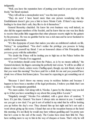indignantly.

"Well, you have the reputation here of putting your hand in your pocket pretty freely," his friend rejoined.

"They will call me a moneylender next," was the irate protest.

"They do now! I have heard more than one person wondering why the Establishment doesn't give you a hint to leave Monte Carlo. If there's any moneylending to be done that's safe, they like to do it themselves."

General Besserley chuckled. He knew his own business very well indeed, as also did the august members of the Société, and he knew that no one was less likely to receive that polite little suggestion that other pleasure resorts might be the gainers by his presence. He was no gambler but he was a rich man and he never hesitated to pay for his amusements.

"It's this dyspepsia of yours that makes you take an embittered outlook on life, Nickey," he sympathised. "You don't realise the privilege you possess in being entitled to call yourself my friend. I am an honoured citizen of this Principality and *persona grata* with the authorities."

"No doubt the Prince will be inviting you to high tea at the Palace before the season's over!" Nicolas Fox suggested.

"If an invitation should come from the Palace, as is by no means unlikely," the General declared, his fingers caressing his perfectly tied cravat, "it will be an affair of dinner at nine o'clock, orders worn. Chaffing apart, though, my sick friend, what is it that you want this morning? You have paid for a drink for me and you yourself have drunk two of those foul lemon juices. You must be expecting to get something out of  $\mathbf{r}$ "

"Because I don't throw my money away in reckless fashion and because I happen to have been a member of the legal profession, I believe you think that I am a miser," his companion grumbled.

"No more asides. Get along with it, Nicolas. I guess by the clumsy way you led up to it that you have something to say about this young fellow Lavarie."

"Singularly enough," Nicolas Fox admitted, with a great show of candour, "I have. It's just this, General. You know I always take an interest in you. I wouldn't see you get a raw deal. I've got it sort of settled in my mind that he will be looking you up before the day's over. They cleaned him up last night and he's not said a word about giving up his room. I found that out at the reception bureau at the hotel this morning. It's not likely he would stay here without gambling and I'm pretty sure that he's come to the end of the ready. The Casino have done their little bit. They have nothing more to say to him in the way of cheques or loans. That's why he will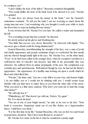be coming to you."

"I don't dislike the look of the fellow," Besserley remarked thoughtfully.

"You would dislike the look of his bank book if he showed it to you," Nicolas Fox grunted.

"A man does not always keep his money in the bank," was the General's sententious comment. "To tell you the truth, I am not worrying so much about the young man just now. I am wondering why you thought it worth your while to track me down here to stop my lending him any money."

It was obvious that Mr. Nicolas Fox was hurt. He called a waiter and demanded his bill.

"For everything except that last cocktail," he directed.

He slowly picked up his gloves and Homburg hat.

"You think that you are very clever, Besserley," he observed with dignity. "You can never give a friend credit for being disinterested."

General Besserley, notwithstanding the strength of his face, was a man of jovial and kindly appearance and people sometimes forgot or overlooked his firm mouth and the shrewd though kindly light in his eyes. Mr. Nicolas Fox, on the other hand, "Foxy" as he had been called in his younger days, when he occupied a position in a well-known firm of Lincoln's Inn lawyers, had little in his personality that was attractive. He suffered from an undue propinquity of his eyes. His complexion was certainly grey and unwholesome. Well tailored though he was, he had not his friend's appearance—the appearance of a healthy man looking out upon a world which he liked and which liked him.

"Nicolas," the latter said, "you are a cute fellow in your way, and honour bright, I do not dislike you or I would not be drinking with you. I would sooner keep friendly with you than have to make faces at you from the other side of the street. What you need is a little more candour. Why don't you want me to lend this young man money?"

"He will only lose it."

"Philanthropy, eh? That doesn't go with me, Nickey. Try again."

Mr. Fox shook his head.

"You are in one of your bright moods," he said, as he rose to his feet. "Your brain is overactive. Suspicions stand out of you like feelers on a hypersensitive insect. I shall leave you alone."

"It is the first time in my life," Samuel Besserley, who was six feet two and broad in proportion, declared, "that I have been likened to an insect!"

Mr. Nicolas Fox stuck on his hat at what he considered a jaunty angle.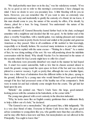"We shall probably meet later on in the day," was his valedictory remark. "If we do, be so good as not to refer to this morning's conversation. I have changed my mind. I have no desire to save you pecuniary loss. A little bleeding will do you no harm. However, you can remember this. If you want to take an extremely wise precautionary step and incidentally to gratify the curiosity of a friend, let me know, if this man should come to you, the nature of the security he offers, if he should, by chance, plead for a loan. So long, General. You understand—the nature of the security he offers."

He sauntered off. General Besserley leaned farther back in his chair, exchanged amenities with a neighbour and decided that life was good. At the farther end of the place a swarthy Neapolitan, with a tuneful guitar, was making pleasant and romantic music. Young women in pretty frocks bowed and smiled at the popular and generous American as they passed. Men in all conditions of life nodded to him knowingly, respectfully or in friendly fashion. He received many invitations to join other tables, to all of which he replied with the same excuse—"Waiting for a friend." As a matter of fact, he was doing nothing of the sort. He was still pondering about the indefinite conversation with his friend. Why should Nicolas Fox be interested in the nature of the security which Sir Guy Lavarie might have to offer for a loan?

His reflections were presently disturbed very much in the manner he had hoped for. A smart two-seater automobile, built so low that its chassis seemed almost to touch the ground, swung round the open space in front of the bar and was cleverly piloted to a narrow vacancy. A girl, so pretty that, although she was a familiar figure, there was a little buzz of admiration from the different tables in the place, sprang to the ground, followed by a young man who would himself have been good-looking enough if his face had possessed some of the healthy tan of his companion's. Both were in tennis kit and had evidently come straight from the courts. The girl laid her hand upon his arm.

"Behold," she pointed out, "there's Uncle Sam—the large, good-naturedlooking person with the carnation in his buttonhole, at the corner table."

The young man glanced with covert curiosity in the direction indicated.

"Why, he looks more like an English country gentleman than a millionaire likely to help a fellow out of a hole," he declared.

"The General is not a moneylender," the girl assured him, a little indignantly. "He is a very dear friend of mine. Everyone in Monte Carlo loves him. He gives good advice sometimes to young idiots like you, who gamble more than they can afford to, and he may offer them a loan now and then, but moneylenders are not allowed in the Principality. You ought to know that."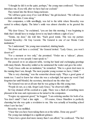"I thought he did it on the quiet, perhaps," the young man confessed. "You must introduce me, if you will, after we have had our cocktail."

They turned into the flower-hung enclosure.

"He will have gone away if we wait till then," the girl declared. "We will take our cocktails with him. Come along."

Her companion, a trifle unwillingly, was led to the table where Besserley was seated in solitary dignity. The latter's smile was almost cherubic as he greeted the girl.

"My dear Grace," he exclaimed, "you are late this morning. I was beginning to think that I should have to trudge down to my lunch without a sight of you."

"Tennis, my dear," she told him. "Such good tennis. This was my partner. General Besserley—Sir Guy Lavarie. The General is one of our Monte Carlo institutions."

"So I understand," the young man remarked, shaking hands.

"Sit down and have a cocktail," the General invited. "Lady Grace, you won't desert us?"

"For a moment or two only," she promised. "Order me a 'sidecar', please. There are one or two people I must speak to."

She passed on to an adjacent table, waving her hand and exchanging greetings with many friends. Besserley smiled as he summoned the waiter and gave his order.

"Lady Grace calls me an institution," he remarked. "She is a great deal more in the running than I am, though. The most popular young woman we have, I think."

"She is very charming," was the somewhat absent reply. "Plays a good game of tennis too. I used to know her when she was a schoolgirl, but upon my word I had forgotten her until Mendel, the secretary, introduced me the other day."

The General was not at all sure that he was going to like this young man.

"People do not, as a rule, forget Lady Grace," he observed stiffly.

Sir Guy drained off his cocktail at a gulp. There was a flash of something more pleasant in his tone and expression as he turned to his companion.

"Forgive my apparent greed," he begged. "I am ordering another for both of us. You don't mind? I had a late night. . . . Of course, Grace Shardlow is perfectly charming but she was quite a revelation to me. She was actually at boarding school when I saw her last."

Besserley was mollified.

"I hear that you have been taking them on at the tables. Done any good?"

The young man indulged in a significant grimace.

"I have lost a great deal more money than I can afford," he confessed. "The fact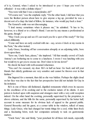of it is, General, when I asked to be introduced to you—I hope you won't be offended—it was with a definite object."

"You were told that I was a moneylender, eh?"

"Of course not," was the emphatic reply. "On the other hand, I did hear that you were the likeliest person about here to give anyone a leg up, provided he was a decent sort of a chap: the kind of fellow, for instance, who would pay back a loan."

The General's smile was not discouraging.

"I lend money sometimes when it pleases me," he admitted. "It has to be, however, to a friend or to a friend's friend. I am not by any means a professional at the game, though."

"May I look you up and see if I can touch you for a spot of the ready?" Sir Guy asked diffidently.

"Come and have an early cocktail with me—say, seven o'clock at my rooms in the Paris," the other invited.

Lady Grace, breaking off her conversation abruptly at an adjoining table, bore down upon them.

"Save me, Uncle Sam, please," she implored. "All that mouldy crowd of Uncle Antony's are bothering me to come to a luncheon. I swore I was lunching with you but would try to get you to excuse me. Don't dare to let me down!"

He shook his head with well-assumed reluctance.

"You can't be excused, my dear. Ré's in half an hour. Go back and tell your friends that elderly gentlemen are very sensitive and cannot be thrown over in that fashion"

She lingered for a moment, then did as she was bidden. Perhaps the slight cloud on her face was due to the fact that her prospective host did not include Sir Guy in his invitation.

Ré's is one of those old-fashioned, dignified restaurants which owes its success to the excellence of its cooking and to the exclusive nature of its clients. A new patron is looked upon with suspicion and strangers meet with a very cold reception indeed. On the other hand the cooking, personally supervised by the proprietor, is above criticism, and the bills for the same, personally supervised by his better half, account in some measure for its obvious lack of appeal to the general public. General Besserley and his guest, at a corner table in the window, talked of many things. Lady Grace, who had changed her tennis things for a cool, white linen frock and a fascinating béret, took her companion seriously to task on gastronomic matters.

"Uncle Sam," she said firmly, "your penchant for all these rich meals, especially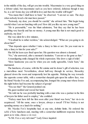in the middle of the day, will get you into trouble. Mayonnaise is a very good thing on a lobster salad, but mayonnaise such as you have ordered, delicious though it may be, is a sin! Some day you will fall in love and then the trouble will begin!"

"You mean that I shall have to bant," he observed. "I am not so sure. The days when nobody loved a fat man have passed."

"Seriously, my dear, you should be careful," she advised him. "But begin being careful when I am not lunching with you! How did you like my new young man?"

"He is personable," was the blunt admission, "but they say that he has been gambling very heavily and has no money. A young man like that is not much good to anybody, my dear."

She was silent for a few minutes.

"I'm afraid he is rather reckless," she acknowledged. "What are you going to do about him?"

"That depends upon whether I take a fancy to him or not. Do you want me to take a fancy to him for your sake?"

She felt his keen eyes fixed upon her. His question was almost a demand.

"No," she answered, after a moment's hesitation. "I am not so far gone as that."

A transfiguring smile changed his whole expression. She drew a sigh of relief.

"How handsome you can be when you are really agreeable, Uncle Sam," she murmured.

The luncheon, of course, with the Ré cuisine and its donor's gift of selection, was a marvellous meal. Nevertheless, about half-way through its service, Besserley glanced down the room and temporarily lost his appetite. Making his way towards the opposite corner table, with a somewhat sheepish grin upon his sallow face, was his friend Nicolas Fox and, accompanying him, lounged the young man whose losses the night before had become the subject of gossip!

"You see that?" the General pointed out.

His guest nodded and waved her hand.

"He told me he was probably lunching with a man who was a partner in the firm of lawyers his father used to employ," she confided.

"Nickey must have left the firm soon after your friend was born," her vis-à-vis acquiesced. "All the same, once a lawyer, always a rascal! I'll bet Nickey is not spending money on a lunch for nothing."

Mr. Nicolas Fox's hospitality had, at any rate, definite limits. He ordered the *table d'hôte* luncheon and, meeting with a somewhat indifferent response from his guest as to wine, chose a *vin rosé*.

"Is Mr. Fox a very rich man?" Lady Grace inquired.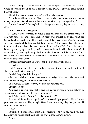"In wits, perhaps," was the somewhat sardonic reply. "I'm afraid that's mostly where his wealth lies. If he has a fortune tucked away, I fancy his bank doesn't know about it."

"Then I don't see what use he is to Guy," the girl meditated.

"Nobody could be of any use," her host said firmly, "to a young man who has no money, no prospects and wants to borrow with a view of going on gambling."

"It doesn't sound," she laughed, "as though you were going to be much use, either."

"I don't think I am," he agreed.

For some reason—perhaps the *table d'hôte* luncheon failed to please or the *vin rosé* was sour—the opposition luncheon party was brought to an end whilst the General and his guest were still meditating about their final *crêpes Suzette*. Adieux were exchanged and the two men left the restaurant. A few minutes later, during the temporary absence from the small room of the *maître d'hôtel* and the waiter, Besserley rose lightly to his feet, made his way to the table which the two men had occupied and, stooping down, picked up a slip of paper which lay upon the floor. He glanced at it and placed it carefully in his pocketbook. His companion watched him with a significant smile.

"Is that something which Sir Guy or Mr. Fox dropped?" she asked.

"Evidently."

"Hadn't you better put it in an envelope and give it to me to give to Sir Guy? I shall be seeing him this evening."

"So shallI—probably before you."

After that a different atmosphere seemed to reign. With the coffee he leaned over and laid his fingers upon his companion's wrist.

"Lady Grace," he said severely, "you are not behaving well."

"In what respect?"

"You have it in your mind that I have picked up something which belongs to someone else and have no intention of returning it."

"Well," she admitted, "doesn't it rather look like it?"

"To a superficial intelligence, perhaps," he acknowledged gravely. "I have known you since you were a child, though. Have I ever done anything that you would consider dishonourable?"

"Never"

"In this hotbed of gossip, as often as not malicious," he went on, "have you ever heard anyone suggest that I have been guilty of a dishonourable action?"

"Never"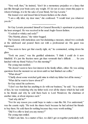"Very well, then," he insisted, "don't let a momentary prejudice or a fancy that just flits through your brain carry any weight. If I do not at once return this paper to whom it belongs, it is for the sake of your friend, Sir Guy Lavarie."

She leaned over and kissed him in brazen fashion on the cheek.

"I am a silly idiot, my dear man," she confessed. "I would trust you whatever you do."

Sir Guy Lavarie presented himself at General Besserley's apartment at precisely the hour arranged. He was received in the usual Anglo-Saxon fashion.

"Cocktail or whisky and soda?"

"Dry Martini, please," the visitor begged.

The General, with meticulous care but disdaining a measure, mixed two cocktails at the sideboard and poured them out with a professional air. His guest was impressed.

"You seem to have got that exactly right, sir," he commented, setting down his glass.

"Took me years," was the gratified admission. "I think I could do it now blindfold. It's just the fraction more gin than vermouth that's difficult. . . . So you lunched with my friend Nickey Fox this morning?"

The young man nodded.

"He doesn't seem to have lost interest in the family affairs, either. He was asking questions from the moment we sat down until we had finished our coffee."

"What about?"

"Chiefly about some wretched gold mine in which my father lost all his money."

"What did he want to know about it?"

Sir Guy raised his eyebrows.

"I don't see that that has anything to do with our business," he said. "As a matter of fact, he was wondering why my father took over all the shares which he had sold to his friends and why he sold them back to Lord Wendover, the chairman of another mine, at about sixpence each."

"And why did he?"

"Not for any reason you could hope to make a man like Mr. Fox understand," was the caustic reply. "He took the shares back because he had advised his friends to buy them. He sold them for nothing because they were worth nothing."

"Did Fox offer to lend you any money?"

The young man smiled.

"I didn't ask him. As a matter of fact, we didn't get on together particularly well.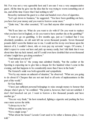Mr. Fox was not a very agreeable host and I am sure I was a very unappreciative guest. All the time he gave me the idea that he was trying to worm something out of me, and all the time I knew that I had nothing to tell."

Besserley motioned his guest to a chair and handed over a box of cigarettes.

"Let's get down to business," he suggested. "You have been gambling out here, you have lost your money and you want to borrow some more."

"Quite true," the other assented, "if I can find anyone idiot enough to lend it to me"

"We'll see later on. What do you want to do with it? Do you want to replace what you have lost in England, or do you want to have another shy at the gambling?"

"I want to go on gambling. A few months ago, just as I realised that I was absolutely penniless, an old aunt left me seven thousand pounds. Seven thousand pounds didn't seem the faintest use to me. I could not live in my own house upon the interest of it, I couldn't shoot, ride or even pay my servants' wages. Of course, I didn't expect to come out here and pick up money easily, but I did think that it was about time that my luck turned, and if I could even have doubled that seven thousand of mine I might have got along somehow."

"And instead you lost it?"

"I not only lost it," the young man admitted frankly, "but the cashier at the Sporting is expecting me to give him a cheque for five hundred when I come in this evening, and that happens to be considerably more than I have in the bank."

The General's smile was both agreeable and sympathetic.

"Not by any means an unheard-of situation," he observed. "What are you going to do about it? Cheques that are not met lead to all sorts of unpleasantness in this part of the world."

Sir Guy flushed.

"I have just sufficient personal belongings to raise enough money to honour that cheque when I give it," he confided. "The point is, however, that I am not satisfied. I don't feel knocked out yet. I want to borrow a few thousand pounds and have another go."

"You are very frank," his host remarked, lighting a cigarette and pushing the box once more across the table.

"I always try to be."

"What security have you?"

"Not a single scrap."

"What about the house? Lavarie Court used to be rather a famous place, I was told"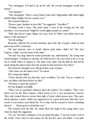"Two mortgages. If it had to go up for sale, the second mortgagee would lose money."

"Any furniture?"

"Also mortgaged. There's some Queen Anne and Chippendale stuff which might pull the thing straight, but not a penny over."

The General reflected.

"Horses, guns, furniture in town flat?" he suggested. "Jewellery?"

"Nothing worth a bean. The pearl studs I wear in the evening are the only jewellery I ever possessed. Might be worth eighty pounds at a pinch."

"Well, that doesn't make things very easy, does it? Didn't your father leave any shares or life insurance?"

"He left nothing."

Besserley reflected for several moments upon that slip of paper which he had picked up in Ré's restaurant.

"He had interests once in South African gold mines, didn't he? The East Ungwar, I think, was the name of the mine."

"He had very large interests in that particular one, unfortunately," the young man acknowledged. "It helped to ruin him. He believed in it. He even went so far as to go out to South Africa to inspect it. The mine went 'phut' and the little he had left he spent taking the shares back from the people he had advised to buy them."

The General's thoughts were still upon that scrap of paper.

"And where are the shares now?" he asked.

The young man sighed.

"I have already told you that they were worthless," he said, "but as a matter of fact, my father sold them before he died."

"Privately or upon the market?"

Sir Guy laughed scornfully.

"There was no quotation whatever upon the market," he confided. "They were taken over by the West Ungwar, which seems to be a very prosperous concern. They only wanted them to secure their right of water which passes near. They gave about sixpence a share, which was supposed to be a great deal more than they were worth. It was before your friend Mr. Fox's time, but he seemed to know something about it. . . . Damn good cocktail that was."

The General took the hint. He rather liked the laugh in the young man's eyes when he made the suggestion.

"No, sir," the latter continued, as he accepted the glass. "I am not worth a bob in the world. I have tried to earn money for the last five years and failed. I can quite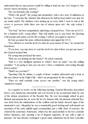understand that no sane person would be willing to lend me any. Let's forget it. One doesn't starve nowadays, anyway."

"Do you feel lucky this evening?"

"What's the good?" the young man demanded, with a new note of sullenness in his tone. "I went into the 'kitchen' this afternoon for half an hour until it was time for my tennis match. My numbers were turning up at every table I went to and at the *trente et quarante* table there was run of sixteen upon red—the only colour I back!"

"Too bad," his host sympathised, unlocking a despatch box. "Give me an I.O.U. for a hundred *mille*, young fellow. That will enable you to pay back the Sporting Club people and amuse you for the evening. I will see you again to-morrow."

Sir Guy accepted the notes without hesitation and signed the I.O.U.

"You will have to wait the devil of a time for your money if I lose," he warned his benefactor.

"If you lose, you may have to wait the devil of a time before you get any more," the General assured him.

The young man pocketed the notes.

"Why are you lending me this money?" he asked curiously.

"That is a very intelligent question to which I have no reply," was the smiling rejoinder. "I am going to turn you out now. I have a telephone call coming through from London"

"Shall I see you later?"

"Sporting Club for dinner, a couple of hours' roulette afterwards and a look at this new dancer in the Night Club—that's my programme for the evening."

"Then we shall certainly come across one another," was the young man's valedictory remark.

As a quarter to twelve on the following morning, General Besserley descended from a very handsome automobile and was bowed to his accustomed table by one of the urbane proprietors of the Royalty Bar. He was becomingly attired in grey flannels and panama hat, he wore the tie of a famous club, his pleasant rubicund face was fresh from the ministrations of the coiffeur and his hands showed signs of the manicurist's care. Altogether he was a remarkably good-looking and well-turned-out specimen of the early middle-aged cosmopolitan just a trifle short of exercise. He ordered the customary Americano, which was the usual prelude to his two cocktails before luncheon, and, opening a tin of fragrant cigarettes, lit one with a sigh of pleasure. He had already exchanged a good many salutations but he had a peculiar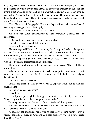way of giving his friends to understand when he wished for their company and when he preferred to remain for the time alone. To-day it was evidently solitude for the moment that appealed to him, and no one was tactless enough to encroach upon it. At twelve o'clock he took out his watch and frowned. He was a punctual man himself and he liked punctuality in others. At five minutes past twelve he summoned one of the white-coated waiters.

"Henri," he directed, "ring up Mr. Fox at the Imperial Flats and say that General Besserley is waiting for him at the Royalty."

The waiter hurried away. He returned very shortly.

"Mr. Fox was called unexpectedly to Paris yesterday evening, sir," he announced.

The General's lips were pursed in an imaginary whistle.

"Ah, indeed," he murmured, half to himself.

The waiter drew a little nearer.

"The concierge said Paris, sir," he went on, "but I happened to be in the agency of the C.A.F. last evening and I heard Mr. Fox asking if he could catch a plane from Le Bourget early this morning. It looked as though he were going to London."

Besserley appeared grave but there was nevertheless a twinkle in his eye. This was indeed pleasant confirmation of his suspicions.

"Then I won't wait any longer for my cocktail," he observed. "The usual, Henri, if you please. . . ."

Lady Grace came in a few minutes later with a large party. She detached herself at once and came over to where her friend was seated. He looked at her critically as he held her chair.

"Up late, my dear?" he asked.

"Latish," she admitted. "That poor boy was so depressed that I had to take him on and dance."

"Lost all his money, I suppose?"

She nodded.

"He had just kept enough for the supper. I'm afraid he is not lucky, Uncle Sam. What a pity it is that none of the nice people seem to be."

Her companion watched the arrival of the cocktails and lit a cigarette.

"My dear," he confided, "I am not so sure about that. I am inclined to think that Guy Lavarie is a very lucky young man indeed."

"A pauper," she exclaimed, "and with no idea how to earn money—only a singular capacity for losing it! You must have been digging very deep in your puzzle box, Uncle Sam!"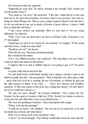The General avoided the argument.

"Supposing he were rich," he asked, looking at her steadily, "how should you feel about him, Grace?"

"Very much as I do now," she answered. "I like him. I think that he is nice and there are so few nice men nowadays. Of course, there's you, my dear," she went on, letting her hand fall upon his. "But as every young woman in Monte Carlo has had a try for you and given it up, not to speak of dozens of grass widows, I expect I shall have to fall in line with them"

"I have never noticed any particular effort on your part to win my young affections," he reflected.

"Well, I can't wear my heart upon my sleeve in Monte Carlo, of all places, can I?" she laughed.

"Supposing you tried to be serious for one moment," he begged. "If this young man had money, would you marry him?"

"Would he ask me?" she fenced.

"If he did ask you," Besserley persisted patiently.

She considered the matter.

"It is a very difficult question," she confessed. "The only thing I can say is that I could not marry him unless he had money."

"I suppose that is as near a definite reply as I am going to get, is it?" he asked bluntly.

A cryptic smile played about her lips.

"No girl really knows beforehand whether she is going to accept a man or not until he actually asks her," she pronounced. "Then it depends very often upon a trifle —upon what sort of tie he is wearing, his use of pronouns, or whether he gets just the right amount of timbre in his voice. . . . Don't let's discuss such profitless questions. Is there any chance of the poor boy coming into money? I'm sure there's not or he would have told me so."

"He may not know himself," the General meditated. "One cannot tell. Mr. Nicolas Fox has gone to London to find out. If Mr. Nicolas Fox returns to-morrow or the next day and offers him a loan on very liberal terms—"

"We were not speaking of miracles," Grace interrupted with a laugh.

"Where is the lad this morning?"

"I really do not know," she admitted. "He was not in our tennis four so he said he should stay at home and write letters."

There was an uneasy look in her questioner's face.

"I never," he acknowledged, "feel entirely comfortable about the man who has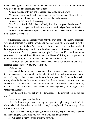been losing a great deal more money than he can afford to lose at Monte Carlo and who stays in on a fine morning to write letters."

"You are lunching with us," she reminded him, as she turned away.

"My dear, I am going to ask you to excuse me," he begged. "It is only your young tennis crowd, I know, and I am not quite in the party humour."

"You are not ill?" she asked anxiously.

"Liver," he confided. "I shall lunch off a dry biscuit and a glass of soda water."

She turned and laughed back at him as she answered a signal from her friends.

"You are not getting one scrap of sympathy from me," she called out, "because I don't believe a word of it."

Nevertheless, General Besserley was not wholly at ease. The shadow of anxiety which had disturbed him at the Royalty Bar was increased when, upon asking for Sir Guy Lavarie at the Hôtel de Paris, he was civilly told that Sir Guy had left word that he was particularly engaged for the next two hours and did not wish to be disturbed.

"I'm sorry, sir," the reception clerk apologised. "I am sure if he had known that you were going to call, it would have been a different affair but, as it is, perhaps it would be as well if you asked again or rang him up later in the day."

"I will look Sir Guy up before dinner time," his caller promised with wellassumed carelessness. "Number 279, isn't it?"

"Quite so, sir."

The General, however, had no intention of postponing his visit a second longer than was necessary. He ascended in the lift as though to go to his own rooms but he descended again almost at once to the floor below, paid a brief visit to the service room, where he helped himself to a master key from a drawer, went out on to the corridor and, boldly opening the door of Number 279, entered. The young man, who was seated at a writing table, turned his head impatiently. He recognised his visitor with surprise.

"How the devil did you get in?" he demanded. "I thought that I'd locked the door."

Besserley was apologetic but firm.

"I have had some experience of young men going through a rough time in Monte Carlo who lock themselves up in their salons," he explained. "I stole the passkey from the service room."

"I don't see what the devil right you have to do anything of the sort," Lavarie exclaimed angrily. "How dare you force your way into my apartment?"

The General's expression was entirely disarming.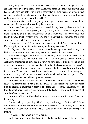"My young friend," he said, "I am not quite so old as I look, perhaps, but I am still your senior by a great many years. I know the shape of a gun when a newspaper has been thrown hurriedly over it, and I know what the first impulse of a young man generally is after the excitement of gambling and the depression of losing, if he has nothing particular to look forward to in life."

There was a glint of red in the young man's eyes. His hand stole underneath the newspaper. The situation had suddenly become tense.

"Look here," he rejoined, "there is no need for any beating about the bush. I have no particular grudge against you, sir, but if you don't clear out right away, there's going to be a double tragedy instead of a single one. I'm sorry about your hundred *mille*, if that's what you've come for. You may get it or you may not. It was your own risk. I didn't worry you for your money."

"Of course you didn't," his unwelcome visitor admitted. "As a matter of fact, I've brought you another fifty *mille* to try your luck again to-night."

Sir Guy stared in astonishment. A new emotion—surprise—found its way into his brain. From that moment Besserley knew that the situation was saved.

"A few minutes ago," the former said deliberately, "I was quite convinced that I was temporarily insane and that a verdict to that effect would be entirely in order. Just now I am inclined to think that it is you who have gone off the deep end. Is this a new cure you are trying on me, like the half bottle of whisky a day for drunkards?"

The General, his hands in his pockets, lounged lazily across the room towards the window. With a sudden swift, but seemingly unhurried movement, the newspaper was swept away and the weapon underneath transferred to his own pocket. The young man watched him without apparent interest.

"You will make me a present of this as a memento in a few weeks' time, young fellow," he assured him. "Believe me, meanwhile, if I am an intruder, I have not come here to preach. I am rather a believer in suicide under certain circumstances. The trouble about you, though, is that you are a trifle hasty. I have a sort of fancy that your luck's going to change."

"You wouldn't say so if you had seen my last few stakes at the tables," was the bitter reply.

"I'm not talking of gambling. That's a very small thing in life. I shouldn't have said a word about this just yet if you had not hurried things to a crisis, but I hold a divining rod in such matters and I have a sort of fancy that you are coming into money."

"It's not possible," was the fervent denial.

"Well, there's one man who thinks it is," the General declared. "That's Nicolas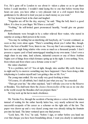Fox. He's gone off to London to see about it—taken a plane so as to get there before I could interfere. I wouldn't mind laying five to one that before twenty-four hours are past, you have either a very pleasant visit or a civil request from that gentleman to be allowed to lend you just as much money as you want."

Sir Guy leaned back in his chair and laughed.

"Tragedies are off for the day, anyway," he said. "Ring the bell, there's a good fellow. It's close to your finger. We'll have a cocktail."

"Nothing," his self-invited guest pronounced heartily, "would give me greater pleasure."

Refreshments were brought in by a rather relieved floor waiter, who stared in surprise at seeing a third person in the room.

"You may be nothing but an interfering old busybody, sir," Lavarie continued, as soon as they were alone again. "There's something about you I rather like, though. Here's the best of health! Now, listen to me. You say that I am coming into money. I have not one single living relative who owns as much as a thousand pounds. I don't possess a square yard of land unmortgaged standing in my own name. I don't own a single share in any mine, land scheme, industrial concern or any of those Arabian Nights sort of things from which fortunes spring up in the night. I own nothing. Now, from whom and from where can a fortune come to me?"

His visitor chuckled.

"It is a problem, isn't it? You sit tight, though, take another fifty *mille* from me to-night and by to-morrow something may have happened. I have been doing a little telephoning to London myself and I am getting a line on Mr. Fox."

The young man smiled. He was really very good-looking at times.

"Of course, it's allrubbish, but I shall do just what you say," he conceded.

"Then get your hat," the other enjoined, "and I will take you over to the Réserve at Beaulieu. You shall taste there the *Jeunes Desmoiselles* of the sea as no one else in the world except the Beaulieu chef can prepare them."

Sir Guy took up his hat in meek obedience.

Mr. Nicolas Fox, through the accident of having taken a *voiture* from the station instead of waiting for the rather heavily laden bus, very nearly achieved the most successful escapade of his career as a schemer on the right side of the law. The paper was drawn up and a very dazed young man was already taking the fountain pen into his hand. The latter ventured upon one final protest.

"Look here, Mr. Fox," he said, "before I sign, or rather before you hand me over that cheque you have been brandishing about, I want you clearly to understand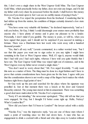this. I don't own a single share in the West Ungwar Gold Mine. The East Ungwar Gold Mine, which practically broke my father, does not exist any longer, and if it did my father sold every share he possessed before his death. I shall borrow this money from you if you insist upon it, but I can see no earthly means of paying it back."

Mr. Nicolas Fox wiped the perspiration from his forehead. Considering that he had ridden up from the station, his condition of fatigue certainly denoted a low state of vitality.

"You have some very valuable old furniture," he declared impressively, "and as I told you before, Sir Guy, I think I could disentangle your estates more profitably than anyone else. I have plenty of money and it gives me pleasure to be a lender. Personally, I don't mind if you gamble. The money is yours, or will be, when you have signed that paper, and I should not be surprised if you succeed in making a fortune. There was a Dutchman here last week who went away with a hundred thousand pounds."

"Yes, that's all very well," Lavarie commented, in a rather worried tone, "but I see that this paper you want me to sign cedes to you any rights I might have remaining in the East or West Ungwar mines. Well, if I sign it, anyone would think that I had told you I had such rights, whereas I have told you quite frankly that I have not. The East Ungwar Gold Mine was wiped right out of existence, and in the West Ungwar even my father never owned a single share."

"You don't need to worry about that," Mr. Fox urged feverishly. "I only want this note as a matter of form. The thing must be done in a legal fashion and I have to prove that certain considerations have been given me for the loan. I agree with you that the consideration shewn is not worth a snap of the fingers but it makes the whole business right from a legal point of view."

Sir Guy took up the pen and searched for the place where his signature was pencilled in. Just at that moment there was a knock at the door and General Besserley entered. The young man stared at him in amazement. There was something a good deal more malevolent in Mr. Nicolas Fox's expression.

"Sorry if I am intruding," the newcomer apologised. "They did tell me that you were engaged, Sir Guy, but I thought I'd better come right up. Hello, Nickey! What's London like?"

"How did you know that I'd been to London?" the lawyer asked with a sickly smile.

"Nicolas Fox," was the impressive reply, "you are one of those men whom I made a point of watching since we first met down here. A man who has an engagement to drink a cocktail with a friend and who slips away to London without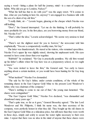saying a word—hiring a plane for half the journey, mind—is a man of suspicious habits. Why did you go to London, Nickey?"

"What the hell has that to do with you?" was the angry retort. "If it comes to that, what are you butting in here for, anyway? I am engaged in a business talk with the son of a client of my old firm."

"I really think, sir—" Lavarie began, glancing at the cheque which Nicolas was still holding.

"Don't," the General interrupted. "Let me do the thinking. It will probably be more profitable for you. In the first place, are you borrowing money from our friend, Mr. Nicolas Fox?"

"That's rather the idea," Lavarie acknowledged. "He seems very anxious to lend  $\mathbf{r}$ "

"There's not the slightest need for you to borrow," the newcomer told him emphatically. "You are a comparatively wealthy man, Sir Guy."

The latter was thunderstruck. He stared at his visitors, who remained speechless. Nicolas Fox's upper lip was slightly raised, showing his unpleasant teeth. His eyes seemed to have come closer than ever together.

"Rubbish!" he exclaimed. "Sir Guy is practically penniless. My old firm wound up his father's affairs when Sir Guy here was at a preparatory school, so we ought to know"

"*You* were invited to leave the firm," the General said, "too early to know anything about a certain incident, or you would have been hunting for Sir Guy long ago!"

"What incident?" Nicolas Fox demanded.

"The sale by Sir Guy's father, under certain conditions, of the whole of the remaining shares in the East Ungwar Gold Mine to the present Lord Wendover's father, who was chairman of the company."

"There's nothing to come to me out of that," the young man lamented. "The shares were extinguished."

"The East Ungwar Gold Mine," Nicolas Fox declared, "was dismantled and abandoned many years ago."

"That's quite true, so far as it goes," General Besserley agreed. "The late Lord Wendover and Mr. Philpotts, I think his name was, the then secretary of the company, were perfectly honest in what they did. They bought up the old shares in the East Ungwar Gold Mine at a ridiculous price, but still more than they were worth in those days, simply and solely to secure the water rights necessary to their own mine. I repeat that there was no idea in the mind of anyone that these shares were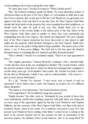worth anything at all, except as giving the water rights."

"No more they were," Nicolas Fox burst in. "What's all this about?"

"But," the General continued, gently but firmly, "by some miraculous instinct of self-preservation on the part of Sir Guy's father, or I am inclined to think that it may have been a quixotic idea on the part of the late Lord Wendover, an agreement was signed at the time of the sale that if, at any later date, the West Ungwar Gold Mine should sink fresh shafts on the property they were acquiring from their neighbours, or should work the mine for gold in any way, they should hand over to the representatives of the Lavarie family, at the market price of the day, shares in the West Ungwar Gold Mine equal in number to those they were purchasing and extinguishing from the East Ungwar. The miracle has happened! The most valuable lode of the West Ungwar properties has been discovered to turn almost at right angles into the property which formerly belonged to the East Ungwar! Shafts have been sunk and to-day gold is being mined in large quantities. The market price of the shares, I see, is forty-seven shillings. The debt due to Sir Guy upon the hundred thousand shares is something like two hundred and thirty thousand pounds."

"This is rubbish," Nicolas Fox exclaimed angrily. "There is no such agreement in force"

"The original agreement," General Besserley continued, with a cheerful smile, "could only have been in the one remaining box labelled 'The Lavarie Estates' which the present members of the firm to which our friend here belonged had consigned to an attic many years ago. From inquiries I have made, Mr. Nicolas Fox paid a visit to his late firm on Wednesday, I think it was, and he could probably—if he cared to give us more precise information."

"It's a lie," Nicolas Fox shouted. "I have never seen or heard of such an agreement. I don't believe that it exists. My business in London was of a different nature altogether."

"The matter is of no importance," the General declared suavely.

"Of no importance!" the bewildered young man repeated.

"Simply because," the other went on, "fortunately for you, people in those days were meticulously careful when anything connected with gold mines was doing and an exact copy of the agreement, signed by the late Lord Wendover and Stephen Philpotts, the late secretary of the West Ungwar Gold Mine, was filed at the time at Somerset House, where it now exists. For a small fee I procured a copy of it. The present Lord Wendover knew nothing of his father's action but he is staying at this hotel at the present moment and he has assured me that on production of the necessary papers, the claimant of the Lavarie interests, who is our young friend Sir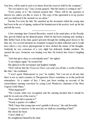Guy here, will be paid in cash or in shares from the reserves held by the company."

"Do you mean to say," Guy Lavarie gasped, "that the money is coming to me?"

"Every penny of it," the General assured him. "There will be the question of interest too, unless you like to waive it. The copy of the agreement is in my pocket and you shall read it the moment we are alone."

Nicolas Fox took the hint. He snatched up the document which the young man had been in the act of signing, replaced his fountain pen in his pocket, took up his hat and left the room.

A few mornings later General Besserley, seated in his usual place at the Royalty Bar, gravely folded up the financial paper which he had been studying and, leaning a little farther back in his chair, gazed upwards through the rustling green leaves to the blue sky. For several moments he remained wrapped in silent reflection and it would have taken a very clever physiognomist to have divined the nature of his thoughts. Suddenly he was conscious of a very slight but delicately familiar perfume. He opened his eyes. Someone was leaning over him. He looked into Grace's laughing face.

"And that glove shop so conveniently near!" she sighed.

"I can relapse again," he assured her.

She glanced at the newspaper and laughed outright.

"Don't tell me that the *Financial Times* can send you off into a world of fancies like that," she exclaimed.

"I won't quote Shakespeare to you," he replied, "but I am not at all sure that there is not as much romance in Throgmorton Street sometimes as in this perfervid atmosphere. As a matter of fact, I have just been reading an account of the extraordinary meeting convoked by young Lord Wendover, chairman of the West Ungwar Gold Mines."

"What happened?"

"The Lavarie claim was recognised and the meeting decided that it should be paid for in cash out of the reserve."

"How much did it amount to?"

"Nearly a quarter of a million."

"Well, I hope that young man won't gamble it all away," she said fervently.

"I suppose to-morrow or the next day we shallsee something of him?"

She shook her head.

"I don't think so."

He straightened himself in his chair.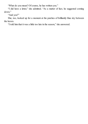"What do you mean? Of course, he has written you."

"I did have a letter," she admitted. "As a matter of fact, he suggested coming down."

"And you?"

She, too, looked up for a moment at the patches of brilliantly blue sky between the leaves.

"I told him that it was a little too late in the season," she answered.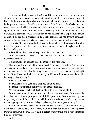There was no doubt whatever that General Besserley was a very brave man for, although he believed himself, with perfectly good reason, to be in imminent danger of his life, he betrayed no signs whatever of disquietude. At the extreme end of the seat in the gardens, between the side entrance to the Salle Privée of the Casino and the steep narrow road which runs down to the Mirabeau, was the curiously hunched-up figure of a man—black-browed, sullen, menacing. Worse a great deal than his disagreeable appearance was the fact that he was holding with a grip of iron, almost concealed by the black overcoat he had been carrying and had thrown carelessly across his knees, the ugliest little pug-nosed revolver the General had ever seen.

"It's a pity," the latter regretted, striving to keep all signs of uneasiness from his tone, "that you seem to have taken a dislike to me; otherwise I might have been inclined to help you."

"Who told you that I needed help?" was the sullen rejoinder.

"Your demeanour suggests it," the General pointed out. "Men don't kill themselves for nothing."

"It's not myself I'm going to kill," the other replied. "It's you."

"That makes the matter still more difficult," Besserley persisted. "I'm quite a well-known person here—even the custodian in the garden knows me and has seen us here together. So has also the croupier, who has just passed and said good night to me. You will without doubt be committing suicide as well as murder—only suicide in a very unpleasant way."

"What do you mean?"

"You will either have your head chopped off or be hung."

"You think of everything, don't you?" the other observed.

"My brain is usually active at this time of night," Besserley admitted.

"You imagine yourself very clever," was the jeering comment. "You probably think that I am not up to your game. Well, I'll let you know. You're wondering how to get away from this little hole in the middle of my six-shooter. You're praying that something may turn up. You're talking to gain time, that's what you're doing."

"Well, that's true in a sense," the threatened man conceded. "As a matter of fact, I am thirsty. I should hate to die thirsty. Can you hear that sound of tinkling music from the restaurant below? They have excellent whisky there and a very reputable brand of champagne."

"Well?"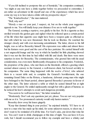"If you felt inclined to postpone this act of homicide," his companion continued, "we might at any rate have a drink together before we proceeded to extremities. I am rather an adventurer in life myself and one of the experiences which has never come my way is to have taken a drink with my prospective slayer."

"The 'Knickerbocker'," the man muttered.

"Well, why not?"

"Merely a ruse on your part, I suspect, sir, but on the whole your suggestion appeals to me. You will kindly keep your distance if we are to walk together."

The General, scenting a reprieve, rose gladly to his feet. He lit a cigarette as they strolled towards the garden gate and sighed when he reflected upon a certain period of his life when that cigarette case might have been a weapon quite as effectual as that with which he was now threatened. But he took no liberties. He watched the stranger closely and with ever-increasing astonishment. The latter, drawn to his full height, was as tall as Besserley himself. His expression was sullen and almost fierce but his features were good and the cast of his face patrician. He carried himself with a not ungraceful lounge and the way in which he handled his little plaything showed that it was not the first time he had trifled with life and death. But there were more surprises in store for Besserley. The commissionaire, who greeted him with his usual consideration, was even more flamboyantly obsequious to his companion. Frederick, the proprietor of the place, who met them on the threshold, offered a greeting which seemed almost cursory to the General, a well-known client, but bowed servilely to his companion. The same thing happened with the *maître d'hôtel*, who ushered them to a vacant table and, to complete the General's bewilderment, the one remaining Grand Duke on the Riviera, a handsome, debonair young man who might have belonged to the Stuart period, almost ignored Besserley's presence in favour of the other man. The latter selected a table at which he seated himself but at right angles to the General. He smiled unpleasantly enough but with a gleam of humour, as he noticed his host's attempts to avoid such dangerous proximity.

"You seem to be well known here," the latter remarked.

"Moderately. Don't ask any questions just yet, please. You are not very popular with me as it is. Too pronounced curiosity would only hasten matters."

Besserley drew away his knees gingerly.

"Keep that damned thing in your pocket," he enjoined irritably. "If I have to sit next to a man who has made up his mind, for some unknown reason, to shoot me, I don't want to be reminded of it all the time. For God's sake, put down that wine list too. You can't want to drink champagne at this time of night. You can have it if you wish, but I should recommend you to follow my example and have a whisky and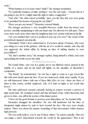soda."

"What business is it of yours what I drink?" the stranger demanded.

"No particular business of mine, perhaps," was the curt reply—"except that as I am going to pay for it, I might claim the right to make a suggestion."

"And who," the other asked scornfully, "gave you the idea that you were going to be permitted the honour of paying for my drink?"

"Have you got any money?" Besserley retorted bluntly.

The stranger produced a very beautiful Morocco wallet from his breast coat pocket, carefully manipulating it with one hand only. He allowed it to fall open. There were more *mille* notes there than his neighbour had ever carried with him in his life.

"Are you satisfied that I am in a position to pay my own way?" the owner of the pocketbook inquired sarcastically.

"Absolutely. What I don't understand is, if you have plenty of money, why were you sitting on a seat in the gardens, with the air of a would-be suicide, and why did you aggravate the whole affair by having an idea of adding murder to your peccadilloes?"

"Ah, that's another story," the stranger replied, fixing himself a whisky and soda and pushing the bottle across the table.

The Grand Duke, who was in a genial, not to say hilarious mood, paused in the middle of a dance and let his hand fall lightly on the shoulder of Besserley's companion.

"My friend," he remonstrated, "no one has a right to come to a gay resort like this with such clouds upon his face. If you are depressed, drink more rapidly. If you are still depressed, dance with one of these little *filles de joie*—there are three of them in that corner, terribly neglected. Life, if it ends to-night, is not worth that frown"

The man addressed seemed curiously lacking in respect towards a person of high social rank. He remained seated and that left hand of his, which Besserley had grown to hate, was still in the pocket of his dinner jacket.

"I have not the good fortune to possess your disposition, sir," he rejoined drily.

Alexander shrugged his shoulders. He was still handsome but the lines of dissipation might almost be said to have scarred his face. His eyes were deeply sunken. There was about his manner something of that nervousness which denotes high pressure.

"Do you really believe, you or any of those others," he asked cynically, "that you can judge a man's deportment towards the world by his appearance? Was it not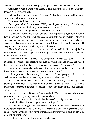Voltaire who said, 'Amonarch who plays the jester must have the heart of a hero'?"

Alexander, whose partner was getting a little impatient, passed on. Besserley toyed with the whisky bottle.

"I should like to know your name," he said. "I also think that you might abandon your rather silly pose as a would-be assassin."

There was a flash in the other's eyes.

"Pose, you call it," he remarked. "Well, have it your own way. Nevertheless, there was a time when I had firmly determined to shoot you."

"But why?" Besserley persisted. "What harm have I done you?"

"No personal harm," the other admitted. "You represent a type with whom I have no sympathy. You are so full of poise, so admirably sure of yourself. Then, you are enjoying life far too much. I myself am a failure. I hate people who are successes. I had no personal grudge against you. If I had pulled that trigger, it would simply have been to have gratified my sense of humour."

"Then, for God's sake, get rid of your sense of humour!" the General enjoined a little irritably. "I am beginning to think I was right the first time. No one but a *poseur* would talk such rubbish."

"I only seem to you a *poseur*," his companion complained, "because I have abandoned restraint. I am speaking the truth the whole time and saying just what I feel. However, we will let that go. The moment has passed. You are safe."

Besserley was somewhat ashamed of it afterwards but he certainly turned towards his whisky and soda with an immense sense of relief.

"I think you have chosen wisely," he declared. "I was going to offer you my assistance out there in the gardens but you seem scarcely to need it."

One of the Grand Duke's party, on his way to the door, nodded a pleasant greeting to Besserley as he passed and addressed him by name. The latter's mysterious companion laughed to himself softly—not malevolently, but certainly without humour.

"So you are General Besserley," he remarked. "You are the man who always gets himself mixed up in any trouble that goes on here."

"I don't make any special efforts in that direction," his neighbour assured him.

"You had an idea of advancing me money, perhaps?"

"To save my life I might have been inclined to, or if you had been possessed of a more ingratiating manner and asked me for a reasonable loan. Feeling fairly safe now and not being conscious of any sense of friendliness towards you, I have no desire to do anything of the sort."

The stranger was certainly improving. He chuckled.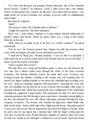"So I have met the great and popular General Besserley, late of the American Secret Service, I believe," he reflected. "Lucky I didn't know that a few minutes before, on that garden seat. Anyhow, let that pass. You cannot lend me money—you might render me service of another sort, perhaps, if you are really of a philanthropic turn of mind."

Besserley lit a cigarette.

"Well?"

"My name is Crantz. My Christian name is Michael."

"I might have guessed," the other murmured.

There was a brief silence. Michael of Crantz helped himself deliberately to another whisky and Perrier. When he spoke, there was a touch of the former bitterness in his tone.

"Well, what do you think of me as the hero of a world's romance?" he asked sardonically.

"You do not," the General assured him, "inspire me with the aversion which some of the newspaper accounts of your adventures have done."

"I shall end by liking you," Michael declared. "I can see that it is inevitable. I shall come and sit at your favourite table at the Royalty and eat out of your hand—I mean, accept the advice of your lips."

"And as regards that service?"

This time there was a long and breathless pause, a pause not only between the two men, but a silence which crept through the whole of the noisy crowded restaurant. The dancing suddenly ceased, the music died away. Everyone was looking towards the entrance, looking at the woman who was standing there by herself, her fingers holding together at the throat her chinchilla-lined travelling coat, her eyes—deep-set, inquiring, luminous with expectation—searching the room. She was very beautiful, but she had the air of one wearied with travelling. Little wisps of chestnut-coloured hair, which had escaped the close confinement of her small black travelling hat, suggested a long journey. Her expression was that of a tired woman suddenly galvanised into life through a great expectation. Alexander sprang lightly to his feet and threaded his way with almost miraculous precision through the tense company of dancers. The woman, who watched his approach, smiled faintly. She held out her hand—held it rather high with a slight graceful droop. Alexander paused a yard away and bowed, then he approached and raised her fingers to his lips. What he said to her no one heard, but a moment later, with her fingers resting upon his arm, they crossed the room. People fell back, impelled as much by their own sense of what was seemly as by Alexander's whispered word of excuse. Besserley heard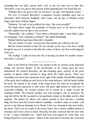something that was half a groan, half a sob, as the two men rose to their feet. Alexander's tone was graver than anyone in that gathering had ever heard him use.

"Whether this is for good or ill, I do not know," he said, "but Madame is here."

The bow of General Besserley's companion seemed modelled upon that of Alexander. Both betrayed familiarity with Courts, but the lips of Michael rested longer upon those delicate fingers.

"Madame," he said, as he proffered his chair, "this is not possible!"

The laugh whose magic the journalists of Europe have so far tried in vain to describe rippled from her lips as she sat down.

"Meanwhile," she confided, "I have flown a thousand miles. I must drink a glass of champagne. Your companion, perhaps?" she added hesitatingly.

Michael laid his hand upon Besserley's shoulder.

"My new friend," he said, "you perceive that another day will dawn for me."

But the General needed no hint. He was already on his way to the door. Swiftly though he moved, it seemed to him that the echoes of those, her first words lingered in his ears.

"My darling! I could not bear the risk of leaving you alone for another twentyfour hours. I am here!"

Back at the Hôtel de Paris there was mystery in the air, mystery in the darkened lounge, the nervous manner of the doorkeeper, as he swung open the door inattentively for General Besserley, the late-returning guest, mystery in the great patches of gloom which seemed to hang about the veiled spaces. There was something even more than mysterious in the sight of the usually cheerful little manager of the great hotel walking up and down in the semi-darkness, with his hands behind his back. He started at the sound of the swing doors but when he recognised the arrival his interest appeared to fade away. His good night lacked its usual note of respectful cordiality. He seemed anxious not to detain for a single second the returning reveller. The General, puzzled, was wise enough to ask no questions. He rang the bell for the lift, ascended to his apartment, turned on the lights and lit a final cigarette. The instinct for silence and caution seemed to have become a catching thing. He drew back his French windows stealthily—careful to make no sound—and stood on the balcony listening. Even Monte Carlo was sleeping in that hour before the dawn. There was no sound in the streets below but a curious muffled turmoil of footsteps and voices closer at hand. Besserley became conscious that the next suite to his—a large residential one—which had been unoccupied for some time, was being prepared to receive guests. Almost at the same time he became also conscious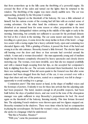that from somewhere up in the hills came the throbbing of a powerful engine. He crossed the floor of the salon and turned out the lights: then he returned to the window. The throbbing of the engine was more clearly audible now. The car was approaching, probably by the Moyenne Corniche.

Besserley lingered on the threshold of his balcony. He was a little ashamed of himself, but the curious events of the evening had left him with an excited sense of coming adventure. On the other hand the evidences were all slight—an hotel disturbed at an unusual hour for some reason or other; preparations in the most important suite; distinguished visitors arriving in the middle of the night or early in the morning. Interesting, but certainly not sufficient to account for his profound distaste for bed at five o'clock in the morning. The car came nearer and nearer. Soon, still travelling at a great pace, it came down the steep incline in front of the hotel—a huge two-seater with a racing engine but a heavy cabriolet body, open and containing two shrouded figures only. With a grinding of brakes, it passed the front of the hotel and swung in at the side entrance. Besserley leaned a little forward. The electric light was still burning over the door and three or four servants had crowded around the vehicle. A man and a woman descended—the man apparently young and of medium height but his features completely obscured by heavy spectacles and closely drawn motoring cap. The woman, even more invisible, save that she too stepped youthfully and with a musical laugh escaping from her lips, as she accepted her companion's help in alighting from the car. The servants welcomed them bareheaded, but in that there was nothing unusual. What did seem quaint to the General was that after some suitcases had been dragged from the back of the car, it was covered over with a large dust sheet and one of the porters, seated on a campstool, was left in charge apparently to avoid sending it to a garage. . . .

Commotion anew! This time nearer at hand, in the shape of muffled voices and the footsteps of porters. Evidently it was for these late arrivals that the adjoining suite had been prepared. The hotel, modern enough in all possible respects, had been built before the days of padded doors, and one word in the tone of the obsequious manager was quite sufficient to stop Besserley's preparations for bed. He stood again on the threshold of the balcony, listening intently. This time fortune favoured him. The adjoining French windows were thrown open and two figures stepped out. Besserley remained in the shadows. There were times when he had no compunction in playing the eavesdropper. He heard the woman's voice, sweet and melodious, and she spoke in a language which he understood.

"But this is Paradise, Maurice!"

"With you," came the passionate answer.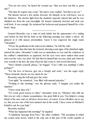"You are not sorry," he heard the woman say, "that you have run this so great risk?"

"The time for regrets may come," the man's voice replied, "but that is not yet."

The listener moved a few inches forward. He himself, as he well knew, was in the shadows. The electric light from the standard opposite missed him and he was shielded too from the wan moonlight. He leaned cautiously forward and stole one swift look. It was enough. He reëntered his bedroom and prepared himself for a few hours' sleep.

General Besserley was a man of early habits but the appearance of a visiting card before he had left his bath on the following morning was rather a shock. He glanced at it with uneasy premonition. Upon it was engraved the single name "Alexander"

"I'llsee the gentleman in the salon in ten minutes," he told the valet.

In even less than that time the General, showing scant signs of his disturbed night, entered his salon. Alexander's toilet was as meticulous as ever and the evidences of his coiffeur's ministrations as apparent, but his eyes were more sunken than usual and even his voice was tired. He had thrown himself into an easy-chair and when he rose wearily to his feet, the man whom he had come to visit waved him back.

"Don't disturb yourself, please," he begged. "Can I offer you anything? Coffee perhaps?"

"For the love of heaven, give me a brandy and soda," was the eager reply. "These domestic shocks are too much for me."

Besserley rang the bell and gave the order.

"Last night," he remarked, "was filled with unusual episodes."

"Nothing to this morning," was the gloomy reply. "I imagine you realise the situation."

"I have some idea of it."

"For some good reason or other," Alexander went on, "Michael, who tells me that you are only a chance acquaintance, has great faith in you. You helped a young friend of his once and we all know down here, of course, if you will allow me to say so, that you are one of the best-natured men in the world. I have come on Michael's behalf to ask for your help."

Besserley nodded.

"What has happened this morning?" he inquired.

"A telephone message from Nice," the other confided. "The aeroplane in which my cousin came down, which is the only one in this part of the world capable of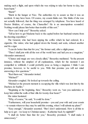making such a flight, and upon which she was relying to take her home to-day, has been burnt."

"Burnt!"

"Burnt in the hangar at Nice. The authorities try to assure us that it was an accident. It may have been. Of course, my cousin thinks not. She thinks if she was not actually followed, that the thing was arranged by telephone. You have heard of Doctor Brüden, of course, the Chancellor? He is an unscrupulous scoundrel. Nothing would please him better than trouble of this sort."

"How can I help you?" Besserley asked.

"Tell us how to get Madame back to the capital before her husband returns from his shooting expedition."

The General, who had been sipping the coffee which he had ordered, lit a cigarette. His visitor, who had gulped down the brandy and soda, refused another and lit a cigar.

"I can do better than that for you," the former said, after a slight pause.

"Then I shall join with all the rest of the world here and hail you as a magician," Alexander announced.

"Chance and magic are very closely allied," Besserley meditated. "In the present instance, without the simplest of all explanations, which for the moment I am compelled to withhold, I could probably pose as being a magician. I think I can promise, however, to be useful to you. With that promise you will not mind answering a few questions."

"Reel them out," Alexander invited.

"Michael?"

Alexander coughed. He looked up towards the ceiling.

"Michael at the present moment is occupying the villa which was lent him by the Duchess de Suelles."

"Beginning at the beginning, then," Besserley went on, "can you undertake to keep him within the walls of that villa for twenty-four hours?"

His visitor hesitated.

"Why, of course," he said, "it could be done."

"Furthermore, will your household promise—you and your wife and your cousin —to remain wherever they may be until this evening, when I will submit my plans?"

"Easy enough," Alexander assented. "But I don't understand. How is all this to help us to get—we keep to Christian names—Katherine back by nightfall?"

"I shall do better than that for you," Besserley promised. "I shall make it unnecessary."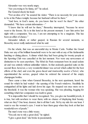Alexander was very nearly angry.

"Are you trying to be funny, sir?" he asked.

The General shook his head.

"Not an idea of it," he assured his visitor. "There is no necessity for your cousin to be at the Palace tonight, because her husband will not be there."

"And how, in God's name, do you know that he won't be there?" the other demanded. "We have certain information—"

"I know that he will not be there," Besserley interrupted, "because he never went to the forests. He is in this hotel at the present moment. I saw him arrive last night with a companion. You see, I am not attempting to be a magician. This has been an affair of chance."

Alexander talked, or rather gasped, in Russian for several moments, so Besserley never really understood what he said.

On the whole, that was an uneventful day in Monte Carlo. Neither the Grand Duke nor any of his brilliant household were to be met with at any of the fashionable lunching or dining places. A dinner which they had been giving for twenty people at the Sporting Club was cancelled at the last moment. Nor were any newcomers of distinction to be seen anywhere. The Hôtel de Paris restaurant bore its usual sedate air and was entirely without unfamiliar visitors. In that zealously guarded suite on the second floor, however, a very wonderful dinner was served which called for the best efforts of the chef, and even the grave-faced and trustworthy *maître d'hôtel*, who superintended the service, gasped when he ordered the removal of the empty champagne bottles.

There came a time when General Besserley, in the next apartment, heard the sound for which he had waited—the opening of the French windows. Stealthily he extinguished all his lights and laid down his cigar. He stepped out once more on to the threshold. It was the woman who was speaking. She was pleading, begging for something which her companion was loath to grant.

"It is impossible that I should be recognised. Yes, you give me beautiful jewels, it is true, but with nowhere to wear them; with no chance of displaying their beauty, what are they? One hour, dearest, that is all that I ask. Sit by my side for one hour. I want to see the women's eyes. I want to hear them gasp when they look at that last wonderful row of pearls."

The man's tone was a little weary.

"You ask me to risk a great deal," he sighed.

"I give a great deal," she broke in passionately.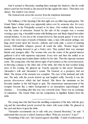And it seemed to Besserley, standing there amongst the shadows, that he could almost catch her hot breath as she pressed her lips against the man's. Then there was silence. The window was closed.

The General took down the receiver from the telephone instrument.

The brilliancy of the Sporting Club that night was an affair long unforgotten. The Grand Duke's dinner party was apparently taken over by someone else, for every familiar figure in the Principality seemed to be there. One roulette table, however, was the centre of attraction. Seated by the side of the croupier was a woman wearing a grey wig, a beautiful woman with flashing eyes and finely shaped but rather sensual features. It was not at the woman however, that people gazed. It was at her jewels. She wore ropes of pearls of fantastic value, a tiara with ancient settings; one huge pearl rested upon her bosom—delicate and rosily pink, a jewel of amazing beauty. Half-audible whispers passed all round the table. Women forgot their manners in leaning forward to get a better view. They pushed their way amongst friends and strangers alike. The woman who was the centre of the general interest gathered it all in with rapturous enjoyment. Every now and then she smiled at an insignificant young man in plain dinner clothes by her side. Then the supreme moment came. The young man, who had shown signs of nervousness as the crowd increased, in throwing a plaque to the other side of the table, did what he had avoided doing most of the evening. He glanced up. Exactly opposite to him stood Alexander, Alexander's wife and Alexander's cousin. The General, as a producer, had not failed. The drama of the moment was complete. The eyes of the husband and wife met. The lady with the jewels looked up and laughed softly. Secretly it was the precise *dénouement* which she had desired. She threw the maximum on her favourite number as the ball began to spin. The monotonous announcement of the croupier became like a minor background to an atmosphere supercharged with emotion. . . . Everything after that was very correctly done. There was no exchange of salutations. The Grand Duke led his companions in dignified fashion from the table.

"Something of the sort," the General agreed cheerfully. "A kind of ambassador, if

The young man who had been the unwilling companion of the lady with the grey wig and the marvellous jewels received his visitor with scant civility. He glanced at the card and threw it upon the table.

<sup>&</sup>quot;Alexander recommends me to talk with you, General Besserley," he said. "I understand that you are a retired American officer. What are you now? A spy?"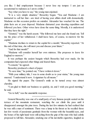you like. I find employment because I never lose my temper. I am just as accustomed to rudeness as I am to civility."

"Say what you have to say," the young man enjoined.

"It is a very simple situation," Besserley began. "You and Madame—I am instructed to call her that—are tired of having your affairs dealt with domestically. Madame on this occasion prefers an outsider. Alexander has vouched for me. The plain facts are at your disposal. Madame distrusted your shooting expedition and followed you here. Other wives have done the same thing. Morally, it is understood that they have the right."

"Granted," was the harsh assent. "She followed me here and she found out. Tell me the price of her withdrawal. I shall leave here, of course, to-morrow for the capital."

"Madame declines to return to the capital for a month," Besserley reported. "At the end of that time, she will meet you and discuss your future."

"And for that month?"

"Madame will consider herself her own mistress. She proposes to leave for England to-morrow."

It was perhaps the easiest bargain which Besserley had ever made, for his companion had expected other things and feared them.

"I consent," he agreed.

Besserley produced a sheet of paper.

"To save time," he pointed out, "I have written it down."

"With your military title, I was in some doubt as to your status," the young man sneered. "I understand it now. A signature by all means."

He signed the paper. The General's smile as he turned away was almost cherubic.

"I am glad to finish our business so quickly, sir, and I wish you good morning," he said.

"Go to hell," was the unamiable response.

General Besserley was one of a small party of very famous people seated on the terrace of the mountain restaurant, watching the car climb the pass until it disappeared amongst the pine trees. During the last few minutes he had realised that he was still a man of sentiment. There was a lump in his throat as he recalled those last few words of passionate gratitude from the woman with the beautiful eyes, and the bones of his right hand were still aching from the grip of the man who had calmly proposed to kill him. Alexander, smoking one of his inevitable cigarettes, laughed as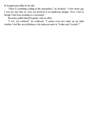he lounged gracefully by his side.

"There is something exalting in this atmosphere," he declared. "A few hours ago I was not sure that we were not involved in an adulterous intrigue. Now I feel as though I had been assisting at a sacrament."

Besserley pulled himself together with an effort.

"I, too, am confused," he confessed. "I cannot even now make up my mind whether I feel like an archbishop or the indecent uncle in 'Troilus and Cressida'!"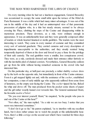III

## THE MAN WHO HARNESSED THE LAWS OF CHANCE

On every morning when he had not a luncheon engagement, General Besserley was accustomed to occupy the same small table upon the terrace of the Hôtel de Paris Restaurant. It was a table which had many minor advantages. It was out of the sun in the middle of the day and it had an uninterrupted view of that panoramic procession of pilgrims who, in a thin but steady stream, seemed to be always crossing the Place, climbing the steps of the Casino and disappearing within its mysterious precincts. These devotees, as a rule, were ordinary enough in appearance. It was an unfashionable hour and they were generally composed either of tourists or whole-hearted fanatical or sterile gamblers. The tourists were the most interesting to watch. They came in every manner of costume and they committed every sort of sartorial gaucherie. They carried cameras and every description of impedimenta unacceptable to the authorities, and they stoutly resisted being temporarily deprived of them at the door and forced to pay a franc for the privilege of their safe custody. The real gamblers were a smaller, less conspicuous crowd. They were, as a rule, carelessly dressed and made their entrance either furtively or with the inevitable plod of chained convicts. Nevertheless, General Besserley seldom got up from his table without having remarked someone in the crowd who had interested him.

On this particular day, at half-past one precisely, a rather shabby *voiture* drew up by the kerb on the opposite side, but immediately in front of the Casino entrance. From it a girl stepped lightly out and, with the assistance of the *cocher*, established her companion, a man of early middle age who apparently suffered from some form of lameness, on the empty seat facing the Casino. The *cocher* tipped his hat, flicked his whip and drove off. The man produced from his pocket some sheets of paper and the girl rather wearily leaned over towards him. The General summoned Henri, his favourite *maître d'hôtel*.

"Do you ever interest yourself, Henri," he enquired, "in the people who pass in and out of the Casino at this hour?"

"Not often, sir," the man replied. "As a rule we are too busy. I notice that you seem very interested sometimes."

"I don't let it go so far," his patron explained, "as to interfere with my excellent lunch, but it does rather amuse me to watch the people at this unfashionable hour. Now, there's a little *cortège* on the second seat which I have watched for three days following."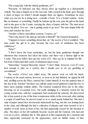"The young lady with the elderly gentleman, sir?"

"Precisely. At half-past one they always drive up together in a disreputable vehicle. The man is helped on to the seat and, with a pencil in his hand, goes through a sheet of paper on which I should imagine there are figures. Sometimes he does what you can see he is doing now—consults a book. It is a bound volume—looks like an almanac or something. Finally he buttons up his coat, pats the girl on the hand and in she goes to the Casino, carrying the sheet of paper with her. The man never leaves his place. You see—she is getting ready to go now? The man simply folds his arms and watches the door"

"Another of those marvellous systems, I expect, sir."

"Then why doesn't the man go and play it himself?" the General demanded.

"I happen to know something about that, sir," the *maître d'hôtel* confided. "The man sends the girl in to play because his own card of admission has been withdrawn"

"Why?"

"I don't know the exact particulars, sir, but the lame gentleman thought one afternoon that someone had taken his stakes and there was a furious fight in the Casino. This poor fellow here got the worst of it—they say he is crippled for life but both of them had their cards of admission taken away."

"Interesting," General Besserley mused. "I don't think, however, even if I were fool enough to play on a system, that I should care to do my gambling at secondhand."

The *maître d'hôtel* was called away. His patron went on with his lunch. Contrary to his usual custom, however, as soon as he had finished, he signed his bill and, strolling across the Place, entered the Casino himself. It was the quietest time of the day in the "kitchen" but there was still the usual crowd gathered round the two or three more popular roulette tables. The General wandered from one to the other, throwing on an occasional *louis*, but really indulging in a leisurely search for the young woman who, with her companion, had awakened his curiosity. He discovered her at last seated at one of the least conspicuous tables in the room and, after making a couple of small bets, he moved round so as to stand nearly behind her. She had a strip of paper turned face downwards underneath her bag, but she was leaning back in her chair, and although she had a collection of plaques and what seemed to be a number of *mille* notes in front of her, she had apparently ceased for the moment to play. The place on her left suddenly became vacant and the General, who had just won an *en plein*, subsided into it. She glanced at him suspiciously for a moment and then, apparently reassured by his appearance, took no further notice of him.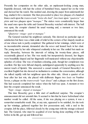Presently her companion on the other side, an unpleasant-looking young man, foppishly dressed, with hair the colour of burnished brass, tapped her on the wrist and showed her his watch. She nodded and, drawing the paper from underneath her bag, studied it for a moment. She then proceeded to place two plaques of a hundred francs each upon the *transversale* "*treize dix-huit*", two *louis* upon *"quatorze" en plein* and two plaques upon "*manque*." The stakes were considerably larger than the usual ones upon the table and General Besserley watched with interest. The ball was spun, the croupier chanted his usual warning and, a moment or two later, announced the result.

## "*Quatorze—rouge—pair et manque.*"

The General watched his neighbour curiously. She showed no particular sign of satisfaction but there was a faint smile of relief at the corners of her shapely mouth as of one whose task is partly completed. She gathered in her winnings, which were of no inconsiderable amount, demanded also the *mises* and leaned back in her chair. The young man by her side whispered exultantly in her ear. She smiled but made no reply. Besserley, between the intervals of risking his twenty-franc pieces, still occasionally glanced at her. She was neatly but inexpensively dressed, her fingers were beautifully shaped and her fingernails well manicured without any objectionable splashes of colour. She was of medium colouring, pale, though her complexion was excellent. Her lips were full and shapely, undisfigured apparently by anything save the merest touch of lipstick. She answered a casual remark of General Besserley's in excellent English but she showed no inclination to continue the conversation, although she talked rapidly with her neighbour upon the other side. About a quarter of an hour after her last win, she placed with deliberate fingers two *louis* on Number Seven, a plaque on the *transversale* "*sept douze*" and a plaque on the first dozen. She had scarcely completed her stakes when the ball was spun. A moment or two later the croupier announced the result.

## "*Sept—rouge—impair et manque.*"

This time Besserley gave a little start of unaffected surprise. The croupier's announcement did not astonish him. It seemed to him that he knew beforehand what number would be called. All the same, if she was playing on a system, it was a somewhat remarkable result. She, at any rate, appeared to be satisfied, for she took up her winnings, gathered together her few possessions and, with a nod to the croupier, left the place, followed closely by the young man with the strange-coloured hair. The General, who must be acquitted of ever having done anything of the sort before in his life, got up and followed her.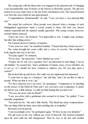The young man with the flaxen hair was engaged in the pleasant task of changing a not inconsiderable sum of money at the bureau as Besserley passed. The girl was seated in an easy-chair close to the bar in the refreshment room. The General leaned over from the stool which he had appropriated.

"Congratulations, Mademoiselle," he said. "I saw you have a very pleasant little win"

She raised her eyebrows. Most people were pleased when a stranger of such distinguished appearance made a casual remark to them. His tone was always entirely respectful and his manners usually agreeable. This young woman, however, seemed almost annoyed.

"I have not won," she declared. "It is impossible to win. A single coup, perhaps, but after that nothing arrives."

The General showed evidence of surprise.

"I saw your two wins," he remarked amiably. "I hoped that they meant success."

The waiter brought her some coffee and a *crême de menthe*. She swallowed both eagerly and rose to her feet.

"You play again?" he ventured.

"Not to-day," she answered. "I have finished my cycle."

"Forgive me if I ask you a question, but I am interested in such things. I am an old habitué," he assured her, "and a gentleman of mature years, if you will allow me to say so, or I should not have ventured to address you. Do you play upon a system?"

She looked him up and down. Her smile was not unpleasant but unamused.

"I come here to play as a business," she told him, "and I do not like to talk to people. When my time is over, I go."

"If I have annoyed you I am sorry," he apologised. "I happened to be lunching on the terrace of the Hôtel de Paris and I saw you leave your companion. It struck me that he was a little anxious. I could not help hoping that you had won."

"You saw me arrive with my friend?"

"I saw you arrive with a gentleman who seemed to be lame," he replied. "I was naturally sympathetic."

"You need not be," she said a little shortly. "My friend has many compensations. The one thing which he hates more than anything else is sympathy."

Besserley bowed gravely.

"I am exceedingly sorry," he apologised again, "if I have in any way intruded."

The girl went on her way without any word of farewell. The General remained upon his stool until she had disappeared. Then he rose to his feet and strolled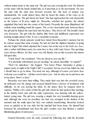without undue haste to the main exit. The girl was just crossing the road. He loitered on the steps with his hands behind him, as if uncertain as to his movements. He saw the man with the stick lean forward towards her. His look of anxiety was unmistakable. He could almost fancy that he heard the shake of his voice as he asked a question. The girl shook her head. She had approached the seat dejectedly as the bearer of ill news might do. Besserley watched her gesture, the almost anguished flop back into the corner of the bench. Presently the same dilapidated old vehicle came trundling round the square. The *cocher* descended and, between them, the girl and he helped the man back into his place. They drove off. The invalid's head was downcast. The girl with the shabby little béret and indifferent expression was looking straight ahead of her. It was a mournful cavalcade. . . .

Perhaps the whole episode would have faded from Besserley's memory but for its curious sequel that same evening. He had not had the slightest intention of going into the Night Club which adjoined the Casino, but on his way to the *Salle des Jeux*, after a rather dull dinner party, he came face to face with Lady Grace. Her greetings were always effusive, for they were very old friends, but on this occasion she almost fell upon him.

"Uncle Sam!" she exclaimed. "You are about to save my life."

"Is it alcoholic refreshment you are needing," he asked cheerfully, "or aspirin?"

"Don't be ridiculous," she begged. "You know Prince Alexander is giving a supper party to-night in the Night Club? I accepted, but my escort has failed me and I should hate to go in alone. You need not stay, although of course you know how welcome you would be—all that crowd adore you—but do take me in and leave me in my place, there's a dear."

Besserley was more than willing. They made their way into the crowded room, he delivered over his charge and excused himself from a shower of invitations with difficulty. As he was leaving the table, by the dance floor he stopped short in surprise. Within a few yards of him the girl with whom he had spoken that morning, in the shabby béret and with the sulky expression, was dancing with the yellowhaired young man. The girl was wearing a simple but very beautiful dancing gown and, although she wore no jewellery, her hair was arranged in the fashion of the moment and the smile upon her face was entirely transforming. Besserley looked away as quickly as he was able but the mischief had been done. He himself had betrayed his astonishment and from the girl's sombre eyes had flashed a sudden illuminating gleam of annoyance.

General Besserley took his early cocktail the following day with his favourite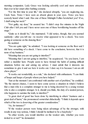morning companion. Lady Grace was looking adorably cool and more attractive than ever in her smart after-bathing costume.

"For the first time in your life," she declared abruptly, "you are neglecting me, Uncle Sam. Twice I have seen an absent gleam in your eyes. Twice you have scarcely heard what I said. Has one of these Midnight Follies bewitched you? If so, I shall wring her neck!"

"Not guilty, my dear," he assured her. "I didn't stop five minutes in the Night Club after I left you and I have never seen one of these bewildering beauties off the stage."

"Quite as it should be," she murmured. "I did notice, though, that you seemed suddenly—after you left me—to receive what appeared to be a shock. You were gazing at someone on the dancing floor."

He nodded.

"You are quite right," he admitted. "I was looking at someone on the floor and I did have something of a shock. I have come to the conclusion, however, that it is none of my business."

"Meaning that you are not going to interfere?"

"Meaning that I am not going to interfere," he acquiesced. "As you know, I am rather a meddler here. People seem to have formed the habit of putting difficult situations before me and asking my advice. I must admit that it interests me sometimes to give it and see how it works out. I dare say it is because I am an old chess player."

"It works out wonderfully, as a rule," she declared with enthusiasm. "I can think of heaps and heaps of people whom you have helped."

"Just at the moment I am confronted with another sort of problem," he confided. "By the merest chance, I seem to have come across a situation in which I believe that a man who is a complete stranger to me is being deceived by a young woman who is also a complete stranger. Is it, should you think, the duty of a neutral person, who happens to surmise the truth, to interfere?"

"A great deal of good has been done by interfering in others' business and a great deal of harm," she pronounced somewhat didactically. "I think it depends upon which of the two is deserving of the greater consideration."

"As, for instance?"

"If the weaker person were being taken advantage of by the stronger, with results in any way serious, I think I should be inclined to be a busybody."

"In other words, you would interfere on the weaker side, whether you were invited to or not?" he demanded.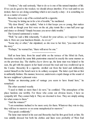"I believe," she said seriously, "that to do so is one of the natural impulses of life. If we can do good to the weaker, we should always interfere. If we wait until we are invited, then we are doing something which is not exactly a duty—it is something we do as a matter of course."

Besserley took a sip of his cocktail and lit a cigarette.

"You may be letting me in for a lot of trouble," he meditated.

"My dear friend," she replied, "what is it that keeps you so young, that makes you walk as though your feet were on the air, play tennis like a man half your age and dance so divinely? Simply because you never shirk trouble."

The General summoned a waiter.

"Well," he said a little reluctantly, "I asked for your advice, so I suppose I must take it. Here are your luncheon friends. *Au revoir.*"

"Some day or other," she stipulated, as she rose to her feet, "you must tell me the story."

"Perhaps," he warned her, "there will never be one."

Half an hour later, from his usual table on the terrace of the Hôtel de Paris, Besserley watched the same little pantomime enacted in exactly the same manner as on the previous day. The shabby *fiacre* drove up, the lame man was helped to his seat, the girl with the papers in her hand crossed the road and was swallowed up in the Casino. Besserley lit a cigarette, strolled out from the hotel and deliberately seated himself on the bench next to its solitary occupant. The latter eyed him at first in unfriendly fashion. His manner, however, underwent a rapid change at the sound of his new neighbour's pleasant voice.

"Rather an interesting point of vantage you seem to have found here," he remarked.

The other assented wearily.

"I used to think so more than I do now," he confided. "The atmosphere of the place hardens one terribly. For those who come out obvious losers, I have no sympathy left. They cannot help it. They are doomed to lose. They are simply asking for what comes to them."

"And the winners?"

"I am sometimes inclined to be more sorry for them. Whatever they win to-day, they will lose to-morrow or on some metaphorical to-morrow."

"You speak confidently."

The lame man turned in his seat and Besserley had his first good look at him. He was untidily dressed but both his clothes and linen were probably of West End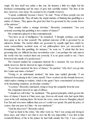origin. His face itself was rather a fine one, his features a little too slight, but his forehead commanding and his mass of grey hair carefully tended. The lines in his face, however, were deep. He seemed to be a bundle of nerves.

"I speak confidently because I know," he said. "None of these people can win except spasmodically. They all make the stupid mistake of thinking that gambling is a matter of chance. They ignore the great fact that it is governed by the cosmic forces of the universe."

"That sounds rather a strange doctrine," Besserley commented. "Are you seriously asserting that gambling is not a matter of chance?"

His companion glanced at him contemptuously.

"You have an air of intelligence," he remarked. "I thought, perhaps, you might have gone as far as that yourself. The spiritual outcome of life is governed by an unknown divinity. The mortal affairs are governed by equally rigid laws which by some extraordinary accident none of our philosophers have yet succeeded in formulating. Take this gambling, for instance," he went on. "I admit that the laws governing that are difficult but they nevertheless exist. I am perhaps the only man in the world who has worked them out correctly. It is no great credit to me. I have borrowed the mantle of a predecessor."

The General studied his companion furtively for a moment. He was forced to admit, however, that he showed no signs of madness.

"If you have mastered the laws of chance," he queried, "why don't you go into the Casino and make a fortune?"

"Owing to an unfortunate incident," the lame man replied gloomily, "I am debarred from playing in the Casino myself. I have worked out the formula however, which makes winning at roulette, which is the game I have concentrated on because of its fascinating variations, an absolute certainty."

"A system," Besserley murmured, trying to keep the sympathy from his tone.

His companion showed no sign of offence.

"I should not call it that," he meditated. "The general principles which govern the laws of chance I learnt in China years ago, from an old monk who had spent thirty years in his cell, studying them. He broke his vows, came down to Shanghai, played Fan Tan and won more millions than you or I could ever spend. He paid the price, of course, that one pays in China—he was murdered."

"And his discovery?" Besserley asked.

"I had no hand in the crime," the other went on, "but I was young and strong in those days, and when I saw that to save his life was impossible, I was first in that wonderful library of his in the palace he had built outside the City. I was a junior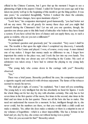official in the Chinese Customs, but I gave that up the moment I began to see a glimmering of light in the papers I found. I sailed for Europe ten years ago and it has taken me pretty well up to the beginning of this month to get the thing perfect. It was nine years," he concluded thoughtfully, "before I realised the share the calendar, especially the lunar changes, have upon inanimate objects."

"Look here," his companion interrupted good-humouredly, "you had better not tell me any more. We are all greedy for money these days and you might find yourself sharing the Chinaman's fate! Let me ask you one question, though, the question one always puts to this little band of imbeciles who believe they have found a system. If you have solved the laws of chance and can apply them, say, to such a game as roulette, why are you not a millionaire?"

The man sighed.

"A pertinent question and graciously put," he conceded. "Very soon I shall be one. The trouble is that upon the night when I completed my discovery, I naturally went down to the Casino and played. I won, of course, every coup. A man claimed one of my stakes. I forgot that money made no difference to me, I forgot how important the entrée to the place was, and I took the law into my own hands. You know how strict they are about any sort of brawling in the Casino. My card of admission was taken away. I have had to entrust the playing to my young lady friend."

"The young lady who comes down in the carriage with you?" Besserley observed.

"Yes."

There was a brief pause. Besserley proffered his case, his companion accepted a cigarette eagerly and smoked it with obvious enjoyment. The fumes of the tobacco seemed to steady his nerves.

"We shall get it right, of course," he explained, "but I must tell you something. The young lady is very intelligent but she has absolutely no head for figures. I work the whole thing out for her day by day with absolute certainty. She only has to bet seven times in the first quarter of the moon, five times in the second, nine times in the third and ten times in the last quarter. Those are all the bets she has to make. She need not understand the reason for a moment. In fact, intelligent though she is, she never could, but the numbers are there, so that you would think a child could not make a mistake. Yet, either she does make a mistake or there is a misprint in one of my volumes of logarithms—which is a sheer impossibility. She has a fortune in her hand and yet, day by day, she comes out without having won a penny."

"How do you account for that?" Besserley asked.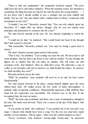"There is only one explanation," his companion declared eagerly. "The poor child loses her nerve and makes mistakes. When the moment comes, her attention is wandering, the thing becomes too big for her and she picks the wrong number. . . . I do not know why I should confide in you, a stranger, but you look reliable and kindly. You are not," the man added with a sudden burst of alarm, "connected with newspapers in any way?"

"Certainly I am not," Besserley assured him. "You can rely entirely upon my discretion. If I might offer my advice, though—why do you not entrust your principles and instructions to someone else for a day?"

The man moved uneasily in his seat. He was already beginning to watch the door.

"I could not do that," he muttered. "She would break her heart if she thought that I had ceased to trust her."

"But meanwhile," Besserley pointed out, "you must be losing a great deal of money."

The man's features seemed again racked with anxiety.

"That is true," he admitted. "I am coming very near the end. We have had to sell some furniture. She has had to go home to live with her mother. To-day, though, the figures are so distinct that she can make no mistake. She will come out with seventeen *mille*, four hundred. Then we shall drive away. We shall take a cup of coffee at our favourite café and to-morrow we shall double the stakes. To-morrow we shall win thirty-five *mille!*"

Besserley looked across the road.

"Well," he remarked, "your anxieties will soon be at an end, for here comes Mademoiselle."

The man leaned forward in his place, raising himself slightly upon his stout rubber-shod stick. He smiled across the few yards of dusty thoroughfare—a pathetic smile of supreme confidence. Mademoiselle appeared a little shabbier than usual but her expression was inscrutable. The General rose to his feet. If she recognised him, she took no notice.

"Well?" the lame man exclaimed, and there was a note of anticipatory triumph in his tone. His hand went forward. There was a caress at the tips of his fingers. She ignored it.

"It was partly my fault," she confessed. "I was pushed out of my seat and I was angry. I missed what should have been a coup. For the rest you must have made another of your mistakes. Tell me again—what were the symbol numbers to-day?"

"Seven, seventeen—four, fourteen—twenty-eight, twenty-nine," he answered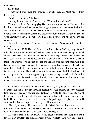breathlessly.

She nodded.

"It was not I who made the mistake, then," she declared. "Not one of them turned up."

"You lost—everything?" he faltered.

"Seventy francs I have left," she told him. "Who is this gentleman?"

The man was incapable of replying. His whole frame was shaken. He put out his hand and the girl helped him to his feet. A glaze seemed to have come before his eyes. He appeared to be partially blind and yet to be seeing terrible things. The old *voiture* lumbered round the corner and drew up in front of them. The girl indulged in what might have been a sigh but seemed more like a yawn. She helped him into the carriage.

"To-night," she enjoined, "you must be more careful. We cannot afford another mistake."

They drove off. Neither of them seemed to think of offering any farewell salutation to the other occupant of the bench. Besserley threw away his cigarette and entered the Casino. He made his way directly to the one particular table at which he had discovered the girl and tapped upon the shoulder a young man who was seated there. The latter rose to his feet at once and handed over the card upon which he had apparently been marking the numbers. Besserley compared it with the crumpled-up ball of paper which the lame man had dropped from his nerveless fingers on to the seat. The numbers which the young woman had declared had not turned up were there in their appointed places with a ring around each. Besserley added up quickly the result of the indicated stakes. The amount which should have been won worked out at seventeen *mille* four hundred.

At his accustomed hour on the following morning, the young man with the brasscoloured hair and somewhat arrogant bearing was just finishing his very excellent lunch at one of the most popular small tables at the Café de Paris. An empty pint of Chambertin stood by his side. His *fine* and coffee had just been placed upon the table. He toyed for a moment with a cigarette, tapped it upon his platinum and gold case and lit it from a briquet tendered by an officious waiter.

"The bill, Charles," his patron directed. "Mind that you leave out the *hors d'œuvres*. They were all beastly. There was nothing I could touch. I shall report you to the management if you bring me such a collection again."

The waiter hurried meekly away. At this precise moment the young man felt a tap upon his shoulder. He turned abruptly around. A slight, dark, very unobtrusive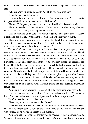looking stranger, neatly dressed and wearing horn-rimmed spectacles stood by his side.

"Who are you?" he asked insolently. "What do you want with me?"

The reply was smooth but cold.

"I am an official of the Casino, Monsieur. The Commissaire of Police requests that you will visit him for a minute or two in his bureau."

"The who?" the young man who had just completed his luncheon demanded.

"The Commissaire of Police, Monsieur. He has, as you may be aware, a bureau in the Casino. I must ask you to step across with me."

"I shall do nothing of the sort. You officials ought to know better than to disturb a gentleman at his lunch. What can the Commissaire of Police want with me?"

"That, Monsieur, is not my business. On the other hand, I regret having to inform you that you must accompany me at once. The matter of lunch is not of importance as it seems to me that you have finished your meal."

The intruder's tone had changed and for the first time a grim apprehension seemed to seize the young man. He muttered something incoherent, paid his bill and strode out of the place. His unchosen companion walked close to his side. There was a gendarme, too, who seemed to be never more than a foot or so away. Nevertheless, he had recovered much of his swagger before he crossed the threshold of the Casino. There was no way in which he had transgressed the law, therefore there was nothing for which he could be touched. He would stand no nonsense. Nevertheless, the forbidding appearance of the small bureau into which he was ushered, the forbidding look of the man who had glanced up from his desk making no motion to rise to his feet—and the sight of General Besserley seated in the one comfortable chair did little to reassure him. His stock of courage was really very small and he felt it ebbing away. The man behind the desk began to interrogate him at once.

"Your name is Louis Massène—at least, that is the name upon your passport?"

"Are you endeavouring to insult me?" was the indignant retort. "My name is Louis Massène. What have I done that you march me here as a prisoner?"

The Commissaire made no direct answer.

"Show me your *carte d'entrée* to the Casino."

The young man produced it. The Commissaire tore it in half and threw the pieces into the wastepaper basket. Perhaps the former knew by this time that real trouble was coming, for he wasted no breath in idle questions.

"You have been living for the last few weeks, Massène," the Commissaire said, "on sums of money varying from fifteen to thirty *mille* a day supplied to you by a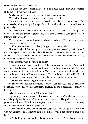young woman, Henriette Dumesnil."

"It is a lie!" the accused man blustered. "I have been living on my own winnings at the tables, if you want to know."

"You have a bankbook in your pocket, I see. Show it to me."

"My bankbook is no affair of yours," was the angry reply.

Nevertheless the bankbook was produced during the next few seconds. The Commissaire, after glancing it through, placed it upon his table and covered it with a paper weight.

"Two hundred and eighty thousand francs, I see, Monsieur," he said, "paid in day by day with the utmost regularity. You have been a fortunate young man to have met with such a friend."

"My money is my private business," Massène declared. "Whether it was given me or not is no concern of yours."

The Commissaire stroked his closely cropped black moustache.

"You have cajoled this money out of a young woman, knowing perfectly well that it belonged to her companion," he said bluntly. "Day by day the money she won at the Casino was handed over to you. However, we shall not argue about that, because you are going to restore it."

"Not one franc," was the vicious rejoinder.

"Because you are going to restore it," the Commissaire repeated. "You must remember that the police in France and Monaco have long memories and what they do not remember their records tell them. Your present name is well enough. But, there is the name of Jean Brissot, for instance. There is the name of Henri le Clerc, I think. I forget for the moment in which prison he served but the record is there."

The young man was shaking from head to foot.

"You have dyed your hair, I suppose, as one of your disguises," the Commissaire continued, "but you have other identification marks, if I find it necessary to send you to prison."

"What do you want me to do?" Massène faltered.

"Sign a cheque for the whole of this balance except ten *mille* and clear out from the Principality within an hour," was the stern command. "The police car will take you over the frontier. What happens to you afterwards is no concern of ours, so long as you never set foot in the Principality again."

"I will divide the money," the young man suggested. "The girl gave it to me. She was my mistress. I had a right to take it from her. When I had money I gave it to her"

"Zut!" the Commissaire scoffed, dipping a pen in the ink. "The cheque is to be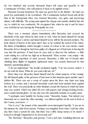for two hundred and seventy thousand francs left open and payable to the Commissaire of Police, who will endorse it back to its rightful owner."

Massène became hysterical. He must say good-bye to his friends—he must say good-bye particularly to his sweetheart. The Commissaire looked bored and all the time in the background there was General Besserley, very grim, and preserving silence with difficulty. The young man signed the cheque and outside climbed into the car, to which he was conducted. He recognised fate when he met it and he knew very well that he was leaving the Principality for ever.

There was a moment, almost immediately after Besserley had crossed the threshold of the man whom he had come to visit, when he hated himself for having taken Lady Grace's advice and hated himself worse still for his present position. The look almost of horror in the lame man's face as he realised the arrival of his visitor, the blush of humiliation which brought a streak of colour to his wan cheeks, made Besserley feel as though he had been guilty of a flagrant act of bad taste in forcing his way into his presence. It had been no easy task to discover the address—a little court ending in a cul-de-sac high up in Beausoleil. Three rooms—one empty—the salon a pitiful exposition of stark poverty. Besserley, a little out of breath after climbing three flights of singularly unpleasant stairs, was acutely distressed by that shamed, questioning glance.

"I do not understand," the invalid exclaimed angrily. "I do not receive visitors. I do not wish for them. What do you want with me, sir?"

More than ever Besserley hated himself and the whole purpose of his coming. He felt himself guilty of the grossest of bad taste in this intrusion upon another man's hidden life. There was not a scrap of carpet upon the floor, one chair was lying broken in a corner, and a decrepit horsehair couch had been pushed back against the wall. There was practically no other furniture except the bureau at which the lame man was seated, which was piled all over with papers and strange-looking books, and a small celestial globe. At one end were the miserable remains of a paltry meal.

"I apologise most humbly for having come," Besserley began, "but indeed you interested me so much the other morning—we talked together on the seat in front of the Casino, you know—"

"Get it over," the tenant of the miserable room interrupted harshly. "I am not in the humour for visits from anyone. Perhaps you imagined from what I said the other day that I had a system for sale, that there was a little cheap money to be made! I looked as though I happened to be down and out!"

"Mr. Hawkins," Besserley said gravely, "I am a rich man. Gambling interests me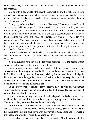very slightly. My visit to you is a personal one. You will probably call it an impertinence."

"Get on with it, at any rate," the other begged, with an effort at patience. "I have a great and wearisome work before me to discover some stupid blunder I have made in linking together the inevitable. Every moment I spend in idle talk is a valuable moment lost."

"I am going to be absolutely brutal in my directness," Besserley assured him. "I am going to wield the surgeon's knife ruthlessly. You sit there with thirty or forty books before you, with a calendar, some charts which I don't understand, a globe which I do not know how to use. You have evolved a system therefrom which you think governs the laws and rules of chance. My friend, let me offer you encouragement. You may have done it. You think you have failed. You have not failed. You can spare yourself all the trouble you are having now. You have won, on the figures that you yourself have produced within the last fortnight, something like three hundred thousand francs!"

"You lie!" the lame man cried harshly. "I won nothing. Not enough to keep body and soul together. My fault," he added bitterly. "Somewhere my calculations have failed me"

"Your calculations have not failed," his visitor persisted. "It is the person whom you entrusted to deal with them who has failed you."

Besserley was an impressionable man and he felt the dramatic horror of the silence which followed upon his words. He knew, as though by instinct, that the man before him, crouching over the desk with twitching features and the terrible light in his eyes, had been through the torments of hell with the same suspicion. He had struck his blow. It had probably broken the man's heart. There was nothing to be done now but to complete his horrible task.

"I picked up your sheet of figures for yesterday's play," he went on. "Upon them you should have won seventeen thousand four hundred francs. The numbers turned up exactly as you had them down."

The man who was leaning over the table suddenly produced his heavy stick from a hidden place and struck furiously at Besserley, who sprang to one side just in time. The second blow, more feebly dealt, he avoided easily.

"You are a liar!" Hawkins shouted. "It was Henriette herself who placed the stakes. Henriette—who has cared for me, looked after me, given her days and all her thoughts to keep me alive till we won our way to fortune. Curse you! If I were a man again, you would not stand there, telling me lies."

"I am telling you no lies," was the grave rejoinder. "Mademoiselle left this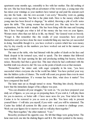apartment some months ago, ostensibly to live with her mother. She did nothing of the sort. She has been living with an adventurer of the worst type, a young man who has taken your winnings as your numbers have turned up and paid the amount each day into the bank—into his own account. I am sorry," Besserley went on, gaining courage every moment, "but that is the plain truth. Here is the money which that young man has been forced to disgorge," he added, throwing a pile of *mille* notes upon the table. "The young woman has deceived you. She may have her own explanations, but the truth is simple. She has been living with this man and keeping him. I have brought you what is left of the money she has won on your figures. Women more often than not fail us in life, my friend," the General went on bravely. "Forget it. But remember this—the results of your researches have proved themselves and you have done the most wonderful thing any man has yet succeeded in doing. Incredible though it is, you have evolved a system which has won money day by day exactly on the numbers you have worked out and in the manner you have indicated."

The man at the table, who had listened with the pallor of death on his face and blank despair in his tortured eyes, tried to speak. The few minutes that followed were terrible. He kept opening his lips and producing nothing but hoarse, broken noises. Besserley had then a great fear. This man whom he had confronted with the horrible truth was about to die! He was on the point of death even at that moment.

"Remember," his visitor said, with eager sympathy in his tone, "you have succeeded where everyone else in the world has failed. You have probed your way into the hidden cycles of chance. The world will count you greater than even its most wonderful mathematicians. If a woman has been false, what does it matter? You have conquered fate itself."

The lame man sat as though turned to stone. Watching him closely, Besserley knew that the immediate danger of his collapse was past.

"You can abandon all your struggles," he went on. "As you have prepared your daily set of figures, so you can go on preparing them. If you wish it, I will play them for you to-morrow, or better still—I have more news for you. Your ticket for the Casino is to be restored to you as soon as you like. You have only to present yourself there—I will take you myself, if you wish—and you will be reinstated. The Casino has defied all systems for fifty years and it is content to challenge yours. Work out your figures for to-morrow and we will play them together."

"Play them together," the other muttered. "I see."

Besserley produced his cigarette case. He felt that things were going better. The lame man took one into his shaking fingers and lit it. His visitor pointed to the money.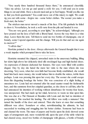"Very nearly three hundred thousand francs there," he announced cheerfully. "Take my advice. Let me go and spend a *mille* for you. I will send you in some things to eat and drink. Have a decent meal and go to bed happy. Would you like me to find you fresh apartments? You could move out of this misery to-night. We could rig you out with some—forgive me—some better clothes. The sooner you make a fresh start, the better."

The stricken man never moved a muscle of his face. If he felt gratitude he failed to show it. Nevertheless, he took a *mille* note from the pile and handed it over.

"You are very good, according to your lights," he acknowledged, "although you have poured out the lava of hell with a liberal hand. Across the way there is a wine shop. Leave them the note. Tell them to send me two bottles of champagne, one of brandy, some Caporal cigarettes and the change. Will you do that and see me again to-morrow?"

"I will do that"

Hawkins pointed to the door. Always afterwards the General thought that it was a weak impulse which prompted him to take his leave.

Henriette mounted the chipped, unwashed stairs in the unsavoury building, lifting her skirts high above her delicately shod silk-stockinged legs and high-heeled shoes. An expression of distaste darkened her features. Her eyes were filled with sombre disgust. Day by day she hated the more her visits to the man whom she was deceiving. Very soon, when her own faith had become firmly established, she would hand him back more money, she would induce him to double the stakes, treble them perhaps. Louis was pressing this upon her every day. The sooner she could escape from this disgusting bondage the better. She was conscious of a slight feeling of uneasiness too. Louis had not returned after his usual saunter round the fashionable bars, and this summons from her crippled guardian, as she chose to call him, after he had announced his intention of working without disturbance for twenty-four hours, was unexpected. She had made up her mind, however, to waste no time upon him. She was due at a Thé Dansant at Beaulieu with Louis and she had no intention of postponing it. She reached the landing. The old fellow was really a nuisance! She turned the handle of the door and entered. Then she knew at once that something different was afoot. Somehow or other, notwithstanding his ailments, he had succeeded in washing and struggling into his better clothes. Someone had been in and cleaned the room. The mass of papers and books upon his desk showed some signs of arrangement and, more wonderful still, upon the part of the table which he had cleared away, stood two bottles of champagne with glasses, a bottle of brandy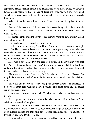and a bowl of flowers! He rose to his feet and smiled at her. It is true that he was supporting himself upon his stick but he nevertheless stood there, a wild, yet gracious figure, a smile parting his lips—a smile of desire and invitation, yet a smile which had something terrible underneath it. She felt herself shivering, although she scarcely knew why.

"What is it that has arrived, *cher maître*?" she demanded, trying hard to seem amiable.

"Success!" he answered. "I have found the mistake in my calculations. Already the cornerstone of the Casino is rocking. We can pull down the pillars when we wish, you and I."

She seated herself upon the corner of the decrepit horsehair couch which he had dragged up to the table.

"But the champagne?" she asked wonderingly.

"It is to celebrate our victory," he told her. "Here am I—a broken-down cripple —Nicolas Hawkins—a scholar once, perhaps, but a poor thing now, who has succeeded where the philosophers and astronomers and men of science of every nation have failed. I have harnessed the laws of chance and driven a bit into their teeth. To-morrow we will win a million francs!"

There was a pop as he drew the cork of a bottle. In the girl's heart was cold fear. Was he deceiving himself, this man? She knew well enough that there had been no flaw to be set right. Perhaps her fingers trembled as she took the wine. She raised the glass to her lips, however, at his bidding.

"The roses are beautiful," she said, "and the wine is excellent, dear Nicolas. But why is there such a smell of petrol in the room? You should open the windows oftener"

"They cut off the current of my one poor electric switch," he confided. "I borrowed a lamp from Madame below. Perhaps I spilt some of the oil. My fingers are sometimes unsteady."

He sank on to the couch by her side. With his long arm he reached his glass from the table.

"To the great man of science whom the whole world will soon honour!" she cried, as she too raised her glass.

"I will drink with you, but I will change the manner of the toast," he replied. "To the man whom the divinity which rules over this world has given power to probe one of its greatest secrets and then sent him—a poor blindfolded fool—to stumble on through life in agony. Drink, Henriette!"

She emptied her glass. He did the same. He refilled them and they both drank.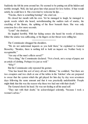Suddenly she felt his arms around her. He seemed to be putting out all his hidden and terrible strength. Well, she had given him what passed for love before. If that would satisfy, he could have it. She even tried to welcome his lips. . . .

"Nicolas, there is something burning!" she cried out.

He closed her mouth with his own. Yet he managed to laugh, he managed to speak words which she heard, notwithstanding the sudden rush of smoke, the crackling of the flames, the splitting of the floor beneath them. She was only conscious for a few more seconds.

"Louis!" she shrieked.

He laughed horribly. With her fading senses she heard his words of derision. Either the smoke was suffocating, or his fingers on her throat were stifling her.

The Commissaire shrugged his shoulders.

"We do not understand inquests as you hold them," he explained to General Besserley. "Besides, there is nothing left to hold an inquest on. Neither body is recognisable."

"Are any of the man's effects saved?"

"Not a thing," the Commissaire declared. "Not a book, not a scrap of paper, not an article of clothing. Perhaps it is just as well."

"Why?"

But the Commissaire only repeated his gesture.

"One has heard this sort of story all one's lifetime," he confided, "but there are two croupiers and two chefs at one of the tables in the 'kitchen' who are prepared to swear that the system which the girl played for him day by day won seventeen days following the same amount and that it was practically undefeatable. People might think that this was the reason why these two had met with their death."

The General shook his head. He was not feeling at all his usual self.

"They met with their death," he acknowledged solemnly, "because I took a woman's advice."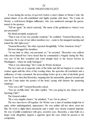It was during the service of *apéritifs* before a men's dinner at Monte Carlo, the annual dinner of an old-established and highly popular club there. The Comte de Wrette, a well-known Belgian millionaire, who was numbered amongst the guests, turned to his sponsor.

"Tell me again," he asked curiously, "the name of the gentleman to whom I was just presented?"

His friend promptly acquiesced.

"That is one of our very popular residents," he confided. "General Besserley, an American. He is one of our oldest members too—came to the inaugural meeting and joined the club right away."

"General Besserley," the other repeated thoughtfully, "of the American Army?"

His host shrugged his shoulders.

"At one time or other, one presumes so," he assented. "Besserley very seldom talks about himself but I have heard that he commanded a brigade during the War, was one of the first wounded and went straight back to the Secret Service in Washington—where he really belonged."

"That is very interesting," the Comte de Wrette declared. . . .

The two men sat at opposite ends of the table and did not happen to come into contact again until the close of the evening when, the speeches all concluded and a sufficiency of wine consumed, the proceedings broke up in a mist of alcoholic good humour. It was then that Besserley, stepping into his automobile, glanced around and saw the Count under the portico of the hotel, eyeing with distaste the spattering raindrops.

"Give you a lift?" General Besserley asked.

"You are awfully kind," the other replied. "Are you going by any chance to the Sporting Club?"

The General smiled

"By a very singular chance," he admitted, "I am. Get in, please."

The two men drove off together. De Wrette was a man of medium height but of quiet, rather undistinguished, appearance. He was neither tall nor short, stout nor thin. He wore a slight black moustache and a small, very closely cropped imperial. He was of pallid complexion with grey, secretive eyes. Besserley, a man built on a larger scale altogether, tapped a cigarette upon the case which he passed to his companion.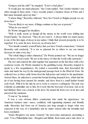"Going to join the club?" he enquired. "It isn't a bad place."

"It would give me much pleasure," the Count replied, "but I doubt whether I am often enough in these parts. I have recently joined a business house in Paris and I find many demands upon my time."

"Curious thing," Besserley reflected, "how few French or Belgian people we see down here."

"You are likely to see more, if things continue as they are at present."

"What do you mean?"

De Wrette shrugged his shoulders.

"Well, it really seems as though all the money in the world were drifting into French hands," he observed. "They do not want it—I always think too much money is one of the first signs of decay in any nation. I think their present prosperity is to be regretted. It is, none the less, however, an obvious fact."

"You should consider yourself lucky that you have French connections," General Besserley said carelessly. "It is not so pleasant for us others to see our money decrease in value every day."

"The whole thing is rather chimerical," De Wrette pointed out. "We are no longer at the mercy of real events. We are at the mercy of what the world calls currencies."

The two men entered the club together but separated on the first floor with a few courteous words. De Wrette mounted to the gambling rooms, Besserley stopped to speak to a few acquaintances. He waited a reasonable time, then descended the stairs and made his way by the underground passage back to the Hôtel de Paris. He collected two or three cable forms from the hall porter and retired to his apartments. Arrived there, he unlocked a somewhat formal-looking despatch box, which had the air of not having been opened for months, and drew from it a small leather-bound code book. With it by his side he set to work to concoct a cablegram. The task was evidently an unfamiliar one to him, for it took him the best part of an hour. Just as he had finished, there was a knock at the door. He turned the form over on its face and answered the summons.

"Come in," he invited.

It was a very obvious fellow countryman who made his appearance. An American business man—suave, confident, with ingratiating manners and friendly smile. Besserley had been out of America just long enough to forget what was expected in the way of a handshake and he rather winced after the formality had been concluded.

"James Brogden's my name, General," the newcomer announced, presenting a card. "I'm a Philadelphia man—Brogden and Biddle. Real estate and a side show of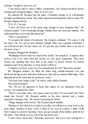banking. I'm glad to meet you, sir."

"I am always glad to meet a fellow countryman," the General declared slowly, opening and closing his fingers. "Step in, won't you."

He ushered Mr. Brogden into his salon. A tentative enquiry as to refreshments brought an enthusiastic assent. The waiter appeared and departed with an order. Mr. Brogden fingered his tie.

"F.I.C.O.," he said.

"I have not been out of the game long enough to have forgotten that," the General replied. "I am wondering, though, whether there has been any mistake. You understand that I am on the full retired list?"

"This is a special job."

"I can guess the nature of it already," the General continued. "Of course, I will do what I can. It is not an easy situation, though. Mine was a genuine retirement. I am well known here for just what I am. If I get into any trouble, there is no one at the back of me."

Brogden shrugged his shoulders.

"Washington doesn't take too much stock in that," he remarked. "I suppose they reckon even if we retire from the service we stay good Americans. They have always run anything they have had in the shape of Secret Service by trained amateurs and I'll say that they've done pretty well by it."

"I suppose you have some sort of communication for me?" Besserley queried.

Mr. Brogden nodded. He lifted his rather long, double-breasted coat and disclosed the hip pocket with three buttons in a line and an ominous little bulge. After fingering about for some time he produced a letter.

"You kept your Angier code?" he asked, with a flash of anxiety.

The General nodded.

"Yes. We are all supposed to keep that, unless we are dismissed from the service," he reminded his visitor.

"There's your letter, then, and I guess when you have it in your hand and I have drunk that Scotch," Mr. Brogden added, as the door opened and a waiter appeared, carrying a tray, "the sooner I get going the better."

"Things shaping well at home?" the General asked amiably.

"Business is foul. Boost it as much as you like, you still have to come back to the same thing—business is foul. I have a client to see over in London. I think I'll fly from Cannes to-morrow morning. I have not got enough of the holiday spirit left for this place. They tell me you are one of the big sports here."

"I don't know about that," Besserley answered, "but if you were staying for a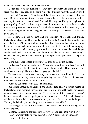few days, I might have made it agreeable for you."

"Better not," was the frank reply. "They have got stiffer and stiffer about that since your day. They keep to the same principle—business men who can be trusted —out-and-out Americans. We're the stuff they trust for any work that's got to be done. But they don't like it mixed up with the social side as they do over here. I've done my job with you, General, and I'm thankful to say that I've got through with it pretty quickly. There's the letter in your hand. I came over on one of these roundthe-world-trip steamers and there isn't a soul who tumbled to it that I was carrying a warrant to bring you back into the game again. A clean job and finished. I'll bid you good-day, sir."

The General held out his hand and Mr. Brogden, of Brogden and Biddle, Philadelphia, clasped it. This time, however, it was the General who provided the muscular force. With an old trick of his college days, he swung his visitor, who was by no means an undersized man, round by the wrist till he called out in agony. Another moment and he was lying on his back on the sofa and the small lumpy article which had a few seconds ago been in his hip pocket was in Besserley's hands. The latter, with his feet planted squarely upon the carpet, stood a couple of yards away.

"Gone out of your senses, Besserley?" the man on the couch gasped.

"Perhaps so," was the steady reply. "Not quite so badly as you think, though. I may be a bit rusty, but I haven't forgotten all the old tricks. Have you seen the wireless this evening? There's a sheet hanging up in the hall."

The man on the couch made no reply. He ventured to raise himself a little. His knuckles showed white, where he was gripping the side of the couch. He was breathing fast. He had the air of a man afraid.

"What do you mean—wireless?" he demanded.

"Mr. James Brogden of Brogden and Biddle, land and real estate agents of Philadelphia, was reported missing from the *Homeric* last night, under mysterious circumstances," the General confided. "You know what that generally means? Murder. You and I, assisted perhaps by the Commissaire of Police, Mr. Brogden, will have to have a little conversation before you make the next move in the game. You may be in it all right, but I imagine you are on the other side."

The stranger in the room shivered as he looked up at the towering figure dominating him.

"General," he said, "I don't see how they ever let you get on the retired list."

"I don't want any flattery," was the curt reply. "What became of Brogden?"

"He was—dealt with."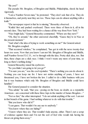"By you?"

The pseudo Mr. Brogden, of Brogden and Biddle, Philadelphia, shook his head vigorously.

"I am a Number Seven man," he protested. "They don't ask that of us. They do it themselves, and pretty neat they are too. Those Japs can do almost anything with a knife."

"The newspaper report is that he is missing," Besserley observed.

"Knifed first and pushed overboard. There were three of them in it, all in the second class. They had been waiting for a chance all the way from New York."

"Nice bright lads," General Besserley commented. "Where are they now?"

"Oh, they're around," the other answered cheerfully. "Guess they're in Nice at the present moment."

"And what's the idea of trying to work something on me?" the General asked.

Mr. Brogden coughed.

"That accursed wireless," he complained, "has got in with the news twenty-four hours too soon. Now that you know I am not Mr. Brogden of Brogden and Biddle, staff Number Seven F.I.C.O., we're through with the idea. Pretty slick idea, too. But then, these chaps are a slick race. I think I won't waste any more of your time, so long as there's nothing doing."

General Besserley raised his eyebrows.

"So you think I am going to let you go?"

"I'm sure you are," was the cool rejoinder. "There's nothing you can do about it. Nothing you can keep me for. I have not stolen anything of yours, I have not threatened you, I have not broken the law. I called to do a little business with you but it was business which only Mr. Brogden of Brogden and Biddle could have handled<sup>"</sup>

The General paused to consider the situation.

"You admit," he said, "that you—posing on the boat, no doubt, as a reputable American—are concerned with these three Japs in the murder of James Brogden—"

"Not so fast," the other interrupted. "I do not admit anything of the sort. I am not in that branch of the game. I had nothing whatever to do with that trouble."

"But you know who did it?"

"I can guess. That wouldn't be any use to anybody."

"You know where they are hiding?"

"I know where they are. That wouldn't help anyone, either. There's not a scrap of evidence against them and I'm not the sort of fool who would risk having his throat cut giving them away."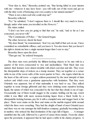"Your idea is, then," Besserley pointed out, "that having failed in your mission with me—whatever it may have been—you will walk out of this room and get on with the dirty work of betraying your own country to her natural enemies?"

"There is not a darn soul who could stop me!"

Besserley reflected.

"No," he admitted, "I don't suppose there is. I should like very much to know, though, under what name you travelled on the *Homeric*."

His visitor smiled.

"I don't see how you are going to find that out," he said, "and so far as I am concerned, you never will."

"The Commissaire of Police—" the General began.

The other, however, shook his head.

"My dear friend," he remonstrated, "don't try any bluff of that sort on me. I have committed no extraditable offence, and you know it. You also know that you haven't the right to detain me here a single moment longer than I care to stay."

Besserley threw open the door.

"Then get out," he ordered brusquely.

The three men were probably the filthiest-looking objects to be met with in a quarter of the town consecrated to vice and uncleanliness. Their black hair was matted, their features were almost invisible with dried coal dust and dirt. They wore the disreputable slops of stokers on a tramp steamer. They sat together at a corner table in one of the worst cafés of the worst quarter in Nice—the region which lies in the heart of the old town—a region seldom penetrated by the most intrepid of slum seekers and which even a gendarme approaches with hesitation. That they were Orientals was apparent, but of what nationality it was hard to say. They talked together in some foreign gibberish and they were drinking some repulsive-looking liquid, the nature of which was concealed by the fact that they drank it out of cups. Occasionally one of them would stagger to the counter, holding out his cup, watch whilst it was filled with more noxious-looking liquor from a black bottle by a disreputable-looking barman, pay for it with a crumpled note and stagger back to his place. There were stains on the floor and stains on the marble-topped table around which the three were crouching. They had the sleight of hand of most Oriental races and there was no one amongst the half-drunken company, gradually becoming fewer in number, who noticed the final destination of the cups full of liquor. . . . A stranger stumbled into the café, followed by a growl of curses from outside. From the clatter upon the pavement, it appeared that he had upset a table in his clumsy progress. A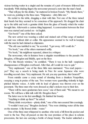vicious-looking waiter in a singlet and the remains of a pair of trousers followed him truculently. With shaking fingers the newcomer pressed a note into the man's hand.

"That will pay for the drinks," he muttered in broken French. "My friends there," he went on, pointing to the three men. "Shipmates—dirty little rats."

He reeled to the table, dragging a chair with him. Not one of the three turned their heads but they seemed to be conscious of his approach. He dragged his chair up to the table and took a genuine drink from the glass of brandy which the waiter brought him. Afterwards a curious thing happened. A conversation between the four men was started and carried on—in English.

"Got book?" one of the three asked.

The new arrival was wearing a soiled and stained suit of blue serge of nautical cut and was without shirt or collar. His appearance seemed to be well in keeping with the men he had claimed as shipmates.

"The old cuss tumbled to me," he scowled. "I got away. AllI could do."

"No book," one of the others murmured softly.

"No book," his neighbour repeated, almost in a whisper.

The newcomer, who in features bore a singular resemblance to the pseudo Mr. Brogden, of Brogden and Biddle, spat on the floor.

"It's this bloody wireless," he confided. "There it was in the hall—suspicious disappearance of Brogden overboard. After that, all I could do was to quit."

"Very unpleasant," one of the three little men murmured. "You read papers yes? They say a search is being made in Nice for some Japanese who were travelling second class. Very unpleasant. He ask you any questions, this General?"

From outside came a crazy sound of shouting from a drunken Neapolitan, essaying a song in praise of the sun. Two women were quarrelling violently in highpitched falsetto voices. A table with its load of glasses was thrown over on the pavement. The three men who were dressed as ship's stokers rose to their feet.

"There will be more gendarmes here soon," one of them said. "We mount to our rooms. We will have a little talk with Mr. Brogden there."

The latter rose to his feet unwillingly. He finished his brandy.

"Anything to drink up there?" he asked.

"Plenty drink everywhere—plenty drink," one of the men assured him coaxingly.

"I wouldn't trust you," Brogden declared. "You were drinking water all the time on the steamer. A lily-livered drink—water."

One of the three men whispered to another, who took a bill from his pocket and went to the bar. They all passed on into the rear premises of the place in solemn procession, the last one carrying a bottle of cheap brandy. The leader unlatched a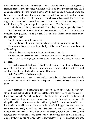door and they mounted the stone steps. On the first landing a man was lying asleep, groaning stertorously. The three Orientals walked meticulously around him. Their companion stepped over him with a curse. On the next landing a man and a woman, half undressed and quite drunk, were leaning with their backs to a door which apparently they had been unable to open. From behind other closed doors came an orgy of sound—shouting, quarrelling, cursing. In one room a fight was going on. On the third landing, Brogden stopped to wipe the sweat off his forehead.

"I've had enough of this," he muttered. "I'm going to leave you guys right here."

"We have arrived," one of the three men assured him. "This is our room here opposite. Two questions we have to ask. It is very little. Perhaps some more money for expenses—yes?"

Brogden looked them all three over.

"Say, I'm damned if I know how you fellows get all this money you handle."

There was a thin, strained smile on the lips of the one of the three who did most of the talking.

"There is always money for our honourable friends," he said.

Brogden leaned against the wall. The brandy was very crude, poor stuff.

"Don't look as though you owned a dollar between the three of you," he declared.

They half insinuated, half pushed him through a door close at hand. There was no electric light but a ghastly corner of moonshine stole through the dust-encrusted window. Brogden put his hand to the back of his neck.

"What's that?" he called out sharply.

No one answered. There was no need. Three inches of blue steel were already quivering in the middle of his neck. He collapsed, a crumpled-up heap upon the bare floor.

They belonged to a methodical race indeed, those three. One by one they stripped stark naked, stepped into the middle of the pewter bowl and washed their bodies inch by inch. As each one finished, they threw the water of their ablutions out of the window, down the three stories into a broad river with a narrow path alongside, which ran below—the river with a dry bed for many months of the year but swollen now with recent rains. One of the three had dragged out a suitcase from underneath the neatly turned-over bed. The first man was soon attired—a neat, dapper little gentleman, with his clean collar and brightly polished shoes. The second followed suit but the last of the three, before he stepped into his basin of water, dragged what remained of Brogden to the low window sill, peered down below and,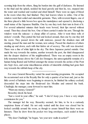scorning help from the others, flung his burden into the gulf of darkness. He listened to the thud and the splash, nodded his head gravely and then he, too, stepped into the water and washed and washed and dried himself. There were no signs of blood in the room when they had finished. They had known where to strike. Out of the window went their soiled and miserable garments. Then, with reverent fingers, one of the three placed a little brown box upon the mantelpiece and opened it, disclosing a small statue of the Japanese Buddha. One by one they took their turn in front of it. For several unhurried minutes their heads were bowed, their lips moved without sound. Then they closed the box. One of them carried it under his arm. Through the window went the suitcase—a cheap affair of canvas. After it went three rolls of stokers' overalls. They patted the bed and looked around, then one by one they left the room. They passed down the unlit staircase, passed the drunken man still snoring, passed the man and the woman, now asleep. Passed the shadows of others stealing up and down, each with that furtive air of secrecy. The café was deserted. There was a line of white light in the sky. The three Japanese parted outside. One made his way towards the station, another towards the port, the third disappeared into the deeper shadows of the neighbourhood. There was an empty room in the lofty tenement house above the Café des Etrangers; the unrecognisable remains of a human being floated and bobbed amongst the stones towards the arches of the Pont des Sept Arcs, and some miscellaneous articles of miserable clothing had gone their way towards the rubbish heap of the city.

For once General Besserley varied his usual morning programme. He occupied his accustomed seat at the Royalty Bar for only a quarter of an hour and, just as the little crowd of habitués were beginning to stream in, he finished his solitary cocktail, descended the steps into the Boulevard des Moulins and entered the bank. Chudleigh, the manager, came forward to meet him.

"Want any money, General?"

Besserley shook his head.

"Just a word in your office," he said. "I sha'n't keep you. I have a very simple commission for you."

The manager led the way. Besserley seemed, for him, to be in a curiously suspicious frame of mind. He not only waited until the door was closed but he looked carefully around the room, as though to assure himself that there were no listeners. Then he drew from his pocket two long envelopes, each sealed in three places.

"My dear Chudleigh," he began, "are your new vaults in action?"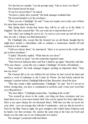"For the last two months," was the prompt reply. "Like to look over them?" The General shook his head.

"Is my box moved there?" he asked.

"You have a niche all to yourself," the bank manager reminded him.

The General handed over the envelopes.

"There you are, Chudleigh," he said. "I may not require you to take care of them for more than twenty-four hours."

"But during those twenty-four hours they will be as safe as in the Bank of England," the other assured him. "Do you want me to deposit them now?"

"Just what I am waiting for you to do. As soon as you come up and tell me that they are safe, I will give you final instructions."

Mr. Chudleigh who, except that the General was an old friend, thought that he might have trusted a subordinate with so ordinary a transaction, hurried off and returned in a few minutes.

"Until you release them," he announced, "there is no person in the world could get at those envelopes."

"Capital," Besserley replied. "What time do you close?"

"Four o'clock as usual," was the somewhat surprised reply.

"Then between half-past three and four I shall be up again," Besserley told him. "If by any chance—come this way a minute, Chudleigh," he broke offsuddenly—

"One moment," the bank manager begged, spotting an important client. "Step into my room."

The General did as he was bidden but not before he had waved his hand and spoken a word of salutation to the Comte de Wrette. He had barely entered the manager's parlour before Chudleigh followed him. Besserley closed the door.

"This may sound a little melodramatic, Chudleigh," he said, "but if I am not in before closing time, you have a commission to perform, and I want your word that you will perform it."

"My dear fellow," Chudleigh assured him. "Anything in the world."

"You yourself go down to the vaults, you bring out those envelopes and you hand them over to your most trusted clerk who can be spared for forty-eight hours. Here is my open cheque for ten thousand francs. With that you hire an escort for your clerk—you can arrange that with the Commissaire—and see that he travels to Paris by the Blue Train to-night. He goes straight to the United States Embassy and he hands over that envelope. He catches the same train at the Gare du Nord and hands over the other one to our Ambassador in London."

The manager's perpetual smile had faded.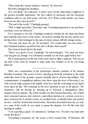"This sounds like serious business, General," he observed.

Besserley shrugged his shoulders.

"It is very likely," he confessed, "a mare's nest. On the other hand, it might be of the greatest possible importance. We have talked of currencies and the European conditions until we are both pretty well sick of it. What would another war mean between two first-class powers?"

"The end of the world," Chudleigh groaned.

"Well, it might mean that," Besserley said, "if anything happened to me and those envelopes were not delivered."

For a moment or two Mr. Chudleigh wondered whether his old client and friend had suddenly taken leave of his senses. He looked carefully into his face and he saw the lines there which belonged to the man of whom rumour still told strange stories.

"You may rely upon me, sir," he promised. "If it would make you any easier, I have imminent business myself in Paris and I will take them myself."

The General shook him by the hand.

"That's very good of you, Chudleigh," he acknowledged. "You need not pack your bag just yet, though. You will almost certainly see me back again before four."

The General paused on the top of the stone steps to light a cigarette. This was an old trick of his when he wanted to make quite sure whether or no he was being followed.

There was consternation in the picturesque entrance gardens of the famous Beaulieu restaurant. The *maître d'hôtel*, hurrying up from the restaurant to the small chalet-like hotel in the grounds, paused abruptly and in obvious discomfiture. The commissionaire, in magnificent uniform, who threw open the door of Besserley's car with a broad smile, paused in the middle of his bow and the welcoming words faded away upon his lips. The concierge at the door hastened to put on his glasses. The proprietor, with his flowing tie, hurrying up to welcome a distinguished client, stopped short in surprise. The whole trouble was that General Besserley, one of their most esteemed patrons, had ordered a marvellous luncheon in a private room in a place notorious for its private rooms, its excellent food, wonderful wines and perfect service—and the General had arrived alone. Besserley descended from the car and, as a man of the world, he was quick to grasp the situation. For the first time that morning he smiled.

"I am expecting a guest," he announced, "perhaps two. You have my usualsuite on the first floor?"

"Everything is prepared, sir," the *maître d'hôtel* assured him. "If Monsieur will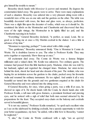give himself the trouble to mount."

Besserley shook hands with *Monsieur le patron* and mounted. By degrees the consternation faded away. The guests were to arrive. There were many explanations of such a situation. Besserley was ushered into a very pleasant sitting room with a wonderful view of the sea on one side and the gardens on the other. The table was beautifully decorated with roses, the linen and glass were, as always, perfection. There was a slight film upon the decanter of vodka, which was as it should be. He scrutinised the labels on the Montrachet and Chambertin and discovered that they were of the right vintage, the Montrachet in its lightly filled ice pail, and the Chambertin reposing in its basket.

"Everything," General Besserley declared, "is perfect, as usual, Louis. Be so good as to bring me at once a Dry Martini cocktail in the shaker. I am a little in advance of my time."

"Monsieur is expecting, perhaps?" Louis asked with a little cough.

"Two gentlemen," Besserley announced firmly. "One is Monsieur le Comte de Wrette. He is doubtless known to you. The other is Professor Kralin. They may arrive together or separately. Show them up at once."

All excitement died away. The Comte de Wrette was a famous Belgian millionaire and a valued client. Mr. Kralin was unknown. Two ordinary guests. The romance had passed from this little luncheon party. Madame, when she was told by her husband, sighed and regretted the changed times. Madame, her sister-in-law behind the desk, shook her head and also dreamt of the past. The violinist, who was hoping for an invitation across the gardens to the chalet, packed away his favourite violin and resumed his ordinary instrument. He too sighed. And amidst it all a very beautiful car turned into the grounds and two gentlemen enquired at the chalet for General Besserley and were ushered into the sitting room. . . .

If General Besserley, for once, when giving a party, was a trifle ill at ease, he showed no signs of it. He shook hands with the Count, he shook hands also with Professor Kralin, a tall man with gross features, a prominent forehead and piercing eyes, and he noticed with a sigh of relief that both men seemed attracted by the preparations for the feast. They accepted easy-chairs on the balcony and cocktails served in beautiful glasses.

"It is not my custom," Professor Kralin remarked, "to spoil such excellent wine as I see on the sideboard by drinking cocktails, but a speedy opportunity to wish for your better acquaintance, my host," he added, with a little bow to Besserley, "cannot be neglected."

"I, alas," the Comte de Wrette confessed with a sigh, "am an *apéritif*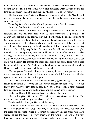worshipper. Like a great many men who seem to be idlers but who find every hour of their day occupied, I am always just a trifle exhausted when the time comes for luncheon or dinner. I need the slight impetus of alcohol to clear my brain."

"The European world," General Besserley remarked, with a smile, "has formed its own opinion on that score. However, I, in my idleness, have never outgrown my American tastes."

The smiling face of the *maître d'hôtel* appeared at the French windows.

"*Monsieur le général est servi*," he announced.

The three men sat at a round table of ample dimensions and both the service of luncheon and the luncheon itself were as near perfection as possible. The conversation seemed a little elusive. They talked of Einstein, the internal condition of Germany, the ebb and flow of art and religion in the cultured countries of the world. They talked as men of intelligence who are used to the exercise of their brains. But with all three there was a general understanding that this conversation was nothing but the flashes of lightning before the storm on the stillness of a summer night. Everything had been perfectly arranged. With the service of coffee and the warming of the glasses for the old brandy, the *maître d'hôtel* and his myrmidons faded from the place. General Besserley rose from his chair. He closed the window leading out on to the balcony. He crossed the room and locked the door. There was a little twitch about the lips of De Wrette and his hand moved slightly towards his pocket. Besserley, with a genial smile, laid the key by his side.

"My two guests," he said—"I hope I may say my friends—these precautions are for you and not for me. I have a few words to say which I fancy you would wish spoken without the risk of eavesdroppers."

"Let us have those words," the Professor begged, lighting his cigar. "I am in the hands of my friend De Wrette and De Wrette brought me here. Why—I do not know. But whatever may happen from now on, I have eaten a most excellent luncheon and drunk some wonderful wines. You are a great host, General."

The General bowed. He resumed his place between the two men.

"I have a few gifts in life," he said. "The gift of expression is not one of them. The remarks I have to make may sound almost crude."

The General also lit a cigar. He served the brandy.

"Comte de Wrette," he went on, "I have lived in Europe for twelve years. You have filled a great place in European society for about the same time. You must give me credit for one thing—there is a certain freemasonry amongst those who have served behind the scenes in every country of the world. I am one of the few breathing who know that you, with a Belgian mother, are a Japanese by birth, the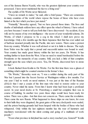son of the famous Baron Nyashi, who was the greatest diplomat your country ever possessed. I have never mentioned the fact to a living soul."

The eyelids of De Wrette never flickered.

"I have no remark to make," he said, after a brief pause. "There are cemeteries in many countries of the world where repose the bones of those who have even hinted at the fact which you have just stated."

"Naturally," Besserley agreed, "but we have passed those times. The lives and deaths of individuals seldom have any effect upon the wheel of history. I have asked you here because I want to tell you both that I have discovered—by accident, if you will; not by means of my own intelligence—the secret of your wonderful scheme, De Wrette, of which I propose to be a cog in the wheel. I shall now prove my knowledge. Only a few months ago the finest Japanese fleet that has ever sailed out of harbour steamed proudly into the Pacific, into new waters. There came a protest from my country. Whether it was well advised or not it is futile to discuss. The reply from Tokio was the reply that a proud and successful nation was bound to send. Your country has made great history within the last ten years, De Wrette. It has nothing further to learn from the West. It has no need to stand bareheaded before the Presidents or the monarchs of any country. Still, you lack a little of that complete strength upon the seas which you crave. You, De Wrette, discovered how to atone for that"

A look flashed from Kralin to De Wrette. For the first time there was a gleam of something which might be counted emotion in the former's face.

"De Wrette," Besserley went on, "I was a soldier during the early part of the War but I passed into the Secret Service at Washington within a few months. For one year I had to work on naval matters. It was just at the time of the Russian *débâcle* that I met a cousin of the first man who tried to restore order to your country. Never mind his name. From him I learnt what had been kept a profound secret. In your naval docks at St. Petersburg a small but complete fleet was in course of building. In another two years these ships would have been ready for action. There was a plan—but that does not concern us. There came the revolution. There came the new Russia. What happened to those ships no one knew, for even to their hulls they were disguised, the great gates of the navy dockyards were sealed, and the prison burying-grounds had been heaped with the bodies of those who had whispered. Only within the last eighteen months has the roar of hammers and machinery reawakened with the silent coming and going of a multitude of work people."

"From what province in fairyland has such a story reached you, General?" Kralin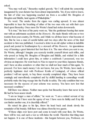asked.

"You may well ask," Besserley replied gravely, "for I will admit the censorship inaugurated by your dictator has been almost impenetrable. Yet, if you wish to know, the hint of what was happening reached me from a so-called Mr. Brogden of Brogden and Biddle, land agents of Philadelphia."

No word. The smoke from the cigars was curling upward. It was almost impossible to hear the breathing of either of the two men who sat with their eyes fixed upon Besserley. Once more De Wrette's hand had stolen downwards.

"It is true," the host of the party went on, "that the gentleman bearing that name met with an unfortunate accident on the *Homeric*. He made friends with one or two tourists from your country, De Wrette, and I think we all three know what became of him. But he was a man of careful habits and two days after the news of the fatal accident to him was published, I received a letter in an old cipher written in indelible pencil and posted in Southampton by a steward off the *Homeric*. An ignominious way of learning a great historical fact but there it is. The man whom you sent to me, De Wrette, although I imagine you scarcely trouble yourself about such trifles, and who posed as being Mr. Brogden of Brogden and Biddle, and wished for a little information I could have given him, or rather a codebook I possessed, was too obvious an impostor. He went back to Nice to report to your three Japanese friends, and I have an idea somehow or other that we shall not hear much of him again. To proceed. For how much money I do not know, but you, De Wrette, have made a perfectly legitimate deal with Professor Kralin of Leningrad, of whose official position I will not speak, to buy those recently completed ships. They have been cunningly and marvellously completed and by skilful handing in camouflage would probably make the long voyage into the Pacific in safety. The only condition that was necessary for the success of your scheme was secrecy. You have now lost that necessary condition."

Still there was silence. Neither man spoke but Besserley knew that never in his life had he been nearer death.

"I am no longer a man of affairs," he went on. "I am a retired servant of my Government, but I have seen the agony of war. I have seen its futility and if my life can hinder another one, it is cheerfully offered."

He raised his glass to his lips, threw his head back and drank slowly the remainder of his brandy. Still there was silence from his two guests.

"If those ships ever leave port and come in touch with your fleet, De Wrette, there will be war, and such a war as will shake the world. Therefore that thing must not happen. It is one of those incidents—this bargain between you, Professor, on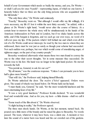behalf of your Government which needs so badly the money, and you, De Wrette or shall I call you for once Nyashi?—representing Japan, of which no one knows. I honestly believe that we three are the only living persons who are acquainted with the full details."

"The only three alive," De Wrette said ominously.

"Exactly," Besserley went on. "But although I would offer my life willingly, if it were necessary, my life if I lost it within the next thirty seconds," he added, with a glance at De Wrette's right hand, "would never alter the course of history. At a certain hour to-morrow the whole story will be simultaneously in the hands of the American Ambassadors in Paris and in London, but if we shake hands across this table, and if this bargain is forgotten, and we each go our own ways, no word of it will ever pass my lips. If the packets which I left behind me and which even all the wit of a De Wrette could never intercept, be read by the two men to whom they are addressed, there must be war just as surely as though your scheme had succeeded. Not such sudden war, perhaps, but war which would come of smouldering anger, of righteous anger, on the part of my country-people."

Besserley wondered afterwards what means those two men found to convey the one to the other their secret thoughts. Yet in some measure they succeeded. De Wrette rose to his feet. His hand was no longer in his right-hand pocket. He moved towards the bell.

"You permit us, General, to ask for our car?"

"By all means," was the courteous response. "Unless I can persuade you to have half a glass more brandy?"

"That willI do," the Professor said, helping himself liberally.

De Wrette unlocked the door. The *maître d'hôtel* appeared. Orders were given. The sound of wheels was heard below. De Wrette held out his hand.

"I must thank you, General," he said, "for the most wonderful luncheon and the most entertaining hour of my life."

"It was a very good luncheon," Professor Kralin declared. "It was wonderful food and wonderful wine. And as for you, my host—a little drama—shall we call it that?"

"Some touch of the film about it," De Wrette observed.

"A slight lacking in reality," the Professor agreed.

The three men shook hands. De Wrette, at the last moment, turned back. He poured out a little more of the brandy and he raised his glass to Besserley. No words passed. The toast, whatever it may have been, was a silent one. A moment or two later the sound of a motor horn was heard and the car crawled out of the gardens.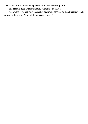The *maître d'hôtel* bowed enquiringly to his distinguished patron.

"The lunch, I trust, was satisfactory, General?" he asked.

"As always—wonderful," Besserley declared, passing his handkerchief lightly across his forehead. "The bill, if you please, Louis."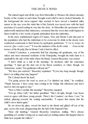## V THE DEVIL'S WIND

The mistral raged and all the way from Marseilles to Monaco the almost uncanny beauty of the country at such times brought scant relief to nerve-racked humanity. In the background the snow-capped Alps seemed to have moved a hundred miles nearer to the sea; even the violet line of the Estérels was traced now with the hard precision of a pencil cutting its way into the skies. At Marseilles the sportsmen of the underworld murdered their mistresses, convinced that the worst that could happen to them would be a few words of gentle admonition from the authorities.

In the more sophisticated region of Cannes, Nice and Monte Carlo that part of the population who had the misfortune to be overcome by drink in the streets were conducted courteously to their homes by apologetic gendarmes. "*C'est le temps du mistral. Que voulez-vous?*" It was the madness of the devil's wind. . . . Even on the terrace of the Royalty Bar in Monte Carlo it had its effect.

Colonel Costerleys, a somewhat frail but charming old gentleman, one of the oldest and most esteemed residents of the Principality, brought his bath chair to a standstill by the side of the table where his friend, General Besserley, was seated.

"I don't drink as a rule in the morning," he declared, after the customary greetings. "I must get the dust out of my throat somehow or other, though. An Americano, waiter. You gentlemen will join me?"

"We have just ordered," Besserley explained. "If you stay long enough, though, there's no telling what may happen!"

The Colonel shook his head.

"I'm going across the road as soon as I've finished my drink," he confided. "Thank heavens, I have some men coming in for bridge this afternoon and don't need to turn out again to-day."

"How is Miss Caroline this morning?" Besserley enquired.

"Not up when I left," her father grumbled. "She's all right, though. Late hours seem to agree with these young people. There's the Countess' car there, I see," he added, glancing towards the waiting automobiles. "I expect that means that the child's out to lunch again."

He set down his glass, waved his hand to his friend and glided off out of the gate, across the road, disappearing into the hall of the Imperial Flats.

"Dear old humbug," General Besserley remarked, smiling. "He's always grumbling at Caroline's being out so much and yet nothing makes him happier than to think how popular the child is."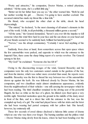"Pretty and attractive," his companion, Doctor Marius, a retired physician, admitted. "All the same, she's a selfish little pig."

"Better not let her father hear you say so," the other warned him. "Both he and her mother worship the girl. . . . Doctor, I'm going to have another cocktail. This accursed mistral has made my throat like a lime kiln."

His friend, who occupied the other chair at the table, shook his head deprecatingly.

"The mistral," he declared, "is the most cleansing of all nature's elements in this part of the world. It kills, in all probability, a thousand million germs a second."

"All the same," the General demanded, "haven't you ever felt the impulse to kill someone when this wind blew hard in your face and the sun shone on your head and all your friends seemed to be suddenly hard, brilliant but hateful people?"

"Nerves," was the abrupt commentary. "Certainly I never feel anything of the sort"

Suddenly, from close at hand, from somewhere across that open space where the few automobiles were parked, and opposite to which was the entrance to the Imperial Flats, there came the sharp biting report of a service revolver. The General sprang to his feet.

"My God!" he exclaimed. "Someone else has felt it!"

Owing to the disconcerting ravages of the wind, General Besserley and his companion were the only two customers seated outside in the gardens of the bar, and from the interior, which was rather more crowded than usual, the reports were inaudible. Besserley was the first to thread his way between two of the automobiles drawn up against the kerb. He was followed closely by Doctor Marius, his late companion, and two chauffeurs made almost simultaneous appearance, evidently from the neighbourhood of their vehicles—one still carrying the newspaper which he had been reading. The third chauffeur remained in the driving seat of his powerful Bugatti, his face as white as the face of a ghost, his dilated eyes fixed upon a very terrible sight. Stretched motionless upon the ground in the middle of the dusty street in front of the flats, and in a direct line with the entrance to the bar, was the crumpled-up body of a girl. The wind had played havoc with her skirts and the béret she had been wearing had parted company with her yellow hair. She herself, however, lay ominously still.

Those few seconds of awed silence disclosed a hideous little cameo of drama which no one who was there ever forgot. The burning sunshine and the pitiless wind —Doctor Marius rising slowly from his knees, where he had been bending over the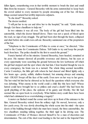fallen figure, remembering even in that terrible moment to brush the dust and small flints from his trousers—General Besserley with his arms outstretched to keep back the crowd added to every moment by people streaming out of the bar. All these things seemed natural but terribly impressive adjuncts.

"Is she dead?" Besserley asked.

The doctor nodded.

"I will put her in my car and drive her to the hospital," he said. "Quite useless, though. Get these chauffeurs to help me."

In two minutes it was all over. The body of the girl had been lifted into the automobile, which the doctor himself drove. There was not a speck of blood upon the road, no sign of any struggle. The girl had been shot through the heart, collapsed and died before she could even call out. Besserley summoned one of the proprietors of the bar.

"Telephone to the Commissaire of Police to come at once," he directed. "Also send to the Casino for Commissaire Delous. Tell Guido to try and keep the people back from here. The police should be the first to search the ground."

Francis hurried off on his mission. General Besserley, bare-headed, remained at his post. His manner showed all possible reverence and distress, but his eyes at every opportunity were searching the ground between the low kerbstone off which the girl had stepped and the spot where she had lain. Clear-headed though he was in every emergency, his brain was in a turmoil. The whole thing seemed incredible. Carrie Costerleys, the little girl with whom he had danced and flirted lightly only a few hours ago—pretty, selfish, shallow-brained, but amusing always and amazing vital—DEAD! Swept off the face of the earth. Even now on her way to her grave. The hot wind bit him but he shivered as he faced the questions which everyone else was debating. What enemy in the world could a child like this have had? Whose hatred could have brought her to so pitiless and cruel a death? She had been the spoilt plaything of the place, the epitome of its gaiety and frivolity. Her life had seemed like an open book to everybody. What hidden story could there have been which had culminated in so overwhelming a tragedy?

A motor car flashed round the corner and drew up in front of the entrance to the flats. General Besserley retired from his solitary vigil. He moved, however, only a few yards away. He was slowly absorbing the whole scene into his mind—the open doors of the building through which she must have issued, the three automobiles, the two chauffeurs standing talking together, the third rigid in his driving seat. The Commissaire of Police of Monaco showed himself to be a man of discretion and determination. The exit of the short road leading to the bar and to the Imperial Flats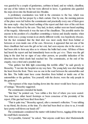was guarded by a couple of gendarmes, carbines in hand, and no vehicle, chauffeur, nor any of the visitors to the bar were allowed to leave. A gendarme also guarded the steps down into the Boulevard des Moulins.

A preliminary examination was held in the extension to the bar, which was separated from the bar proper by a thick curtain. One by one, the morning patrons of the place were led before the commissaire and practically every one of them gave the same reply—they had heard nothing of the report and their view of the exit from the flats was blocked by the cars. They had, in short, neither seen nor heard anything of the tragedy. Afterwards it was the turn of the chauffeurs. The possible motive for anyone in the position of a chauffeur committing a vicious and deadly murder, when the victim was a young woman in an utterly different world, was hopelessly obscure, but the fact remained that the fatal shot was most easily fired from behind or between or even inside one of the cars. However, it appeared that not one of the three chauffeurs had seen the girl on her exit, had seen anyone else in the street, or had been able to form any idea as to whence the bullet had come. All three of them had heard the report and had immediately been on the *qui vive*. There was the girl lying in the dust but no signs of any other person, no possible indication of the direction from which death had reached her. The commissaire, at the end of the enquiry, was a tired and a puzzled man.

"One gathers but little light concerning this terrible affair," he said gravely to Besserley. "I ran into the hospital on my way here. The young lady was shot through the heart from the front. There was no one in the road between the automobiles and the flats. The bullet must have come therefore from behind or inside one of the automobiles or the gardens. You yourself, with the doctor, were the only people in the gardens."

"The topmost of the steps leading down into the street would have been a point of vantage," Besserley suggested.

The commissaire extended his hands.

"But that," he pointed out, "was within a few feet of where you were seated. You must have either heard footsteps or been conscious of the proximity of the report, if the gun had been fired from there."

"That is quite true," Besserley agreed, after a moment's reflection. "I was talking to my friend, the doctor, at the time. If a shot had been fired so close to us, it would have pretty well blown our heads off."

The commissaire considered the matter with knitted brows, tugging all the time at his small black moustache.

"Is it possible, General," he asked, "that anyone could have shot Mademoiselle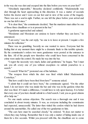in the way she was shot and escaped into the flats before you were on your feet?"

"Absolutely impossible," Besserley declared confidently. "Mademoiselle was shot through the heart approaching in this direction. It was a matter of seconds before the doctor and I were on our feet and in view of the scene of the tragedy. There was not a soul in sight. Further, no one left the place before your arrival and no one has left it since."

"It is clear then," the commissaire decided, "that the murderer must either be one of those three chauffeurs or is at present in the bar."

A gendarme approached and saluted.

"Mesdames and Messieurs are anxious to know whether they can leave," he announced.

"I am sorry," was the curt reply, "no one is to leave at present. I require a few minutes for reflection."

There was no grumbling. Secretly no one wanted to move. Everyone had the feeling that at any moment there might be a dramatic finale to this terrible episode. By the commissaire's orders two more gendarmes were posted at the entrance to the flats. All of the people now therefore who could have been concerned in the crime were under his control. He made his way into the bar.

"I regret the necessity very much, ladies and gentlemen," he began, "but I must ask you all—every one of you without exception—to submit yourselves to a search<sup>"</sup>

"A search! What for?" protested one of the habitués.

"The weapon from which the shot was fired which killed Mademoiselle Costerleys."

"But how could it have been fired from here?" someone asked.

"I admit that it could not have been," the commissaire agreed. "On the other hand, I do not know who was inside the bar and who was in the gardens when the shot was fired. If I made a difference, I would have to rely upon hearsay. It is better that every one of you here should submit to a briefsearch. I ask you as good citizens all to help me."

No one made serious objection. The search was a thorough one and it was concluded in about twenty minutes. It was, as everyone including the commissaire had expected, unsuccessful. The latter then visited the cordon which he had drawn around the automobiles. He called one of the two gendarmes to him.

"The cars here must be searched closely," he ordered. "It does not matter to whom they may belong. Remember that it was only a matter of hiding inside one of them for a few seconds. Whilst you proceed with this, the chauffeurs are to come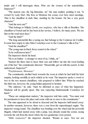inside and I will interrogate them. Who are the owners of the automobiles, Inspector?"

"The nearest one, the big limousine, sir," the man replied, pointing it out, "is owned by Lady Hart. She lives at Mentone but comes over here most mornings. That is her chauffeur in dark blue, standing by the bonnet. He has a very good character"

"And the next one?"

"That belongs to Milady Lewitt, *une anglaise*, who has a villa at Beaulieu. The chauffeur is French and he has been in her service, I believe, for many years. We see him on the road most days."

"And the third?"

"The long automobile like a racing car, that belongs to the Comtesse de Croilles. It came here empty to take Miss Costerleys over to the Comtesse's villa at Eze."

"And the chauffeur?"

"The young man in black livery seated at the wheel."

"Is he well known here?"

The inspector shook his head.

"He is an Italian—a stranger to most of us, I think, sir."

"Instruct the three men to leave their cars and follow me into the room leading out of the bar," the commissaire directed. "Meanwhile, get on with the search. Is that understood, Inspector?"

"*Parfaitement, Monsieur.*"

The commissaire strolled back towards the room in which he had held his brief enquiry, looking carefully at each vehicle as he went. The inspector spoke a word or two to the two nearest chauffeurs, who prepared to follow him. When he reached the third one, however, the young Italian appeared to hesitate.

"My mistress," he said, "must be informed at once of what has happened. Madame will be greatly upset. She was expecting Mademoiselle Costerleys for lunch."

"These are unimportant matters," the inspector told him curtly. "You must wait for permission to leave the place and come with me at once to the commissaire."

The man appeared to be about to descend and the inspector half-turned away. In another moment, however, there was a roar from the supercharged engine. The inspector swung round. The chauffeur was bending over the wheel and the powerful Bugatti, which had started away with a jump, was already round the corner, racing towards the exit from the street where the two gendarmes were posted.

"*Mille tonnerres!*" the inspector shouted. "Return at once. You are not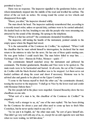permitted to leave."

There was no response. The inspector signalled to the gendarmes below, one of whom immediately stepped into the middle of the road and levelled his carbine. The driver of the car took no notice. He swung round the corner on two wheels and disappeared from sight.

"Shoot, you idiot," the inspector shouted wildly.

The man shook his head. The inspector suddenly remembered that, according to a recently issued order, unless on special duty, carbines were to be carried unloaded. He dashed back to the bar, brushing to one side the people who were streaming out, attracted by the sound of the shouting. He sprang to the telephone.

"What is it that has arrived?" the commissaire demanded breathlessly.

The inspector, still turning the handle of the instrument, pointed outside to the empty space where the Bugatti had stood.

"It is the automobile of the Comtesse de Croilles," he explained. "When I told the chauffeur that he must submit himself to interrogation, he declared that he must return to his mistress to take her the news. He has one of those quick-starting cars. He was gone before I could reach him. The man below failed to stop him. . . . Exchange? *Eh, bien*—Bureau de Police, Monaco—quick—"

The commissaire himself snatched away the instrument and jabbered his commands. The frontier gendarmerie, Beaulieu and Nice were to be spoken to. The main roads were to be barricaded and barred. At all costs, the car of the Comtesse de Croilles with the black-liveried chauffeur was to be stopped. Let them serve out loaded carbines all along the coast and shoot if necessary. Mentone was to be advised also and guards to be placed on the Upper Corniche.

"I come to the bureau myself to fetch the other car," the commissaire shouted, tossing the receiver to the inspector. "I shall go to Nice by the lower road and confer with Monsieur Dubois there."

The few people left in the place were stupefied. General Besserley drew the two chauffeurs on one side.

"What sort of a man is he, this chauffeur of the Comtesse de Croilles?" he enquired.

"Pretty well a stranger to us, sir," one of the men replied. "He has been driving for the Comtesse for about a year and often used to come up here to fetch Miss Costerleys, but he never spoke much to any of us."

"As we put it in English, sir," the other man said, "he sort of gave himself airs. That didn't go very well with any of us, so, except for an odd cigarette now and then when we were waiting, we left him alone."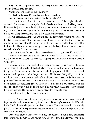"What do you suppose he meant by racing off like that?" the General asked. "Did he lose his head or what?"

"Must have gone crazy, sir, I should think."

"It's this bloody mistral," the other chauffeur suggested.

"See anything of him about the time the shot was fired?"

"He hadn't moved from his seat ever since he came," the English chauffeur declared. "He reversed his car against the kerb—he's a fine driver, I will say that for him—and he just sat there, looking like a ghost. Jules and I were the other side at my car, with the bonnet open, looking at one of my plugs when the shot was fired but he was sitting there just the same a few seconds afterwards."

The General crossed the road and exchanged a few words with the hall porter of the flats. Colonel and Mrs. Costerleys had been advised of the tragedy by the doctor, he was told. Mrs. Costerleys had fainted and the Colonel had had one of his bad attacks. The doctor was sending a nurse and he had left word that they were not to be disturbed on any account.

"My stick is in the Colonel's chair," Besserley said. "Do you mind if I fetch it?"

"I noticed it when he came in, sir," the man replied. "If you will excuse me, that's the bell for the lift. Would you mind just stepping into the box room and fetching it yourself?"

He hurried off. Besserley pushed open the door of the luggage room on the right, where the Colonel usually left his bath chair, and recovered his stick. He lingered in the place for several moments—an untidy-looking apartment filled with disused trunks, packing-cases and a bicycle or two. He looked thoughtfully out of the window at the spot where the body of the girl had been found, at the little knot of people still talking in excited fashion across the way, at the trees and shrubs leaning back before the increasing gale. As he recrossed the road a few minutes later, his cheeks stung by the wind, he had to clutch his hat with both hands to save it from being swept away. He was in very bad spirits and very bad temper.

"Curse this mistral," he muttered to himself.

At five o'clock that afternoon Lady Grace, by no means her usual neat and imperturbable self, was shown up into General Besserley's salon at the Hôtel de Paris. She had evidently spent a wretched afternoon. Her eyes seemed to be already pleading with him for help and courage, even before she spoke. He helped her to an easy-chair and ordered tea.

"Don't talk about it unless you want to," he begged. "I don't mind confessing that I went into the Casino and played for an hour or two this afternoon, hoping to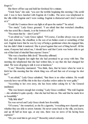forget it."

She threw off her cap and held her forehead for a minute.

"Uncle Sam," she said, "you saw the terrible beginning this morning: I the awful end. I was to have lunched with Eugénie de Croilles. The news was telephoned to the villa whilst Eugénie and I were waiting. Eugénie is distracted and I don't wonder at it."

"Could the Countess throw any light at all upon the matter?" he asked.

"Too much," Lady Grace groaned. "I am afraid that that wretched chauffeur, who has acted like a lunatic, is at the bottom of it all."

"You mean that he—shot Carrie?"

"I am afraid so," Lady Grace sighed. "Of course, Caroline always was an utter fool, and Antonio, the chauffeur, is the son of an Italian count or something of that sort. Eugénie knew that he was by way of being a gentleman when she engaged him, but she didn't think it mattered. She is proof against that sort of thing herself. All the same, if anyone had asked me, I should have said that Carrie was better able to get out of that kind of mischief than anyone I know."

"She was a heartless little devil," Besserley affirmed.

"She told Eugénie last night that she had promised to go away with him. This morning she telephoned that she had written him, to say that she had changed her mind. We were all going to talk it over at luncheon."

"I see," Besserley murmured. "You think, then, that he knew when he went to fetch her this morning that the whole thing was off and that out of revenge he shot her?"

"I am afraid," Lady Grace admitted, "that there is no other solution. He would scarcely have run off like this in the face of police orders unless he were guilty."

"According to her own story, she has been rather asking for it," the General meditated.

"She was honest enough last evening," Lady Grace confided. "She told Eugénie —she admitted it quite openly—that she had led him on. She said that he made love so beautifully."

"Silly little idiot!"

Tea was served and Lady Grace drank hers feverishly.

"Of course," she remarked, as she lit a cigarette, "everything now depends upon whether they are able to arrest Antonio. He never came back to the villa, you know, and up till half an hour ago, at any rate, there was no news of his having been captured."

"Do you want him to get away?" Besserley asked curiously.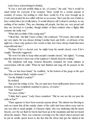Lady Grace acknowledged it frankly.

"It was a foul and terrible thing to do, of course," she said, "but it would be much better for everyone if he escaped. There would be a certain amount of scandal, of course, but nothing to what there would be if he were brought up in Court and pleaded his love affair with her as an excuse. She's just the sort of idiot to have written him a lot of silly letters. It would kill poor old Colonel Costerleys, to say nothing of her mother. They are charming old people, but they are very proud and they are devoted to Caroline, though neither of them realised what a flighty little creature she really was."

"What did you think of the young man?"

"I liked him—the little I knew of him," she confessed. "Of course, that really was not very much. He was always driving Caroline back and forth—at all hours of the night too. I have only spoken a few words to him, but I have always found him most respectful and nice."

"Perhaps if he's a decent sort, he might keep his mouth closed, even if he's caught," Besserley suggested.

"He won't be able to keep other people's mouths closed," she sighed. "A young man like that doesn't shoot one of his employer's friends dead for nothing."

The telephone bell rang. General Besserley remained for some minutes in conversation with his caller. When he had finished and rung off, he passed on the news.

"The car has been found," he confided, "at the bottom of the gorge at the spot they have christened lately 'suicide corner'."

"On the Middle Corniche?"

He nodded.

"Just past the bridge at Eze. The car must have been deliberately driven over the precipice. It was completely smashed to pieces, of course."

"And Antonio?"

"No trace of him."

"I think that's queer," Lady Grace remarked. "Did no one see the car pass the cafés at Eze?"

"There appears to have been scarcely anyone about. The mistral was blowing to such an extent that all the outside chairs of the cafés had been taken away and no one was able to stand upright. A Chasseur Alpin, who was sheltering with his motor bicycle, saw the car flash by but he had been up in the mountains and had not heard about the murder. There was someone cowering over the wheel when it passed and he put its terrific speed down to the fact that the driver had got the mistral in his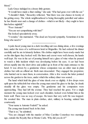blood."

Lady Grace indulged in a dreary little gesture.

"It would have made a finer ending," she said, "if he had gone over with the car."

"I shouldn't think," Besserley reflected, "that there was one chance in twenty of his getting away. The whole neighbourhood is being thoroughly patrolled and unless he has friends near and a change of clothes—which is not likely—they ought to have him before nightfall."

"Poor Antonio!"

"You are not sympathising with him?"

She looked speculatively away.

"I wonder," she murmured. "The dead are beyond sympathy. Sometimes it is the living who need it."

A pale-faced young man in a dark travelling suit was dining alone, a few evenings later, under the trees of a well-known hotel at Brignolles. He had ordered his dinner carefully and he ate in leisurely fashion. His clothes might have been ready-made but on his slim figure they looked well. His linen and cravat were well chosen, his hands well kept. He was in the act of pouring himself out a glass of wine when he paused to watch a little incident which was developing before his eyes. A car had been driven rapidly into the short drive and pulled up in front of the main entrance to the hotel. It was driven by a gendarme whose companion was an older man in plain clothes but with an official air. Both men descended. They engaged the proprietor, who hurried out to meet them, in conversation. After a few words the latter pointed across the garden to the trees, under which the solitary diner was seated. . . .

The hand which held the glass of wine shook ever so slightly. A few drops were spilt upon the tablecloth but when the young man raised his glass to his lips, he drank steadily till the glass was empty. The gendarme and his companion were approaching. They had left the avenue. They had reached the grass. For a single moment the young man looked over each shoulder, looked even behind him at the brick wall. There was no way of escape. He knew that very well. He was trapped. He awaited fate. The man in plain clothes, alert, military in bearing, saluted him courteously.

"Your name is Antonio Fraletti?" he asked.

The young man leaned back in his chair.

"That is so," he admitted.

"You are charged with the murder of Miss Caroline Costerleys two mornings ago, outside the Royalty Bar at Monte Carlo. Why did you do it?"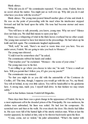Blank silence.

"Why did you do it?" the commissaire repeated. "Come, come, Fraletti, there is no secret about the matter. You might just as well own up. Why did you do it and what have you done with the revolver?"

Blank silence. The young man poured himself another glass of wine and drank it. He was on the point of proceeding with his meal when his interlocutor stepped forward and laid his hand upon the table. His tone had become sterner and more threatening.

"You will have to talk presently, you know, young man. Why not now? Silence does not help you. We shall find means to open your lips."

There was a whispering of wind in the thick leaves overhead but no other sound. The young man seemed to have lost interest in the proceedings. He had taken up his knife and fork again. The commissaire laughed unpleasantly.

"Well, well," he said, "there's no need to waste time over you here. You are under arrest, Fraletti. We are going to take you back to Monaco."

The young man shivered.

"Could it not be somewhere else?" he asked.

The commissaire rubbed his hands and smiled.

"That touches you!" he exclaimed. "Monaco—the scene of your crime."

The young man rose to his feet.

"I am willing to go where you choose to take me," he said. "I have a small car here. Will you permit that I follow you, if I give you my parole?"

The commissaire was amused.

"So that you might do as you did with the automobile of the Comtesse de Croilles, eh? This time, though, I suppose you would go with the car. No, my friend. You will sit behind, in my own little saloon. You will be handcuffed to the gendarme here. A strong man, mark you. I myself shall drive. In that fashion we may return safely."

And in that fashion Antonio Fraletti left Brignolles.

Three days later there was a great change in the appearance of Fraletti. He lay in a most unpleasant cell in the dreaded prison of the Principality. He was unshaven, his clothes were unbrushed, his linen was soiled. He had lost his composure. He scratched now and then at the walls. He even shook the door. His cheeks had fallen in. His eyes were full of the hunted light of the utterly stricken man. When at last the warder appeared, he rushed at him, only to be thrown backwards upon the floor.

"Come, come, not so violent," his jailer admonished. "What's the matter with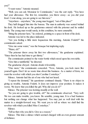you?"

"I want water," Antonio moaned.

"Well, you can ask Monsieur le Commissaire," was the curt reply. "You have had your allowance. The first lot, remember, you threw away—as you did your food. Come along, you are going to see him now."

"Anywhere—anywhere," the young man begged, "out of this place!"

They half dragged him into the bureau. The man in authority was seated behind his desk. He looked up as the gendarmes entered with the prisoner and he smiled faintly. The young man would surely, in this condition, be more amenable.

"Bring the prisoner here," he ordered, pointing to a space in front of his desk.

Antonio was led to the place indicated.

"Are you feeling a little more loquacious this morning, Antonio Fraletti?" the commissaire asked.

"Give me some water," was the brusque but imploring reply.

"Water, eh?"

"The prisoner threw away his first two allowances," the gendarme explained. "Since then he has had time to get thirsty."

The commissaire pointed to the water bottle which stood upon his own table.

"Give him a tumblerful," he directed.

The gendarme obeyed. Antonio drank it feverishly.

"One more," the commissaire conceded. "Now, Antonio, you look more like yourself again. Don't let us waste time about this business. As a matter of form, we want the revolver with which you shot Caroline Costerleys."

Silence. Antonio had the air of one who had not heard.

"I repeat the demand," his questioner continued sharply. "There is no object in giving us trouble, Antonio Fraletti. It does not improve your position. It makes it worse. We know that you killed the girl. Why did you do it?"

Silence. The prisoner was looking steadily at the wall.

"So you are going to give trouble, eh?" the commissaire observed. "Very well. We too can make trouble, you know. Be sensible, young man. It is a bad business but nothing can change what has happened. You may just as well deal with the matter in a straight-forward way. We want you to tell us where we shall find the revolver with which you killed Miss Costerleys."

Silence.

"Tell us then why you did it. Give us a reason."

Silence. This time a silence which seemed charged with an even greater amount of defiance.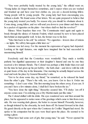"You were probably badly treated by the young lady," the official went on. "Young ladies do forget themselves sometimes, and I expect when you are washed and brushed up and have your best clothes on, you are a decent-looking fellow. Young people will be young people. The young lady had been encouraging you, without a doubt. We found some of her letters. We are quite prepared to believe that the young lady treated you badly. No reason why you should be obstinate about it. Come along, young fellow, and we will send you down to your dinner and there may be a packet of cigarettes on the plate—but where shall we find the revolver?"

Silence. More hopeless than ever. The Commissaire tried again and again to break through the silence of Antonio Fraletti, which seemed by now to have placed him behind an impregnable wall. At last, the former rose to his feet.

"Take him back to his cell," he ordered. "No cigarettes—lowest class of rations —no lights. We will try him again a little later on."

Antonio was led away. For the moment his expression of agony had departed. Looking at his rigid features, one might have imagined that he had succeeded in mesmerising himself.

Everybody said that the Costerleys were wonderful. They made a terribly pathetic but dignified appearance at their daughter's funeral and one by one they received a few intimate friends. The Colonel was perhaps a little frailer than ever and for the time he had given up his pet hobby—the bath chair—and drove with his wife at quiet hours of the day in the limousine. One morning he actually limped across the road and took his place by General Besserley's side.

"Got to be done some day, my friend," he remarked, as he released his hand from the other's grip. "There's the wife, too, you know. Got to face it. Order me something—I don't care what. This first morning keep the others away, if you can. If you and I have a few minutes alone, I shall feel I have broken the ice."

"You have done the right thing," Besserley assured him. "I'll choke 'em off if anyone comes near. I'm ordering you a Dry Martini made just like mine."

The Colonel dallied with his drink. His eyes wandered now and then around the place, but he appeared to notice none of the greetings which came to him from every side. He was wearing dark glasses, the better to excuse himself. Presently, however, as though irritated by the obscurity, he took them off. He leaned forward in his chair. He gazed directly at the spot where the Comtesse de Croilles' Bugatti had stood. He spoke to his companion but his eyes were fixed upon the place. He seemed to be seeing a ghost.

"Must have had some sort of grit, that young man," he said. "Never opened his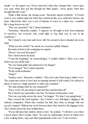mouth—so the papers say. Never answered when they charged him—never gave way once when they put him through the third degree—never spoke when they brought him into court."

"Quite a little drama, the closing scene," Besserley agreed sombrely. "A French court is very seldom quiet but when they sentenced him, you could have heard a pin drop. Afterwards, there was a sort of murmur of voices in a minor key—sounded like a long-drawn-out sob."

"This was yesterday?" the Colonel murmured.

"Yesterday," Besserley replied. "I suppose we all ought to have been ashamed of ourselves, but everyone who could fight or beg their way in was in the courthouse."

The Colonel's voice had sunk lower still. He seemed to have subsided also in his chair.

"What was the verdict?" he asked, in a scarcely audible whisper.

Besserley looked at his companion in surprise.

"Haven't you read the paper?"

The Colonelshook his head.

"I read the beginning," he acknowledged. "I couldn't finish it. There was a mist before my eyes all the time."

"He was found guilty and sentenced to be hanged."

"To be hanged," the Colonel repeated.

"Pretty awful retribution."

"When?"

"Sunday week," Besserley confided. "They don't give them long to think it over. The young man seems to have had an amazing amount of self-control. He refused to plead, to answer a single question, to make any comment."

"He said nothing when he was sentenced?"

"Not a word. He just turned round and they marched him off."

The Colonel rose unsteadily to his feet. He leaned on Besserley's arm.

"Give me your help across the street," he begged. "It's time I was going home."

They crossed the road together—the Colonel a very frail figure, clinging to his stalwart companion. When they reached the hall, they both, as though with one accord, stopped. Without any word between them, they turned to the luggage room. The Colonel closed the door behind them.

"If you will open that window about a foot," he pointed, "I will show you where I stood when I shot Caroline. Here," he went on, unfastening a locker in which were a few walking sticks, caps and other impedimenta of the sort, "is the revolver."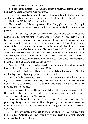They stood once more at the window.

"You don't seem surprised," the Colonel muttered, under his breath, his watery blue eyes twinkling nervously. "Did you know?"

"I guessed," Besserley answered gravely. "I came in here that afternoon. The window was still open and you had left the key in the door of the cupboard."

"The letters!" Colonel Costerleys exclaimed.

"They are still there," Besserley assured him. "I only glanced at one. Directly I read the first few sentences, I understood. I put them carefully back in the jacket pocket."

"Now I will tell you," Colonel Costerleys went on. "Antonio sent in the letters, addressed to her. She had probably prayed for their return. Well she might for, God help her, they were terrible. I opened the packet. I read them. I was nearly crazy with the gossip that was going round. I made up my mind to kill him. It was a long carry but that is a powerful weapon and I have been a crack shot all my life. I was there waiting when Caroline came out. She paused and looked back. She turned almost as though she were going into the house. Besserley, what came over me, I don't know, but all of a sudden I saw that it was she who was the sinner—not he. A sentence of one of those letters blazed in my brain and, as she stood there facing me, I shot her. That's all. I always felt that you knew."

"Yes, I knew," Besserley repeated gravely. "Perhaps it would have been better if I had left things alone. Give me the weapon, Colonel."

The Colonel backed away. There was a clearer light in his blue eyes. One felt that his fingers were tightening upon the butt of the revolver.

"Don't be foolish, Besserley," he said. "You can't seriously imagine that a man of my age, an invalid suffering day by day, who has killed his own daughter in cold blood, wants to go on living. I just had to set matters straight. It is pretty well done now. You can see—to him."

Besserley moved forward. He had never felt in such a state of indecision in his life. Suddenly the poor little Colonel, with his peevish mouth and watery eyes, seemed to have taken charge of the situation.

"You can tell the whole truth, if you think it necessary," the latter concluded. "On your story, though, I think they should let him go. Try that, anyhow. It would be better for the wife. I won't try to shake hands. It might make you an accessory. Good-bye."

Besserley's involuntary movement forward, his shout of remonstrance, were both too late. Colonel Costerleys, with a very firm finger and a swift upward movement, had blown out his brains.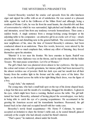## VI THE MYSTERIOUS PIRANDETTIS

General Besserley watched the smoke curl upwards from his after-luncheon cigar and sipped his coffee with an air of satisfaction. He was seated at a pleasant table against the wall in the Grillroom of the Milan Hotel and although, being a resident of Monte Carlo, he was far from his usual haunts, the cheerful ebb and flow of conversation by which he was surrounded, high-pitched and familiar alike in slang and intonation, saved him from any tendency towards homesickness. Then came a sudden break. A single sentence from a strange-looking young foreigner at the adjoining table to his companion—an attractive girl in an exotic sort of way—struck an entirely alien and disturbing note in the general hubbub. The conversation of these near neighbours of his, since the time of General Besserley's entrance, had been conducted almost in an undertone. These few words, however, were uttered by the young man with so much emphasis that, without any effort of listening, they forced themselves upon his attention.

"Biarritz! It is too near the frontier. We have enemies in Spain. Rudolf was attaché there when Alphonso was on the throne, and he made friends with the Italian Tessaro. We must pause somewhere. Let it be at Monaco."

The girl's black hair was plastered down almost to her eyebrows. Her lips were the colour and texture of scarlet geraniums, her intense pallor had been increased by the almost reckless use of powder. Both her dark eyes and her mouth lost all their beauty from the sombre light in the former and the sulky curve of the latter. Her figure, as she leaned across the table in her tight-fitting black dress, was the figure of a boy.

"A pig's hole," she muttered.

The young man, who had a small bald spot on the top of his dome-shaped head, a large but thin nose and the mouth of a weakling, shrugged his shoulders. A gleam in his eyes, which might have been a warning, flashed across the table. The girl halfturned her head. Besserley, ashamed of having played the eavesdropper, was lucky in being able to catch the eye of a passing acquaintance. He accentuated in his greeting his American accent and his transatlantic heartiness. Reassured, the girl leaned back in her chair and occupied herself with her vanity case.

Besserley's newly found acquaintance—Mr. Henry P. Coleman, by name accepted an invitation to share the former's table and, as he seated himself, glanced curiously at the couple who had already excited his friend's interest.

"That's queer," he muttered, almost under his breath.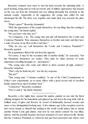Besserley ventured once more to turn his head towards the adjoining table. A good-looking young man in well-cut tweeds and of military appearance had paused on his way out from the restaurant and was talking pleasantly but earnestly to the unusual couple. Apparently at his suggestion, the young man called for and discharged his bill. The three rose together and made their way towards the glass doors.

"What's queer?" Besserley demanded.

"Well, the appearance of the couple themselves, for one thing, then the coming of the young man," his friend replied.

"Do you know who they are?"

"As it happens, I do. The young man and girl call themselves the Comte and Comtesse Pirandetti. They announce themselves as brother and sister and they have a suite of rooms on my floor in the Court here."

"Why do you say 'call themselves the Comte and Comtesse Pirandetti'?" Besserley queried.

His acquaintance flicked the ash from his cigarette.

"Of course, it may be the secondary title of another family," he conceded, "but the Pirandettis themselves are extinct. They must be either persons of some importance travelling incognito or—adventurers."

"The young man who came and talked to them seemed all right, anyhow," Besserley remarked.

"That's why he holds his job," was the dry response.

"His job?"

"That young man," Coleman confided, "is one of the Chief Commissioner of Police's new experiments, an ex-army officer with a good record and of excellent family, turned loose upon Scotland Yard."

"A detective!" Besserley exclaimed.

"You've said it," his friend chuckled.

Besserley, a few nights later, opened his napkin, pushed on one side the floral offering designed for his buttonhole and glanced up and down the long table with its brilliant array of glass and flowers, its crowd of fashionably dressed women and more or less distinguished-looking men. A few minutes ago in the reception room he had sworn deeply to himself that nothing in the world would induce him to attend another Monte Carlo gala dinner. And now he was utterly content! He was filled, indeed, with the possibly baseless but keen sensation of a new interest in life. Beside him the Comtesse Pirandetti, to whom he had just been presented and whose card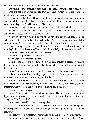he had found next his own, was languidly studying the menu.

"Do people ever go through a performance like this, I wonder?" she speculated.

"Odd members of my sex sometimes," he replied. "Yours, as a rule, have too much regard for their figures."

She turned her head and Besserley realised, now that she was no longer in a state of subdued agitation, that her eyes were wonderful and her mouth attractive, notwithstanding the still vivid colouring of her lips.

"You think I should take care? You are being personal?" she asked.

"Even a blunt American," he assured her, "would not have ventured upon such a subject if the necessity in your case had existed."

"You yourself," she remarked, as she helped herself to caviar and leaned on one side to permit the filling of her glass with vodka, "have not always what is called a good appetite. Perhaps the air of London does not agree with you so well as this."

"I had been up very late the night before," he confided. "Besides, a friend that morning had lured me into one of those subtle dens of indigestion—an oyster bar."

"So you have not forgotten me," she observed.

"I never forget people who interest me."

She indulged in a very slight grimace.

"I am not flattered," she told him. "You were only interested because you have the reputation of being a seeker after adventures and you saw us both marched off by a detective."

It was Besserley's turn to help himself to caviar and he did so in silence.

"I didn't even search the evening papers or read the Police Court news in the morning," he assured her. "By-the-by, your brother?"

"How clever of you to guess at the relationship! Stephen is here at the other end of the table, rather overshadowed by our portly hostess. *Enfin*, they tell me, General Besserley, that you are a dangerous man to know here. Is that true?"

"It is, at any rate, flattering."

"Subtle," she admitted. "Nevertheless an evasion. They tell me that you unmask hypocrites, bring criminals to justice and rescue the young and innocent from the dangers of this Principality."

"You amuse yourself with me," he complained.

"I would not dare. I was wondering," she went on, the faint drawl in her speech becoming more pronounced, "whether it might not be a good thing to take the initiative."

"The initiative!" he repeated. "That sounds intriguing but—I don't understand."

"To offer myself and my brother as fit subjects for your good offices," she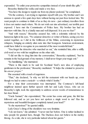expounded. "To enlist your protective sympathies instead of your sleuth-like gifts."

Besserley finished his vodka and made a wry face.

"You have the design to topple me from my plaster pedestal," he complained.

"On the contrary, I am trying to ingratiate myself with you. My brother and I are anxious to spend a few quiet days here without having our past lives looked into. We want people to continue to think of us as they do now—just ordinary travellers from it does not matter much where. We do not wish our sins advertised, our terrible past exposed. I have met the Commissaire of Police here. My brother has had an interview with him. He is a kindly man and well disposed. It is you we fear!"

"And with reason," Besserley assured her, with a solemnity relieved by the humorous light in his eyes. "No amateur detective or writer of fiction, seeing you two seated together, as I did in the Grillroom of the Milan, conversing in mysterious whispers, bringing an entirely alien note into that bourgeois American environment, could have failed to recognise in you material of the most wonderful kind."

"You forget the detective who marched us out," she reminded him, after a stiffly civil word or two with her neighbour on the other side.

"I did not like to drag him into the conversation," Besserley explained, "but he remains in the background of my memory. I shall never forget your tragic exit."

"So humiliating," she murmured.

"There is this much to be said for Scotland Yard's new idea of employing gentlemen in the profession," Besserley meditated. "It helps the criminal to preserve his *amour propre*."

She assented with a touch of eagerness.

"That," she declared, "is why we left the restaurant with our heads up, even though we had to enter a taxicab—a vehicle which I loathe."

For a time their conversation was interrupted. The Comtesse's left-hand neighbour insisted upon further speech with her and Lady Grace, who sat on Besserley's right, took the opportunity to address severe words of remonstrance to her dear friend.

"Uncle Samuel," she expostulated, "the caviar has come and gone, the fish has followed suit, and as yet you have not spoken a single word to me! Has the mysterious and beautiful foreigner completely turned your head?"

"Is she mysterious?" he queried mildly.

Lady Grace's shrug of the shoulders was very feminine.

"I do not know," she admitted. "I never met her before. One is rather inclined to take people for granted here, though. The Duchess does not believe in the motley throng. As a rule, she is very particular indeed about her guests."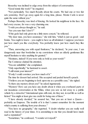Besserley was inclined to edge away from the subject of conversation.

"Good tennis this week?" he enquired.

"Not particularly. Too much Royalty about the courts. We had one or two fair sets yesterday. Don't go away again for a long time, please. Monte Carlo is never quite the same without you."

Perhaps Besserley was tired of fencing. He looked his neighbour in the face. He had every excuse, for was a very charming one.

"I wish you always thought so," he said.

"Are you sure that I don't?"

"If the gods had only given me a little more conceit," he reflected.

"My dear man, you have assurance," she told him, "which is just as good—and brains. You ought to know—you ought to have us all tabulated. I suppose you know just how much you like everybody. You probably know just how much they like you."

"Then, answering you with equal frankness," he declared, "in your case, I am dangerously near that borderline in my convictions when an elderly gentleman like myself hesitates to take anything for granted."

"Hesitates, indeed! If you were only as bold as your words!"

The Comtesse claimed his attention.

"You are unfaithful," she complained.

"Only superficially," he hastened to assert.

"I still retain your interest?"

"If only I could convince you how much of it."

The time for dessert had arrived. She accepted and peeled herself a peach.

"I believe you are beginning to look upon me as a possible case," she sighed.

"Is there any mystery about you?" he asked ingenuously.

"Mystery! How can you have any doubt about it when you overheard parts of our incautious conversation at the Milan, when you saw us led away to a public vehicle by a detective? International spies still exist, do they not, in real life as well as fiction? You might at least give me credit for being one of these."

"I have already decided," he assured her, "that you are at least a Queen probably an Empress. The trouble of it is that I cannot remember for the moment which country is suffering from your absence."

"You have no geography," she regretted. "I doubt whether you are really well read in the history of your times. It is astonishing to me that you should have made such a reputation!"

"Sometimes," he confessed, "I wonder at it myself."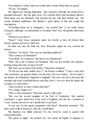"Nevertheless, I believe that you would make a better friend than an enemy."

"Try me," he begged.

She dipped her amazing fingernails—they seemed to him like the petals from a geranium blossom—into the glass bowl. He watched them with fascinated interest. Their lustre was not disturbed. She touched her lips with their delicate tips. The scarlet remained undimmed. She flashed a quick glance at him and caught him watching her.

"Everything about me is changeless," she assured him. "I am really Queen Cleopatra, although I am threatened by Scotland Yard! You will gamble afterwards —yes?"

"Whatever you choose."

"Hussy!" Lady Grace murmured under her breath, as they all obeyed their hostess' gesture and rose to their feet.

On their way into the Salle des Jeux, Besserley edged his way towards his hostess.

"Duchess," he asked, "who was my charming neighbour?"

"The Comtesse de Pirandetti?"

"I am afraid," he confessed, "that leaves me still ignorant."

"Well—she is the Comtesse de Pirandetti. That was her brother, the sardoniclooking young man who sat upon my left."

"But I have never heard of her before," Besserley meditated.

"To tell you the truth, neither have I," his hostess confided. "I had a card from Ann Lanchester, my greatest friend. On the back of it was written—'Do be kind to my friends, the Pirandettis. Elizabeth is delightful.' The note was left at the hotel this morning with some wonderful flowers and their cards. I was two short for dinner this evening, so I asked them."

"And you know no more of them than that?"

"Not a thing. Ought I to?"

"Who is Ann Lanchester?" Besserley asked a trifle curtly.

"She was the second daughter of the Earl of Castledene. She married Lanchester, a great landowner in the west of England, and she has a position at Court. Anyone she sent to me I should take to my heart."

"Is any one of your guests acquainted with them?" Besserley persisted. "The inner circle of life in Europe is, after all, a small affair."

The Duchess was mildly annoyed. No one, however, cared to quarrel with General Besserley.

"My guests to-night," she pointed out, "are nearly all English. It happens so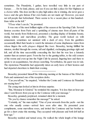sometimes. The Pirandettis, I gather, have travelled very little in our part of Europe. . . . Do be kind, please, and see if you can find a place for Her Highness at a *chemie* table. She does not like to play high unless she is winning, she never goes a *banco* and she gets furious if her own banks are not made up! However, you need not tell people that beforehand. There seems to be a vacant place at that hundredfranc table on the left."

"I'll see what I can do," he promised.

It was one of the most brilliant nights of the season at the Sporting Club. Several famous cocottes from Paris and a sprinkling of cinema stars from all parts of the world, but mostly from Hollywood, presented a dazzling display of feminine beauty, daring toilettes and marvellous jewellery. The great world looked on with amusement, sometimes not unmixed with a dash of envy. Even the gamblers occasionally lifted their heads to watch the intrusion of some diaphanous vision from whose fingers the *mille plaques* dripped like *louis*. Besserley, having fulfilled his mission, strolled through the rooms, tall and dignified, exchanging greetings right and left, and all the time successfully concealing the fact that his was less a leisurely saunter than an earnest quest. From the bar to the gaming tables, to the odd corners of the rooms and even up into the Night Club he passed, lingering here and there to speak to an acquaintance, but always searching. Nevertheless, his quest was in vain. The mysterious Pirandettis had apparently taken an early leave of their hostess and had departed elsewhere to finish their evening.

Besserley presented himself the following morning at the bureau of the Hôtel de Paris and summoned one of the reception clerks.

"Can you tell me," he enquired, "whether the Comte and Comtesse de Pirandetti are staying here?"

The young man looked at him in obvious surprise.

"But, Monsieur le Général," he reminded the enquirer, "it is less than an hour ago since I sent flowers from you up to the Comtesse with your message."

Besserley, genuinely perplexed, remained silent for a moment.

"Do you by chance remember the message?" he asked.

"Certainly, sir," the man replied. "One of your stewards from the yacht—not the one who usually comes—arrived here soon after nine. He presented your compliments, some marvellous roses, and invited the Comtesse and her brother to go for a short cruise this morning. They accepted with pleasure and both left half an hour ago."

Besserley nodded and turned away. He walked the whole length of the lounge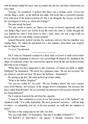with his hands behind his back, then he turned into the bar and threw himself into an easy-chair.

"George," he remarked, "I noticed that there was a strange yacht—if you can call the thing a yacht—in the harbour last night. She looks like a converted torpedo boat with most of the paint scratched off. She is up alongside the *Jacquy* on the left. Do you happen to know to whom she belongs?"

The man shook his head.

"No one seems to know, sir. There's no owner on board, apparently, and she was flying a flag I never saw before in my life when she came in. Guido thought she was Turkish but when I went down to have a look, there was not a sign of life on board and she was only flying a house pennant."

General Besserley looked out into the enclosure and saw that his chauffeur was waiting there. He visited his apartment for a few minutes, descended and stepped into his Hispano-Suiza.

"*Le port*," he directed.

The Comte de Pirandetti reclined in a deck chair on board a small vessel which he was already beginning to discover was exceedingly ill adapted for anything in the shape of a pleasure cruise. He removed his cigarette from his lips and looked around him with an air of disgust.

"What then can have happened to this American, of whom you think so highly, Elizabeth?" he demanded. "We arrive for a pleasure cruise. We are not received. We are asked to wait for our host. We leave the harbour—Damnation!"

He sprang to his feet. His sister looked up at him calmly.

"What is the matter, Stephen?"

"Do you not realise it?" he cried. "We are brainless idiots! We were warned away from Biarritz, not because of the danger from Communists, but because this place suited Rudolf better! We are probably his prisoners at the present moment. We are being abducted!"

The Comtesse knocked the ash from her cigarette.

"I came to that conclusion as soon as we had passed out of the harbour," she admitted coolly. "It is really deplorable. We have protected ourselves—with the help of others—so admirably, and yet, at the last moment, we walk into the simplest of traps!"

The face of the young man by her side was livid.

"Do you really think," he demanded, "that this is an affair of Rudolf's?"

"Of Rudolf's or Yakovitch's," she agreed. "I thought, somehow, from the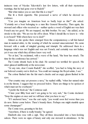insincere tone of Nicolas Yakovitch's last few letters, with all their mysterious warnings, that he had gone over to Rudolf."

"But what makes you so sure that this is a trap?"

She lit a fresh cigarette. She possessed a nerve of which he showed no evidence.

"Can you imagine an American boat so badly kept as this?" she asked. "Certainly not a boat belonging to a man like General Besserley. Then again, the steward and officer who received us—neither spoke a word of English nor was their French any too good. We are trapped, my little brother. No use," she added, as he strode to the side. "We are too far off to shout. What I should like to know is—who is on board? With whom have we to deal?"

Almost as she spoke there emerged from the companionway a tall fair-haired man in nautical attire, to the wearing of which he seemed unaccustomed. He came forward with a smile of mingled greeting and triumph. He addressed them in a language which was not English and was not French, and certainly was not Italian, yet it was one which they all three knew very well.

"So at last," he exclaimed, with a wave of the hand, "the hour has struck. The time for the conference has arrived."

The Comte shrank back in his chair. He seemed too terrified for speech. His sister glanced indifferently at the newcomer.

"At any rate, dear Cousin Rudolf," she scoffed, "you had to bring the navy of our beloved country out to fetch us. You could not manage the Royal salute, I see."

The colour flushed into the fair man's cheeks and an angry gleam flashed in his eyes.

"Our country may yet possess a navy," he replied stiffly, "when her natural ruler is on the throne. I suggest that we proceed below. There are things to be spoken of which must not be overheard."

"I prefer the fresh air," the Comtesse said.

"I hate your filthy boat and I am going to be very sick," the Comte declared. "Stop the engines at once and we will hear what you have to say."

"If I anchored here," was the curt reply, "you would soon feel worse than you do now. Better come below. There's brandy there. Perhaps one might stumble upon some champagne!"

The Comte rose, groaning to his feet.

"Anywhere, if there is really brandy," he agreed.

Elizabeth also rose with a sigh. They all three descended into a bare-looking saloon. There were no signs of luxury and only one steward in attendance. At his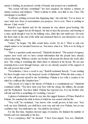master's bidding, he produced a bottle of brandy and poured out a tumblerful.

"My cousin will take something?" her host enquired, his manner a mixture of clumsy courtesy and defiance. "There is plenty to drink, very little to eat, I fear. The champagne is excellent."

"I will take nothing on board this disgusting ship," she told him. "Let us know at once what new form of assassination you propose. Get it over. There is nothing to discuss. I hate words."

Rudolf's eyes flashed and for the moment he was almost good-looking. His features were rugged but not ill-shaped. He had at least the presence and bearing of a man, spoilt though it was by his bullying voice, thick lips and small eyes. He took the fixed chair at the end of the table and motioned them to seat themselves one on either side of him.

"Listen," he began, "my little cousin hates words. So do I. There is only one simple matter to be decided between us. You know what it is. Who is to be King of Palania?"

"That is a question easily answered," Elizabeth declared. "The period of regency expires next week and we have certain information that the people have already chosen their king. Without a doubt, my brother will ascend the throne the week after next. The voting is something like thirty-three to nineteen in his favour. We are just returning from a tour through Europe, and we are already assured of the support of the only powers that count."

"Nevertheless, I have a word to say," Rudolf exclaimed fiercely. "I care nothing for those bought votes or the honeyed words of diplomats! When the time comes, it is I who will present myself to the Archbishop. Palania is too wild a country to be ruled by a milksop like Stephen here."

"The ascent of a king to the throne of Palania is a constitutional act," Elizabeth continued calmly. "You have tried your best with the clergy, the military, the people and the Parliament. You have failed. Palania has rejected you. It is my brother who will rule and if he is something of a weakling. I am not."

A gleam of admiration found its way into the rugged features of Prince Rudolf of Palania. He smashed the table in front of which he was seated with his fist.

"Very well," he exclaimed, "one knows who would govern, in that case. Very well, my dear Elizabeth, you shall have your way and rule over Palania, but on one condition only. You shall marry me. You shall be my Queen."

For the first time, Stephen showed signs of emotion. He finished his tumbler of brandy and rose unsteadily to his feet.

"It is a conspiracy, this!" he shouted. "I have been duped. You, too, Elizabeth.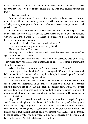Unless," he added, spreading the palms of his hands upon the table and leaning towards her, "unless you are in this—unless it is you who have brought me into this trap."

She laughed scornfully.

"You fool," she declared. "Do you not know me better than to imagine for one moment I would give over my body and marry with a lout like that, even for the joy of ruling over my own people? It is you to whom the throne belongs, Stephen, and you shall have it."

Once more the deep scarlet flush had mounted slowly to the temples of the flouted man. He rose to his feet and his voice, which had been loud and raucous, was little more than a whisper. He changed his language to French. He was in the throes of a very obvious passion.

"Very well," he decided, "we have finished with words!"

He struck a clumsy iron gong which stood by his side.

"The torture chamber?" she mocked.

"The only Court of Palania," he answered, "which has ever stood the test of the ages. Follow me, if you please."

He led them once more on deck—this time to the starboard side of the ship. There were newly ruled chalk lines at measured distances. He opened a chest which stood beside the rails.

"What is this that you are proposing?" Elizabeth scoffed. "A game?"

"It is the game of steel and fire," her cousin replied. "Our ancestors gained and held the handful of rocks we call our kingdom through the knowledge of it. It shall decide this matter between Stephen and me."

There was a brief, ugly silence. Neither Elizabeth nor her brother understood exactly what was happening. In obedience to a gesture from Rudolf, a seaman dragged forward the chest. He laid upon the nearest boat, which was swung inwards, two highly burnished and venomous-looking cavalry sabres, a couple of revolvers and a box of cartridges. Rudolf watched him approvingly. He turned with a smile to his visitors.

"Very well," he continued, "you will not give way. You refuse to bargain. Stephen and I have equal rights to the throne of Palania. The voting of a few greasy tradesmen and bought clergy is of no account. We willsettle the matter for ourselves here and now. We will go back a generation or two. We shall not lose by that. The present one is foul enough! Stephen and I will fight for who shall ascend the throne. In the generations when we flourished, Palania was conquered by the sword and held by the sword. We shall only be remaking history."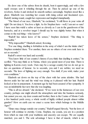He drew one of the sabres from its sheath, bent it approvingly, and with a few rapid sweeps sent it whistling through the air. Then he picked up one of the revolvers, broke it and stroked its smooth surface caressingly. Stephen stood like a ghost. Elizabeth was watching her cousin with rising colour and fascinated eyes. Rudolf, turning round, caught her expression and laughed triumphantly.

"The blood of our race, Elizabeth," he exclaimed; "it still flows in your veins all right! Do not deny it. You love a fight. As for Stephen here—well, I am not so sure! I have seen him wield a sabre at least as cleverly as I can in the guardroom of the barracks, and at a revolver target I should say he was slightly better. But when it comes to the real thing—who knows?"

"Rudolf has taken leave of his senses," Stephen declared. "The thing is impossible."

"Why impossible?" Elizabeth asked, frowning.

"For one thing, duelling is forbidden in the army of which I am the titular chief," Stephen reminded them. "For another, there are no others of our own rank here to act as seconds."

Rudolf's retort was hard and scornful.

"You know little of our country's history if you think that duelling is extinct," he scoffed. "You may think so in Vienna, where you spend most of your time. There is fighting in Karota every week. Ours may be a savage country but we do not go to law on questions of honour. As to seconds, you and I are nobles; we need no seconds. The laws of fighting are easy enough. You shall, if you wish, make your own conditions."

Elizabeth sat down on the top of the chest with her arms akimbo. She had thrown aside her hat and the wind was doing as it pleased with her hair. Rudolf looked at her in amazement. A moment ago he had been assured of her sympathy. It was an indubitable fact now that she was laughing.

"This is all too absurd," she declared. "If we were in the fastnesses of our own country, perhaps one might absorb the atmosphere and take the business seriously, but cannot you see, my dear cousin and brother, there is the Casino of Monte Carlo a few hundred yards away, a whole world of highly civilised people almost within gunshot? How on earth can we enact a scene here which belongs to the Middle Ages?"

"Times may change outside our country," Rudolf argued fiercely, "but the laws of honour will continue to eternity. Come, Stephen, my cousin, you are in a position from which no man with your traditions and ancestry can escape. We are equally matched, you and I. The sole advantage I have is that of muscle, which is no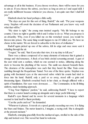advantage at all in this business. If you choose revolvers, there will be more for you to aim at. If you choose the sabres, you have as long an arm as I and equal skill. I am really indifferent because whichever you choose, I am quite sure that I shall kill you."

Elizabeth shook her head perhaps a little sadly.

"The days are past for this sort of thing, Rudolf," she said. "Put your weapons away. Stephen will await the decision of our Parliament and you know very well what that will be."

"My sister is right," the young man insisted eagerly. "My life belongs to my country. I have no right to gamble with it and I refuse to do so. What you propose is an absurdity. Why, even if you killed me on this wretched vessel, you would be thrown into prison. The same thing would happen to me if I killed you. We have no choice in the matter. We are forced to subscribe to the laws of civilisation."

Rudolf again picked up one of the sabres, felt its edge and once more sent it whistling through the air.

"I regret," he said, "that if you take that view, it is my duty to kill you."

There was a silence composed of so many elements of reticence that it gained a strange and vital tenseness. A flock of sea birds circled screaming around. A gust of the east wind sent a cushion, which no one seemed to notice, slithering along the deck to become the plaything of the waves. The sunlit sea danced beneath them. The clearness of the atmosphere was such that they heard the Blue Train come rumbling through the Roquebrune Tunnel. Not one of the three spoke. Stephen was gazing with fascinated eyes at the uncovered sabre which his cousin had tried to force into his hand. Rudolf, only a yard or so away, stood still—a grim and threatening figure. Elizabeth crouched back in her chair, as though afflicted with a spirit of humiliation. Her eyes were downcast. . . . The Commander, in his ill-fitting uniform, made hesitating approach.

"I beg Your Highness' pardon," he said, addressing Rudolf. "I have to report that there is a motor launch coming up alongside and a large yacht following."

Rudolf's eyes flamed and he swore for several moments in a language which seemed to lend itself to fluent profanity.

"Can the yacht catch us?" he demanded.

"Whenever it pleases. It travels at a speed greatly exceeding our own. It is flying the Stars and Stripes. The motor launch is, I imagine, a racing craft. She is alongside at the present moment."

Elizabeth, emerging gracefully from the mediaeval ages, strolled to the side of the ship and looked over. She waved her hand in welcome.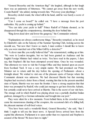"General Besserley and the American flag!" she laughed, although in that laugh there was an undernote of bitterness. "We cannot get away from the new world, Cousin Rudolf," she added, turning towards him. "Put away your playthings."

Besserley circled round, the wheel still in his hand, until he was barely a score of yards away.

"Can I come on board?" he called out. "I have a message from the port authorities. My yacht is coming up behind."

"You can take your yacht to hell!" Prince Rudolf of Palania shouted, as he disappeared through the companionway, slamming the door behind him.

"Ring down dead slow and lower the gangway," the Commander ordered.

"Explanations are always cumbersome things," Besserley remarked, as he stood by Elizabeth's side on the balcony of the Summer Sporting Club, looking across the moonlit sea, "but now that I know so much, I must confess I should like to know why you were marched out of the Milan Grill by a detective?"

"A clever man like you really believed that!" she remonstrated, smiling up at him. "We were in London incognito, but we had been granted an Audience and the English Foreign Minister had visited us twice. You have read in the papers, I dare say, that Stephen's life has been attempted several times. Once he was wounded. That afternoon we were to visit the Foreign Office and they insisted upon an escort from Scotland Yard. It was a very simple matter. We had promised our Prime Minister not to return until the day before the opening of Parliament—about a fortnight ahead. We wished to visit one of the pleasure spots of Europe where the Communist element was unknown. We had discussed Biarritz but that morning Stephen had received a letter from a friend, warning him that in the present unsettled state of Spain, Biarritz was too near the frontier. I have a strong suspicion that that letter was prompted by Rudolf, who could just manage to get here from the Adriatic, but certainly could never have arrived at Biarritz. That is the secret of our visit here. The strange craft in which Rudolf was playing about was a partially disabled Italian gunboat, damaged by a German submarine and brought into our port."

They were silent for a few moments. From behind them, in the crowded room, came the monotonous chanting of the croupiers, the occasional click of a falling ball, the pleasant murmur of well-bred voices.

"You have been such a wonderful friend, General Besserley," she said, "that I think I ought to tell you the latest news. A Special Envoy arrived here from the capital this afternoon. Parliament is to open earlier than we expected and Stephen is assured of the throne! We leave here to-night."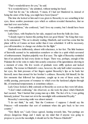"That's wonderful news for you," he said.

"It is wonderful news," she admitted, without turning her head.

"And but for me," he reflected, "I mean, if I had not blundered in, instead of being the sister of the King, you might have been Queen!"

This time she looked at him and it was given to Besserley to see something in her eyes, those sombre passionate eyes which so seldom revealed themselves, that no man had ever seen before.

"I am ambitious," she confessed, "and I love my country, but I should have been very unhappy."

Lady Grace, with Stephen by her side, stepped out from the Salle des Jeux.

"I deeply regret to hasten this parting from our good friend," the King-that-wasto-be announced. "The car is already waiting, Elizabeth, and word has come that the plane will be at Cannes an hour earlier than it was scheduled. It will be necessary, you will remember, to change our clothes for the flight."

Elizabeth rose deliberately, almost with reluctance, to her feet. The little business of farewells seemed to be undertaken somehow or other in a spirit which savoured of embarrassment. Stephen palpably was ill at ease. The sight of Besserley reminded him of an episode he had every desire to forget. There was, perhaps, enough of the Palanian fire in his veins to make him acutely conscious of his ignominious showing in a moment of crisis. His few words of gratitude were stiffly spoken and lacked cordiality. The tremor in Elizabeth's voice, however, the only half-veiled sweetness in her eyes, the faint pressure of her fingers against Besserley's lips as he bade her farewell, more than atoned for her brother's coldness. Besserley felt himself, for the few moments that followed her departure, caught up in one of those acute, but swiftly passing, paroxysms of romance to which even the hardened pilgrim through life, of emotional temperament, is sometimes subject. . . .

Lady Grace looked a little curiously at Besserley as soon as they were left alone.

"I don't mind confessing," she observed, as she took the place which Elizabeth had vacated, "that I hurried that young man up a little. The fact of it is, I was getting furiously jealous! You must not sit in the moonlight with sentimental Royalty."

Besserley's answering smile was almost natural.

"I do not think," he said, "that the Comtesse—I suppose I should say the Princess—will remember that sort of sentiment when she gets back to her own country."

"Very likely not," Lady Grace agreed, leaning towards him, "but partings are always dangerous things and I made up my mind that if anyone was going to propose to you in the moonlight, it should not be the Princess Elizabeth!"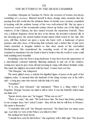## VII THE BUTTERFLY IN THE DEATH CHAMBER

Josephine, Marquise de Vaucluse St. Pierre, the sweetest of women, but always something of a *poseuse*, flattered herself in those strange misty moments that her passing from this world into the nebulous future of eternity was a journey exquisitely in keeping with the æsthetic beauty of her own well-ordered life. She lay upon a rosewood couch of the seventeenth century drawn up before one of the high oriel windows of the Château, her face turned towards the mysterious Estérels. There was a delicate fragrance about the lace at her throat, the lavender-coloured silk of her dressing gown, the ancient leather-bound missal which rested by her side. Her eyes, still blue, looked out upon a scene she knew well—a landscape of green pastures and olive trees, of flowering fruit orchards and a darker line of pine trees which stretched in irregular fashion to that silver streak of the sun-bathed Mediterranean. She remembered the consoling words of the priest who still remained in attendance but she found it hard to believe that the world to come could hold anything more beautiful.

Something woke her from a long daydream. It may have been the appearance of a marvellously coloured butterfly, fluttering aimlessly in and out of the window, resting now upon its grey stone sill and preening its wings with almost feminine vanity. She made the slightest movement with her head. A nurse bent over her.

"The Marquis," she whispered.

The nurse glided away, a solemn but dignified figure of peace in the garb of her religious order. A moment later the husband of the dying woman was at his wife's side—a long grey man who moved with the help of a stick.

"Josephine?"

"It is you, dear Edouard," she murmured. "There is a thing which I had forgotten. Strange, because my mind is still so clear. It was the butterfly which made me think of it."

"Speak slowly, dear one," he begged. "What can we do?"

"There is a man," she said. "We both know him. We knew him better, perhaps, in our younger days, but I asked Louise—they tell me that he still lives in Monaco. His name is Besserley."

"I remember him well," the Marquis answered. "He dined here not many years ago. Last time we were at the Palace you talked to him."

She inclined her head slowly.

"I should have sent for him before," she regretted, with a little sigh. "The doctors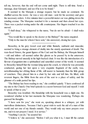tell me, however, that the end will not come until night. There is still time. Send a message, dear Edouard, and see if he is to be found."

It seemed to the Marquis a strange request, but he made no comment. He shuffled across the room—he was a very old man—sent for his secretary and gave the necessary orders. A few minutes later a powerful motor car was gliding down the winding avenue. The Marquise watched it for a moment and then closed her eyes. There was a packet resting under the silk counterpane. Her fingers touched it as she moved.

"I shall sleep," she whispered to the nurse, "but do not be afraid—I shall wake again."

"You would like to speak to the doctor or the Bishop?" the nurse enquired.

"Only to the man for whom I have sent," she answered, closing her eyes.

Besserley, in his grey tweed coat and white flannels, sunburnt and muscular, seemed to bring a strange element of vitality into the stately apartment of death. The wan-faced Sisters, the gaunt figures of the Curé and the Bishop, the Marquis himself —old and infirm—all seemed rather like ghosts as he passed by in the anteroom. The Bishop moved uneasily in his high-backed chair. It was like the introduction of a flavour of paganism into a spiritualised and sanctified corner of the world. It seemed to Besserley himself that the woman lying upon the couch, to whom he was presently conducted, gazing her last upon a very exquisite fragment of the earth, was, notwithstanding her ebbing flame of life, still nearer to humanity than the little group of watchers. They placed him in a chair by her side and left him. He lifted, with reverent fingers, the Bible from the arm of the seat to a place of safety, and the glimmer of a smile parted her lips.

"The Bishop has been reading to me," she confided quietly. "I have confessed all my sins to the Church. One brief episode is a secret between God and myself. I wish to speak of that to you."

Besserley was troubled. His friendship with the household was a slight one. He wondered whether in her last moments the Marquise was wandering. Perhaps she guessed his thoughts.

"I have sent for you," she went on, speaking almost in a whisper, yet with marvellous distinctness, "because I had a great wish to seek the aid of a man of this world and not one of my friends outside. They would only say more prayers over me, and it is not prayers I need. It is service."

"Anything I can do," he assured her.

"I believe it," she answered. "Before I tell you what it is, I must lift the curtain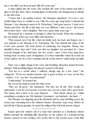just a very little way from my past, fifty-five years ago."

A nurse glided into the room. She touched the wrist of her patient and held a glass to her lips, then, with a warning glance at Besserley, she disappeared as silently as she had come.

"I know that I am getting weaker," the Marquise murmured. "It is not a very terrible thing I have to confide to you. Fifty-five years ago, long before I married the Marquis, I was dancing in opera at St. Petersburg. I had great success. I went on to Vienna and Paris. My life at that time was very different. I had a lover—all women had in those days—and a daughter. That was a great many years ago."

She paused for a moment, as though to collect her breath. When she continued, the sad depths of her eyes were filled with memories.

"They passed out of my life, when my family took me back and forgave me. I was married to the Marquis in St. Petersburg. The Tzar himself and many of the Court were present. My brief period of wandering was forgotten. Money was plentiful in those days and I took care that my daughter was provided for. I have scarcely thought of her until these last few weeks—since I have been lying here, looking back on many years of happiness. It is these butterflies which fly in and out of my window, live in to-day's sunshine and die on the morrow which made me think —"

There was a slight change in her voice and breathing. Besserley leaned forward, alarmed. With trembling fingers she placed a packet in his hand.

"You live in a world where I suffered, though only for a few years," she whispered. "If you see another prisoner who is good at heart as I was, set her free —before—it is—too late. You understand?"

"I understand," he assured her.

She waved her hand towards the other room.

"They are all good," she murmured, "but they are all old. They would not understand. I sent for you because everyone says you are a man with a great heart. The money that is there is for your disposal. . . . Dear friend, please go. I think something is coming to me. My husband. I promised—my husband—his hand—"

The Marquis was lingering upon the threshold and he came hobbling across the room, tears streaming down his withered cheeks. Besserley crept away. Before he had left the Château grounds, he heard the tolling of the bell in the private chapel.

Seated upon the window sill of a rude barn attached to a farmhouse almost hidden amongst the enfolding hills, Besserley, by the caprice of a sensation-loving hostess, passed on one evening a few weeks later to the second scene of the little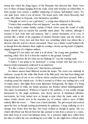drama into which the dying legacy of the Marquise had directed him. There were two or three oil lamps hanging from the walls, some rude benches on which thirty or forty people were seated, a muffled whispering of curious, half-hushed voices. No one quite knew what it was all about. The house party with whom Besserley had come, after dinner at Napoule, were themselves mystified.

"I thought we were to see a girl dance," a young man whispered to Besserley.

"I believe that something of the sort happens," was the cautious reply.

From behind a rather shabby curtain of black velvet came the sound of softly struck chords upon an ancient but carefully tuned piano. The melody, although it seemed to lack both time and purpose, had a curious fascination of its own. It seemed like a blend of the paganism of modern Russian music and the chants of long-past ages. Every now and then there was something which was almost like a discord, then the wail of a slower movement. There was a fainter sound behind it all, as though from the distance there might be coming a slowly moving band of pilgrims, singing fragments of a religious anthem.

"Hanged if I can make out what it is all about," the young man grumbled. "No smoking, either. How far is it from the window to the ground, General?"

"A good deal too far for what you are thinking of," was the warning reply.

"I believe I am going to be hysterical," a young woman who had just won a famous tennis tournament confessed in an undertone.

"It is like a séance ofsome sort," their hostess murmured.

An almost unseen hand fluttered around the lamps. The room was suddenly in darkness, except for the white shirt fronts of the little party who had been dining and the strained faces of one or two of those whose emotions had been aroused. With a creaking sound the curtain rose. At first it seemed as if there was nothing but a well of empty space, then lights from some illusionary background, the figure of a living woman dressed in white, her hands upraised, her features almost indistinguishable. The music recommenced. Whatever it meant to the audience, it was readily enough interpreted by the single performer, who slowly moved, in rhythmical effortless movements, her body turned now as though in pain when the music sank to the minor, cruder chords, now in the smoother joy of content, when a wave of fuller melody filled the room. . . . There was a harsh interlude. The girlswayed and rocked upon her feet, as though seeking passionately for guidance. A long, suffering cry in a strange tone broke from her lips. Her body writhed as though in agony. The cry which still ebbed and flowed from her lips seemed to turn from a prayer to a curse, then died away in sweet but inhuman notes. So a priestess might have called from the altar on which she was sacrificing her own child. So she might have sobbed when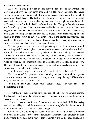the sacrifice was accepted. . . .

There was a long pause but no one moved. The face of the woman was downcast and invisible. Her hands rose and fell. Her body trembled. The music which had died away came back. From some unseen place came the sound of crudely simulated thunder. The flash of light, however, a few minutes later, was real and vivid, a surprise to the whole shivering audience. For a single moment the whole of the stage seemed to be bathed in ambient illumination. The girl's face shone out the face of a dying saint. Her body seemed suddenly stretched upwards. Her white fingers almost reached the ceiling. Her head was thrown back and a single long, marvellous cry rang through the building, as though some imprisoned spirit was seeking to escape from its narrow confines. Then, in the silence that followed, the creaking of the falling curtain was heard. There was nothing visible but crushed black velvet. Fingers again almost unseen relit the oil lamps. . . .

No one spoke. It was a silence with peculiar qualities. Then someone seated near a lamp pulled out and glanced at his watch. A murmur of astonishment broke from his lips and was caught up by others in the room. Thirty-five minutes! Somehow or other a little chorus of voices, still half-hushed, seemed released. People began to rise to their feet. It was a curious fact, though, that no one uttered a word of criticism. His companion spoke to Besserley, but Besserley made no reply. He was still seated in his original posture, his eyes fixed upon the shabby curtain. The young man by his side slid to the floor.

"I'm off to have a cigarette somewhere," he muttered, "or I shall choke."

The hostess of the party—a very charming woman whom all her guests afterwards declared had never been so silent, except in sleep, for any half-hour since they had known her—leaned forward.

"You need not worry about your cigarette, Fred," she told him. "The performance is over."

They stole out—even the more frivolous ones—like ghosts. Voices were hushed. Footsteps fellsoftly upon the cobble-stones. By degrees they began to talk but not a single voice was raised.

"If only one knew what it meant," one woman almost sobbed. "I felt like crying —I felt like calling out and there seemed to be no thoroughfare for the emotions. I didn't know whether I was enjoying it or hating it."

When they came to compare notes, everyone confessed to having become conscious of the same sense of mental disturbance. Besserley alone amongst the little party finding their places in the row of cars remained silent. Lady Grace touched his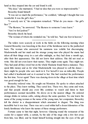hand as they stepped into the car and found it cold.

"My dear," she murmured, "I had no idea that you were so impressionable."

Besserley found himself.

"It was not so much the performance," he confided, "although I thought that was wonderful. It was the girl's face."

"I scarcely saw it," his companion remarked. "What do you mean—'the girl's face'?"

"The likeness," he answered. "The likeness to someone I once knew."

"Am I to feel jealous?"

Besserley shook his head.

"The woman of whom she reminded me," he told her, "had one foot in heaven."

The toilers were scarcely at work in the fields on the following morning when General Besserley was knocking at the door of the farmhouse next to the padlocked barn. The woman who answered his summons was voluble but discouraging. Mademoiselle and her maid and the strange young man who played the music had taken all their things away in a cart after midnight, as they had done a month ago, after their first appearance. She did not know their address. She did not read or write. She did not even know their names. They might come again. They might not. They had paid all they owed but on the whole Madame found them a nuisance. They spent little money and as for what Mademoiselle was pleased to call the dance there might be people who saw merit in it. For herself it was an imbecility. People had called it heathenish and so it seemed to her. She had watched the performance the first time. Never again! There was dancing down in the village at feast time which was good enough for her. . . .

Besserley ordered wine. He sought out Monsieur. He spoke to others attached to the place. They knew nothing. They cared less. These two, they came and went, and that people should pay even fifty centimes to watch and listen to their performances seemed incredible. He drove on to the nearest village. He ordered strange drinks in various cafés, asking always the same question. No one knew the name of the young woman or the name of the young man, her companion. Besserley left the district in a disappointment which amounted to disgust. The thing was incredible but it was true. There was not a soul within half a dozen kilometres of the lonely farmhouse who knew the names of these strange performers.

Fortune came to him that night, however. Glancing round the restaurant of the casino for a supper table, a curtain, by the side of the stage only a few feet away from him, was lifted, and he found himself looking straight into the eyes of the girl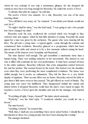whom he was seeking! It was only a momentary glimpse, for she dropped the curtain at once but it was long enough for Besserley. He called the *maître d'hôtel*.

"I will take this table for supper," he told him.

The *maître d'hôtel* was amazed. As a rule, Besserley was one of his most exacting clients.

"You will find it very noisy, sir," he ventured. "I am afraid your friends would not care for it."

"To-night I shall be alone," was the brief reply. "I was going to ask a few people but I have changed my mind."

Besserley took his seat, swallowed the cocktail which was brought to him, ordered wine and supper, which he had little intention of eating. Presently the usual signal for a turn was given by the orchestra. The guests who were dancing left the floor. The girl and a young man—a typical gigolo—came through the curtains and commenced their evolutions. Besserley glanced at a programme which had been placed upon his table and stared at it for a few moments without raising his head. The names of the dancers were Josephine and Raymond. . . .

The man danced well enough. The girl resembled a marionette more than a human being. There was nothing seductive in her movements. She danced as one who is filled with contempt for her own performance. It must have seemed obvious to the entire audience, Besserley reflected, that some antagonism existed between her and her partner. She seemed frozen by his touch. She looked over his shoulder, even when they were performing the most complicated evolutions. The dance was skilful enough, but it awoke no enthusiasm. They left the floor to a very feeble display of applause. Their second effort was no better. Besserley moved his table to give them a little more room as they passed. The girl offered no word of thanks. The young man was suave but indifferent. They disappeared behind the curtain and almost before it dropped Besserley could hear the man's voice raised in anger. He touched a *maître d'hôtel* upon the shoulder and sent for the manager, who hurried up.

"Everything all right, I hope, General?" the latter asked anxiously.

"Perfectly," was the brief reply. "I wondered whether you would do me a favour"

The man bowed.

"Anything, General," he assured him.

"Well, then, I shall ask you something I have never asked before. I should like an introduction to those two young people who have been dancing this evening."

The manager hesitated.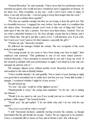"General Besserley," he said earnestly, "I have never had two performers here to entertain my guests who would not have considered such a suggestion an honour. As for these two, Miss Josephine, at any rate—well, I don't know what to make of them. I can only tell you this—I am not going to keep them longer than the week."

"You do not consider them capable?"

"Oh, they are capable enough, but they are not trying, at least the girl is not. She is a beautiful *danseuse*. I engaged her once before, but she made it a condition that she dance alone. Nowadays people won't look at that sort of thing and I had to insist upon it that she take a partner. You have seen them dance, General. You can see what a miserable business it is. He does all right, except that he is furious, and I don't blame him. The girl is just like a piece of ice. I will introduce you, if you wish, but I warn you I won't answer for their manners, especially the girl's."

"I'll take my risk," Besserley decided.

He followed the manager behind the curtain. The two occupants of the room looked round angrily.

"You young people do not seem to have been doing your best to-night," their employer said austerely. "This gentleman is one of our most valued patrons— General Besserley. I have promised to present him to you and I keep my word. If the General is satisfied with your performance to-night, I am afraid he is the only one amongst my patrons who is."

The manager slipped away without another word. Besserley bowed to the girl and nodded to the man in friendly fashion.

"I feel a terrible intruder," he said genially, "but so much of your dancing to-night was good that it astonished me to realise how bad the rest was. Some little trouble, I imagine. I wondered whether I might be of any service."

The girl looked up.

"No one," she said, "could be of the slightest service."

"Mademoiselle is crazy," the young man explained. "As for me—she is ruining my chances."

"Would it be too much to ask you if you would join me in a bottle of wine and perhaps a little supper?" the General invited.

"Thank you," the girl replied. "I do not drink wine and I do not wish for any supper."

"You won't even tell me what is wrong?"

"I will," Raymond declared, suddenly moving towards the curtains, as though determined that the girl should not escape. "Listen. We are supposed to be partners. I have a wonderful offer to dance at Nice and at Monte Carlo. She will not go."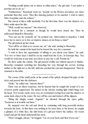"Nothing would induce me to dance at either place," the girlsaid. "I am under a promise not to do so."

"Furthermore," Raymond went on, "people on the Riviera nowadays are more particular than they were. They like dancing partners to be married. I wish to marry Miss Josephine and she refuses."

She stared at him a trifle insolently. For the first time, there was the shadow of a bitter smile upon her lips.

"Well, would not anyone?" she observed.

He looked for a moment as though he would have struck her. Then he addressed himself to Besserley.

"You can see for yourself, sir," he pointed out, "intervention is hopeless. I shall leave her to starve or to live on shadow dances at ten francs a time!"

The girl picked up her cloak.

"You will be so kind as to excuse me, sir," she said, turning to Besserley.

He held the curtain in his hand but he barred the way for a moment.

"I wish to have the opportunity of talking to you about your future," he said. "For two or three days I shall be on my small boat the *Echo*, in Garoupe Bay. You would be welcome at any time you chose to pay me a call. Permit me."

He drew aside the curtain. The girl passed swiftly out without speech or thanks. Besserley remained watching her threading her way through the crowd, looking neither to the right nor to the left, untilshe reached the exit and disappeared. Then he returned to his table.

The owner of the small yacht, at the sound of the splash, dropped his pipe on the deck and peered into the darkness.

"Hello," he called out; "anyone there?"

There was no direct response, but he fancied that he caught the sound of a cry of terror partly suppressed. He turned on the electric reading light which hung over his head. Not twenty yards away was an overturned rowing boat and the shadow of some dark object in the water. He tore off his coat and kicked off his slippers.

"Bring the dinghy round, Auguste," he shouted through the open galley. "Someone is in trouble out there."

He stepped over the rail and dived in, swimming with long powerful strokes towards the boat. At first there was nothing to be seen: then, to his horror, he caught a glimpse of a white face, the slim body of a girl just below the surface. He swam round and got his hand underneath her neck.

"Don't struggle, please," he begged. "Lie on your back and float if you can."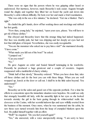There were no signs that the person whom he was gripping either heard or understood. Her inertness, however, made Besserley's task easier. Auguste brought round the dinghy and together they lifted her on board the yacht and down into Besserley's cabin without difficulty. He bent over her and made a brief examination.

"She was only in the sea a few minutes," he declared. "Get me a blanket. That's right."

He chafed the girl's hands, drew off her soaking shoes and stockings and rubbed her feet gently.

"Now then, young lady," he enjoined, "open your eyes, please. You will have to get rid of those clothes."

She obeyed and Besserley knew that this strange thing had indeed happened. Her face was deathly pale, her hair was dripping and her deeply set eyes had not lost that dull glaze of despair. Nevertheless, she was easily recognisable.

"You are the monsieur who asked me to pay him a visit?" she murmured drearily. "I have come"

"What made you fall out of the boat?" he asked.

"I jumped out."

"Can you swim?"

" $No$ "

He gave Auguste an order and busied himself rummaging in his wardrobe. Presently he produced a huge greatcoat and a couple of sweaters. Auguste reappeared with a tumblerful of cherry whisky.

"Drink half of that slowly," Besserley ordered. "When you have done that, take off those clothes and do the best you can with these things. When you are well wrapped up, knock at the door or call out. I shall be in the little salon beyond. You understand?"

"Yes."

Besserley sat in the salon and gazed out of the opposite porthole. For a time his efforts to concentrate upon the immediate situation were hopeless. He could see only that strangely beautiful old lady, with the unearthly light in her eyes as she looked towards eternity: the girl in the barn gazing through its whitewashed walls: the *danseuse* at the Casino, with her scornful indrawn lips and eyes wilfully averted from the business of the moment. Once more, when he was summoned into his cabin, he saw those eyes turned towards him from the heap of crumpled blankets upon the bed. He pulled himself together with an effort.

"Well?" he enquired. "Do you feel yourself again?"

"Yes," she answered, with a voice unexpectedly strong. "I am sorry to have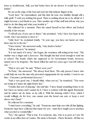been so troublesome. Still, you had better have let me drown. It would have been kinder"

He sat on the edge of the bed and took her thin delicate fingers in his.

"Look here," he expostulated, and this time his tone was kindlier though still a trifle gruff, "I wish you nothing but good. There is nothing about me to be afraid of. I might become a real friend to you. Take another sip of that stuff and tell me why you tried to do this thing and what your trouble is."

She reflected for a moment. Then she raised herself on her elbow and looked steadily at her rescuer.

"I will tell you, if you care to listen," she promised, "why I have lost hope in the world, why I am anxious to leave it."

"Little fool," he exclaimed kindly. "At your age, you have not learnt yet what there may be to live for."

"I have learnt," she answered sadly, "why death is better."

"Tell me about it," he insisted.

"It is not much of a story," she began, the weariness still aching in her tone. "My mother was a singer and a *danseuse*. She thought she had saved enough to send me to school. The bonds which she supposed to be Government bonds, however, turned out to be forgeries. The shock killed her and two years ago I was left with no one—"

"That is very sad," he said. "Where were you?"

"In Paris," she answered. "We always lived there. The only person I knew who could help me was the man who procured engagements for my mother. I went to see him—I became a professional *danseuse*."

"And a very good one, I should think, when you try," he remarked. "You were not trying at Cannes the night before last."

"I loathe that sort of dancing," she told him. "I have found something better to do but I have no money and I cannot do it. I have a contract with that gigolo Raymond, and he makes me do turns, as he calls it. With the dancing which I love, which I would willingly do for love, one cannot earn the bread one eats or keep a roof above one's head."

He reflected for a moment.

"I must know everything," he said. "Someone must help you with all that lighting. Someone must have collected that music for you—must have taught you to produce what you feel so wonderfully."

"Yes," she agreed. "That is true. It is someone, alas, who is as poor as I am. He works in an office here in Cannes. His name is Rostard—Pierre Rostard. All that we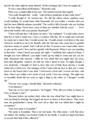had for the other night he made himself. All the technique that I have he taught me."

"It was a marvellous performance," Besserley said.

There was a sudden light in her eyes. She leaned towards him eagerly.

"You really thought that—really—with all those handicaps in that crude barn?"

"I really thought it," he assured her. "So did the others whose opinions were worth anything. So would many other thousands. Do you realise, I wonder, that you had the most difficult audience possible? The world is full of people who are looking for the best things. Down here, most of them are satisfied with the worst. . . . Now about this trouble with your partner, Raymond?"

"I have told him that I will dance no more," she explained. "I would rather starve than live in such a banal way. I have a contract with him. He is rough and cruel and he wants me to marry him. I would sooner die. I would sooner even listen to the men whom he would love me to be friendly with, the rich men who come here to gamble and have money to spend. And I will not do that. It seems to me I must either starve or give up the work I love and live ignobly with Raymond. When I saw you standing in that barn—when I heard you speak last night—I suddenly had a gleam of hope. I thought you were different. Last night I made up my mind to come and ask you for help. Raymond only sneered. I think he was afraid that you might take me away from him altogether. Anyhow, he told me what I hated to hear. To-night, though, I was desperate. I thought if I had to have that sort of help from anyone, I would rather have it from you. The manager of the Casino told me how to find you. I came down to the beach and it was dark. I borrowed a boat and I rowed out here, and then, when I got within a few yards of your yacht, I lost my courage. The night was so beautiful, death did not seem so ugly a thing as the other, so I thought I would die."

"You are very young, I should think," Besserley reflected.

"I am nineteen"

"Just one or two more questions," he begged. "Why did you refuse to dance at Nice or Monte Carlo?"

"Because before my mother died, when she was afraid that I too might have to earn my living by dancing, she begged me never to dance at those places. They were near my grandmother's home. We were all so alike she was afraid that I might be recognised."

"And your name is Josephine."

"My name is Josephine. That is my real name. My other name—well, that does not matter. My mother was treated cruelly by her family. I would not approach them or accept their help if they offered it."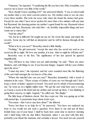"Nineteen," he repeated. "Considering the life you have led, Miss Josephine, you seem to me to know very little of the world."

"How should I know anything of it?" she answered bitterly. "I was at school until my mother died: a very strict convent school, too. My mother came to see me once every three months. She took me away only when she found the money had gone. Except for one other I have never spoken for more than a few minutes with any man but Raymond, the dancing partner my mother's agent found for me, Raymond whom I loathe and hate, Raymond, who tried first—oh, horrible, impossible things and now wants me to marry him."

"And the other?"

"Ah, but he is different! He taught me my art. He wrote the music and made the records. Some day he will find an interpreter and he will be famous through all the world!"

"What is he to you now?" Besserley asked a little bluntly.

"Nothing," the girl answered, "except the man who has saved my soul as you saved my life to-night. We love one another, it is true. After to-night he will hate me!"

Besserley rose to his feet. The significance of her last speech he ignored magnificently.

"You will have to stay where you are until morning," he said. "There are more blankets, and cold things to eat, if you become hungry. Auguste will dry your clothes upon the stove."

"I must stay here," she repeated, and her voice sounded more like the fluttering of the sad wind amongst the wet leaves of the elms.

"Where the mischief else can you stay?" Besserley demanded, with a touch of irritation in his voice. "Those scraps of clothes of yours are wet through and I don't keep a stock of ladies' apparel on board. You need not be afraid of inconveniencing me," he went on, in a slightly milder tone. "We get the east wind here once a week, so I keep a room at the hotel and my clothes and servant up there. I was thinking of going there anyway, to-night. Auguste," he called out, "the dinghy."

The little heap of blankets shook. Her face crept out. She was gazing up at him with parted lips. A passionate hope shone in her eyes.

"You mean—that I am to stay here alone?" she faltered.

"Sorry, but there is no help for it," he answered. "You have not explored my boat or you would not ask such a question. Now listen to me and put all these foolish fears out of your head. I shall be back here some time to-morrow morning and I shall bring with me that fellow Raymond, unless I can deal with him first, probably your friend the musician, and certainly a lawyer. You need not ask yourself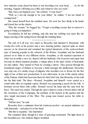how miracles come about but there is one brooding over your head. . . . As for the morning, Auguste will bring you coffee and whatever else you want."

"But I have not thanked you," she sobbed. "Come back!"

"Well, as I am old enough to be your father," he smiled, "I am not afraid of coming back."

She raised herself from the tumbled mass. He took her face firmly in his hands and kissed her on the cheeks.

"Play the woman," he begged her. "Forget everything except that to-morrow's going to bring you happiness."

Nevertheless he left her sobbing, only this time her sobbing was more like the happy passing of the spring breeze through the budding limes.

The end of it all was very much as Besserley had planned it. Raymond, with twenty-five *mille* in his pocket and a new dancing partner, enjoyed quite as much success as he deserved and remained the typical interpreter of the semi-acrobatic type of dancing popular in the cabarets of the Riviera. Josephine and her husband passed on to shine in very different circles. Josephine, as the mystical exponent of what was in reality a new art, shared with her husband, who in poetry and music had become its almost inspired prophet, a unique place in the inner circles of hedonistic art and culture. They started in Paris by creating a furore. They passed through the transitional stages of fashion to become a habit amongst the intellectuals. Besserley was only one of a motley troop of pilgrims who travelled over to Rome for the first night of one of their new productions. It was afterwards, in one of the stately salons of the Palazzo which had been lent them for their brief visit, that Besserley at last told her the final truth. The three—Rostard, Josephine and himself—were seated at a round table after an exquisite repast. Rostard was preparing a peach for his wife. A footman served them with coffee. Rostard waved his hand and the man took his leave. The meal was ended. Through the open windows came a breeze laden with all the sweetness of the Campagna, the perfume of the lemons in the garden and the slow turgid movement of the Tiber. The young man leaned across the table to Besserley.

"Tell her now," he said.

Besserley drew a miniature from his waistcoat pocket—an ancient miniature set with diamonds—and placed it in her hand.

"But this is exquisite," she murmured.

She remained silent, though in a state of quivering excitement. The light shone in her beautiful eyes. Her delicate fingers trembled.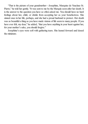"That is the picture of your grandmother—Josephine, Marquise de Vaucluse St. Pierre," he told her gently. "It was sent to me by the Marquis soon after her death. It is the answer to the question you have so often asked me. You should have no hard feelings about her, child, or shrink from accepting her as your benefactress. She sinned once in her life, perhaps, and she had a proud husband to protect. Her death was as beautiful a thing as you have made visions of life seem to many people. If you have ever felt, my dear," he added, "that you have anything in your heart against her, for your mother's sake, you should forgive."

Josephine's eyes were soft with gathering tears. She leaned forward and kissed the miniature.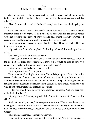## VIII GIANTS IN THE COUNTINGHOUSE

General Besserley—bland, genial and dignified as usual—sat at his favourite table in the Hôtel de Paris bar, talking to a visitor from the great steamer which lay off the Casino.

"Time for one quick cocktail before I leave," the latter remarked, giving the order.

From below came booming through the open window the warning siren. General Besserley heard it with regret. He had enjoyed his chat with this unexpected visitor who had brought him news of many friends and whose carefully pronounced criticisms of conditions in New York had interested him very much.

"Sorry you are not making a longer stay, Mr. Blun," Besserley said politely, as they raised their glasses.

"My misfortune," the other replied. "Before I go, General, I am asking a favour of you."

"Go ahead," was the courteous rejoinder.

"I want you to drive with me in one of those little two-horse carriages down to the dock. It's a queer sort of request, I know, but I would be glad to have you come. I've signalled to that coachman to draw up his team."

Besserley called for his hat and rose to his feet.

"Quite a pleasant idea," he acquiesced.

The two men took their places in one of the well-kept open *voitures*, for which Monte Carlo was famous. They drove off with much cracking of the whip. Mr. Sigismund Blun turned towards his companion. He was a typical-looking lawyer, as his letter of introduction had announced him, colourless, tight-lipped, with keen eyes well hidden behind tortoiseshell-rimmed spectacles.

"I'll tell you what I want to say to you, General," he began. "Did you ever hear of the Miller brothers?"

"Vaguely, if ever," Besserley replied. "I don't read that sort of stuff much on this side."

"Well, let me tell you this," his companion went on. "There have been some tough guys in New York during the last fifteen years but nothing more dangerous than the three Miller brothers, although not one of them has ever been in the Police Court<sup>"</sup>

"That sounds interesting," Besserley observed.

"Headquarters would give their souls to round them up," the lawyer continued.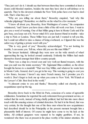"They just can't do it. I should say that between them they have committed at least a dozen cold-blooded murders, besides the men they have shot in self-defence or in quarrels. They're the cleverest criminals the New York police have ever had to deal with. That's what they are."

"Why are you telling me about them," Besserley enquired, "and why this vehicular pilgrimage? Remember, we shall be on the wharf in a few moments."

"I know all about you, Besserley, from Washington of course," his companion volunteered, "and I know you have done a little of the old work over here. I want to give you a word of warning. One of that Miller gang is here in Monte Carlo and if he gets busy, you keep out of it. Never mind if it's your dearest friend in trouble—take a trip to Paris or London. Those Miller boys are just hell. I wanted to tell you this, but I could not afford to take a chance of being overheard, so I figured this was the safest way of getting a private word with you."

"This is very good of you," Besserley acknowledged. "I'm not looking for trouble, I can assure you. Tell me, where did you see this man Miller?"

The lawyer hesitated. Although they were now on the wide stretch of wharf approaching the tug, he looked around cautiously. Evidently the Millers had made themselves feared amongst their fellow country-people.

"There was a chap in a tweed coat and very well-cut flannel trousers, with the man you said was the tennis secretary," Mr. Sigismund Blun confided, as the driver brought his horses to a standstill. "That was Guy Miller, and whatever he wants here in Monte Carlo, General, don't you get in his way. This warning is going to cost you a few francs, because I haven't any more French money, but I promise you it's worth it. Don't forget to look me up when you come to New York. We'll lunch at the Lawyer's Club. Best food in the world."

"A pleasant cruise to you and thanks," Besserley called out cheerily, as his acquaintance sped up the tug.

Besserley drove back to the Hôtel de Paris, conscious of a sense of agreeable exhilaration. Sometimes he regretted his early retirement from government service, or wished that his work, instead of being chiefly political, had led him into more direct touch with this amazing science of criminal detection. He had it in his blood, that was very certain, for the thought that one of the three men whom his new acquaintance had described should be in the Principality at the present moment brought him a pleasurable thrill of interest. Of course he might have come to try his luck at the tables. All civilised gangsters were reputed to be mighty gamblers. If not, he wondered who there was at present in the place worthy of his sinister attention. He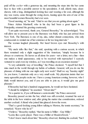paid off the *cocher* with a generous tip, and mounting the steps into the bar came face to face with a possible answer to his speculation. A tall, elderly man, cleanshaven, with a long, distinguished-looking face and wearing a fur coat, although the day was warm, came through the swing doors, leaning upon the arm of one of the most beautiful women Besserley had ever seen.

"Good morning, sir," he said. "Glad to see that you are getting about again."

Prince Adrien Martinoff, who in his day had been a great figure in the Principality, returned the greeting courteously.

"I am quite recovered, thank you, General Besserley," he acknowledged. "You will allow me to present you to the Baroness von Ruhl, who has just arrived from New York. The Baroness is one of my, alas, rather distant connections, who only condescends to remind me of her existence at far too long intervals."

The woman laughed pleasantly. Her hazel brown eyes met Besserley's with interest.

"My uncle talks like that," she said, speaking with a curious accent, in which there remained only a slight suggestion of the American, "simply because he is always so courteous. He leaves us all alone for years—not a letter, not a line—then one makes a timid appearance, only to be received with reproaches! I scarcely ventured to send even my wireless, as I was travelling on an excursion steamer."

"A very admirable way of travelling," the Prince declared. "I myself feel that I miss much in the world through my habits of solitude. General, will you do me the pleasure of dining with me one night early next week? Shall we say Tuesday night? As you know, I entertain only on a very small scale. My physician insists that too many agreeable people excite me. I have a young American coming, however, who I think would interest you, and if you are able to join us, it would give me great pleasure."

If Besserley had had a hundred engagements, he would not have hesitated.

"I should be delighted," he assented. "About nine?"

"At a quarter to, if you will humour a semi-invalid," the Prince answered.

Besserley passed on into the bar, which was still crowded, resumed his seat at the table in the bow window and, after giving the matter due consideration, ordered another cocktail. A friend who joined him glanced down the room.

"That's a good-looking young fellow talking to Merton, the tennis secretary," he remarked. "Know who he is?"

"I believe," Besserley replied, "that his name is Miller—Guy Miller."

"Looks like a polo player. There was a Miller at Meadowbrook."

"I don't know much about him," Besserley observed, finishing his cocktail, "but I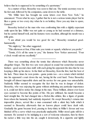believe that he is supposed to be something of a sportsman."

As a matter of fact, Besserley was soon to find out. The tennis secretary rose to his feet and, followed by his companion, came down to the table.

"Mr. Miller here has brought me some letters over from New York," he announced. "From what he says, I gather that he is not a serious tennis player but he likes a game or two every day when he is on holiday. Have you any time to spare, General?"

Besserley looked at the man who was confronting him with a slightly expectant smile upon his lips. Miller was not quite so young as he had seemed at a distance, but he carried himself well, and his features were excellent, although his mouth was a trifle grim.

"I am afraid you would be too good for me," Besserley remarked goodhumouredly.

"We might try," the other suggested.

"This afternoon at four, if that suits you: tennis or squash, whichever you prefer."

"Tennis, if it's all the same to you," the famous New Yorker answered. "Four o'clock would suit me excellently."

There was something about the tennis that afternoon which Besserley never altogether forgot. The first two sets were played in sound but somewhat restrained fashion—good second-class stuff, with each giving his opponent the idea that he was keeping a little up his sleeve. In the third set Besserley, from the first, had the best of the luck. Three times he won points—game points too—on a return which trickled into his opponent's court down the net, having hit the cord hard. Twice Besserley brought off almost impossible shots and his service for one game was untouchable. Suddenly Miller seemed to recognise the fact that he was in danger of defeat. Besserley, who was enjoying the game without attributing any particular importance to it, could not fail to notice the change in the man. Those brilliant, almost over-keen eyes seemed to become like points of fire. His jaw stiffened, his mouth became a hard straight line. He had changed into a Robot-like athlete, like a figure of granite from whom the humanity had suddenly departed. He swept Besserley's returns into impossible places, served like a man consumed with a silent fury balls which it seemed to Besserley afterwards that no known player could have dealt with. Gradually the game became level, passing to forty-thirty in Miller's favour and was finished off by a serve which was practically unplayable. Miller stood quite still for a moment. He seemed to be indulging in a sort of welcome relaxation, then he threw his racket a little way into the air, caught it dexterously, lit a cigarette and lightly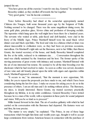jumped the net.

"You have given me all the exercise I want for one day, General," he remarked. Besserley smiled, as they strolled off towards the bar together. "Very good game," was his laconic comment.

Twice before Besserley had dined at the somewhat appropriately named Château des Nuages, built some thousand years ago by the Seigneur of Peille. Nothing seemed to be changed. There was the same magnificent dining room, the same gold plate, priceless glass, Sèvres china and profusion of drooping orchids. The tapestries which hung upon the wall might have been there for a hundred years. The servants who waited at table, pale-faced and deft-handed, were clad in the livery of the Middle Ages. Prince Martinoff himself wore his usual black velvet dinner coat and black opal links. The food and wine in a château which at times was almost inaccessible to civilisation were, as they had been on previous occasions, marvellous. On Martinoff's right side sat the Baroness, next to her Miller, then Baron Grantz, the trusted secretary of the house, and finally Besserley himself completed the five at the table, reduced to its minimum size. . . . Conversation throughout the meal was chiefly sustained by the American and his host. The former spoke of the moving panorama of great events with intimacy and acumen. Martinoff listened with the air of one interested but remote. He seemed to be all the time brooding over the disclosure which he had resolved to make. As soon as coffee was served, decanters of rare wine and old brandy placed upon the table with cigars and cigarettes within reach, Martinoff appeared to awake.

"It occurs to me," he announced, "that the moment is now opportune, Mr. Miller, for you to repeat the proposals you have made to me, and which I have been considering during the last few days. I make no excuse for asking you to do so in the presence of others. I am an old man and I do nothing without advice. The Baroness, my niece, is deeply interested. Baron Grantz, my trusted secretary practically throughout my lifetime, is in my entire confidence. General Besserley I have invited because he is a man of the world, with a reputation in these parts for sound judgment and vision. Will you be so kind as to proceed."

Miller leaned forward in his chair. The air of careless gallantry with which he had carried on his conversation with the Baroness had departed. His features were set and firm, his tone precise.

"The matter is very simple," he explained. "The Prince, in one of those huge transactions which brought him fame and wealth years ago, thought it well to accept large commissions from various American houses in connection with the purchase of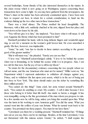several battleships. Some friends of his also interested themselves in the matter. In this clean sweep which is now going on in Washington, papers concerning these transactions have come to light. As you may have gathered from the newspapers, the Prince's share in the matter has been adversely commented upon. I have been sent here to request our host, in return for a certain consideration, to hand me the evidence linking up the two other men in these transactions."

There was a brief silence. The Prince nodded his head thoughtfully. The Baroness, with a little sob, suddenly clutched at his arm, slipped from her place and went down on her knees by his side.

"You will not give it to him," she implored. "You know what it will mean. It will cost Augustus the throne which has been promised to him!"

Martinoff permitted his hand, with its long delicate fingers and wonderful signet ring, to rest for a moment on the woman's gold brown hair. He even smoothed it gently. His face, however, was implacable.

"Anna," he said, "one has to decide in these matters according to the greater good of the greater number."

"But it will mean war," she pleaded. "Surely you can see that."

"I love war," Martinoff acknowledged calmly. "I love to be behind the scenes when war is fermenting, to be behind the scenes while it is in progress. Alas, I am too old for that now, but the joy of war is still in my blood."

"In return for the documentary evidence concerning the two people whom we will not name, and the one American who must not be named," Miller went on, "the Department which I represent undertakes to withdraw all charges against you, Prince, and to withdraw the lien upon your assets, which is in the act of being put into force in New York. This alone should make you the richer by something like three million pounds."

"You cannot do this thing!" Anna cried, her arms twined around Martinoff's neck. "You cannot do anything so cruel. My country—I call it mine because I love those who belong to it better than life itself—has made so heroic a struggle. It has won tranquillity, owing to the fine government of the man whom you propose to ruin. In a few months now he will be king, unless you bring this scandal upon him. What was the harm in his working to earn American gold? You did the same. What you earned went into the coffers of your vast fortune. What he earned went back to his country. You promised me those papers. You must let me have them."

"I promised you them for a wedding present," Martinoff reminded her. "If things turn out as you say, there can be no marriage. Besides, at the time I promised, I was not threatened with this ruinous action. Grantz," he added, "I shall require the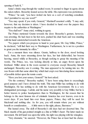opening of Safe K."

Anna's shriek rang through the vaulted room. It seemed to linger in agony about the oaken rafters. Besserley leaned across the table. His expression was portentous.

"Prince," he said, "you have invited me here as a sort of watching consultant. Am I permitted to say one word?"

"You may speak if you wish, General," Martinoff assented coldly. "I may add, however, that my decision is taken. I have decided to hand over the papers they require to the authorities at Washington."

"You shall not!" Anna cried, writhing in agony.

The Prince motioned Grantz towards the door. Besserley's gesture, however, was arresting. He had risen to his feet now, pushed his chair back and was standing with his hand outstretched towards the American

"No papers which you propose to hand to your guest, Mr. Guy Miller, Prince," he declared, "will find their way to Washington. Furthermore, he is not in a position to grant you the immunity he offers."

For a moment there was silence. Grantz, halfway to the door, stood looking back. Anna, the tears streaming down her face, her hair dishevelled, her bosom heaving, stared wildly at Besserley, as though seeking to grasp the meaning of his words. The Prince, too, was looking directly at him, an angry frown upon his forehead. Miller alone in the room seemed to everyone except Besserley himself unchanged. Besserley saw it coming. The man appeared to be turning into ice. He was frozen with that same silent fury which had crept over him during those moments of possible defeat upon the tennis courts.

"Have you lost your senses, General?" his host asked.

"On the contrary," Besserley replied, "I have been using them to exceedingly good purpose and I have divined the truth. This man Miller has nothing to do with Washington. He has nothing to do with the American Government. He is a very distinguished personage, I admit, and his name very possibly is Guy Miller, but he is better known to police headquarters than to Washington, for the reason that he belongs to the most famous trio of criminals America has ever known, even in its worst days. If you hand him over those papers, Prince, they will be used for blackmail and nothing else. As for you, you will remain where you are without benefit or consideration. . . . A little more to the right, please, Baroness."

She leaned away. The skill of Besserley's old days had not deserted him. The black muzzle of his gun pointed straight as a line at Miller's heart. The latter made no movement. His left hand was upon the table, his right was playing with his wineglass.

"Very dramatic," he sneered. "However, the Prince has at least had his choice.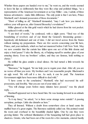Whether those papers are handed over to me," he went on, and the words seemed to leave his lips so deliberately that they were like crisp and polished things, "as a representative of the American Government or as Guy Miller—one, I admit, of three famous adventurers—make little difference. The only point is that I am here, Prince Martinoff, and I demand possession of those documents."

"Short of killing us all," Martinoff demanded, "may I ask how you intend to enforce your will upon us, after General Besserley's revelations?"

Miller glanced at the thin gold watch which he had drawn from his vest pocket. He replaced it with a smile.

"I am tired of words," he confessed, with a slight yawn. "Tired too of this brandishing of revolvers and of our friend the General's threatening gesture hopelessly old-fashioned and out of date. I did not travel across from the States without making my preparations. There are few secrets concerning your life here, Prince, and your methods, which we had not mastered before I left New York. May we now consider that the curtain has fallen upon one act of this little drama and enjoy a brief pause? I take the liberty, sir, of helping myself to another glass of your amazing sherry. Even my brothers' cellars, and they are famous, hold nothing so choice."

He refilled his glass amidst a dead silence. He had turned a little towards his neighbour.

"Baroness," he begged, "let me help you to regain your chair. After all, you are no worse off than you were. My brothers and I are reasonable people. Blackmail is an ugly word. We will call it a tax. As such, it can be paid. The American Government might have been more difficult to deal with."

"I have come to the conclusion," Martinoff, who had recovered his selfpossession, said forcibly, "that you are out of your mind, sir."

"You will change yours before many minutes have passed," was the placid reply. . . .

Martinoff appeared not to have heard him. He was leaning forward in an attitude of listening.

"Is it my fancy," he asked, "or is there some strange noise outside? A passing aeroplane, perhaps. Little else disturbs us here."

They all listened. Without a doubt from somewhere close at hand came the muffled beat of a great engine. The Baroness suddenly called out. She pointed round the room and overhead to the beautifully shaded lights. One by one they were growing fainter. The softened illumination of the banqueting hall had given place to shadows. Grantz, who had been out of the room for a few moments, entered hastily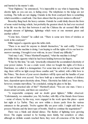and hurried to his master's side.

"Your Highness," he announced, "it is impossible to say what is happening. The electric light, as you can see, is fading away. The telephones to the lodge are not working. The bells are not ringing. Outside in the front courtyard there is something which resembles a small tank. One fears almost that the power station is affected."

Besserley flung back the heavy curtains. Outside he could dimly discern the form ofsome weird-looking vehicle, but probably the greatest shock he had ever received in his life was the fact that between it and the Château the air seemed filled with irregular streams of lightnings, lightnings which were at one moment green and another yellow!

"Come here, Grantz!" he called out. "There is some new form of wireless at work in the courtyard."

Miller tapped a cigarette upon the table cloth.

"There is no need for anyone to disturb themselves," he said coldly. "I know precisely what the machine is doing. I am hoping to sell the rights of it to our host tomorrow morning. I brought it over with me, in case I found any difficulty."

"And may I ask," Prince Martinoff enquired, "what the machine is doing?"

Miller lit the cigarette which he had been holding between his fingers.

"It has by this time," he said, "practically exhausted the accumulated electricity of your power station. To use a crude word, when we bought the rights of it from a Dutchman, we called it a demagnetizer. For some time not a bell in your house will ring, there will be no light except those candles and," he added, with a little bow to the Prince, "the doors of your secret chambers will fly open and the handles of your safes turn of their own accord. You have built up a marvellous scheme of defence here, dependent upon electricity alone, Prince. Electricity has failed you. Your sherry, however, remains marvellous," he concluded, raising his glass to his lips.

"And the practical side of this?" Martinoff asked. "You are one man. I have a dozen armed servants, and there are ourselves."

"A respectable company and no doubt great fighters," Miller observed. "Unfortunately, we outnumber you. My brother, with fifty of his friends from Genoa —some of whom, by-the-way, were engaged in the work upon this place—spent last night at La Turbie. They are now within a dozen yards from the various entrances to the grounds. Twelve against fifty are poor odds. I might add that we possess Maxims and the latest type of bombs. Shall we continue the negotiations?"

There was a blank and dismal silence. The flashes of lightning were growing fewer. The engine seemed to be beating more faintly, but somehow or other, although no definite sounds reached them, they were all conscious of the fact that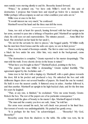men outside were moving silently to and fro. Besserley leaned forward.

"Prince," he pointed out, "we have only Miller's word for this epic of destruction. I propose that Grantz here and myself go below for a moment. Mr. Miller perhaps will accompany us and see what condition your safes are in."

Miller rose at once to his feet.

"It would interest me very much," he confessed.

Martinoff waved his hand and the three men left the room.

Anna, too sick at heart for speech, leaning forward with her head resting upon her arms, seemed to pass into a lethargy of hopeless grief. Martinoffsat upright in his chair, his cold eyes set and expressionless. The minutes passed. . . . Anna lifted her head. She stretched out her hand for her uncle's.

"Do not let the servants be shot to pieces," she begged quietly. "If Miller really has his men here from Genoa and the safes are open, we are in their power."

There was the sound of footsteps outside. The first to enter was Grantz, carrying a black tin box under his arm. After him, very much in the background, came Besserley.

"The destruction is complete," Grantz reported to his master despairingly. "The man told the truth. Every electric device in the house is ruined."

"What have you brought us there?" Martinoff asked, pointing to the box.

"The papers this man Miller is demanding," Grantz replied fearfully. "The agreement signed by the Archduke and—"

Anna rose to her feet with a ringing cry. Martinoff, with a quick glance towards the door, felt in his pocket and produced a key. He unlocked the box and with deliberate fingers drew out several bundles of papers. He found the one he wanted. He held it over the nearest candle. It fluttered away in ashes. Another followed it, and then another. Martinoffsat upright in his high-backed chair, and for the first time for years he laughed.

"That, at any rate, is finished," he exclaimed. "Give me some brandy, Grantz. Relock the box. The rest of the papers are of no particular consequence."

Grantz held the glass of brandy to his master's lips. Martinoffsipped it feebly.

"The man and the country you love are safe, Anna," he told her.

Her arms were around his neck, her soft cheek was pressed to his lined face. Her torrent of words was undistinguishable. He pushed her gently away.

"It is perhaps for the best," he acknowledged. . . . "Besserley! My God, Besserley!"

Besserley came from the shadows to the table. His collar was torn, his tie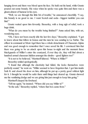hanging down and there was blood upon his face. He held out his hand, while Grantz poured out some brandy. His voice when he spoke was quite firm and there was a gleam almost of humour in his eyes.

"Well, we are through this little bit of trouble," he announced cheerfully. "I say, this brandy is no good to me. I want Scotch and soda—biggest tumbler you can find."

Grantz waited upon him fervently. Besserley, with a long sigh of relief, took a huge drink.

"What do you mean by the trouble being finished?" Anna asked him, with set, wondering eyes.

"Oh, I have not been exactly idle the last few days," Besserley explained. "I got to know about that fellow in Genoa and the men he was sending to La Turbie. The officer in command at Mont Agel there has a whole detachment of Chasseurs Alpins and was good enough to remember that I once saved his life. I convinced him that there was going to be an attack upon this house to-night and the moment those blackguards of Miller's enter the courtyard, if ever they do, they will find about a hundred armed chasseurs hidden amongst the shrubs—good fighters too!"

"It is not to be believed," Martinoff faltered. "Where is Miller?"

Besserley smiled apologetically.

"I found that although the electricity had failed, the locks themselves were perfectly sound," he went on. "Miller seemed to have forgotten that. I got him inside Safe K and closed the door on him, although he put up a pretty good wildcat fight for it. I thought he would be safer there until things had cleared up. Grantz showed me the ventilating dodge and we are giving him just enough to keep him going."

Martinoff clasped his forehead.

"Tell me again," he insisted. "Where did you say Miller is?"

"In the safe," Besserley replied, "where that box came from."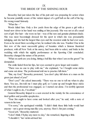## IX THE BRIDE OF THE SHINING HOUR

Besserley had just taken the line of his putt and was preparing for action when he became painfully aware of the violent impact of a golf ball on the calf of his leg. He swung round furiously.

"What the—"

Words failed him. Only a few yards from the edge of the green a girl with a brand-new driver in her hand was smiling at him joyously. She was not at all a usual sort of girl. Her hair—she wore no hat—was of the rare and genuine platinum shade. She was most becomingly dressed for the sport in which she was presumably indulging, and she had the largest blue eyes and the sweetest smile he had ever seen. Even as he stood there scowling at her, he realised who she was. Number One in the first row of the most successful galaxy of beauties which a famous theatrical producer, with all New York at his mercy, had been able to select, and bride in the wedding with which the nightly performance at the Sporting Club concluded. Besserley changed the nature of his protest.

"What on earth are you doing, hitting a ball like that when I am on the green?" he demanded.

The smile faded from her lips, her eyes seemed to grow larger and rounder.

"There was no one to play with me," she explained, "so I bought some sticks and came out alone. The professional told me to practice full shots."

"But, my God," Besserley protested, "you don't play full shots at a man on the green just ahead of you!"

"Don't you?" she asked innocently. "There was no one to tell me when to play them. You see, Jim told me I must play golf, so I came up and bought these sticks and then the professional was engaged, so I started out alone. I'm terribly ignorant of what I ought to do, I'm afraid."

General Besserley limped to a seat erected in the vicinity for the convenience of tired golfers and possible apoplectics.

"Your Jim ought to have come and looked after you," he said, with a note of venom in his tone.

"I'm sorry," she apologised wistfully. "I didn't think these little balls would hurt anyone—not a great strong man like you, anyway. Here's Jim just coming."

"Good job," Besserley muttered.

"I don't think I'll play any more to-day," she remarked, lingering a little.

"I shouldn't," her victim advised her.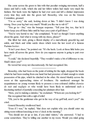She came across the green to him with that peculiar swinging movement, half a dance and half a walk, which she and her fellow toilers had made very much the fashion. Her heels were the highest he had ever seen and left a distinct impression every time they sank into the green turf. Besserley, who was on the Greens Committee, groaned.

"I'm so sorry," she said, looking down at him. "I didn't know I was doing wrong. Does your leg hurt very much? Would you like me to rub it?"

"You go to—Jim," was the brusque response. "Tell your Jim, too, that he'd better keep you off these links until he buys you a pair of golf shoes."

"You're very horrid to me," she complained. "It isn't as though I knew anything about the game. And what is wrong with my shoes, please?"

She lifted her skirt, giving a liberal display of a marvellously graceful leg and ankle, and black and white suède shoes which were the last word of a famous Parisian *bottier*.

"It isn't your shoes," he pointed out. "It's the heels. Look at those little holes you have made all across the green. How do you suppose anyone is going to putt over those?"

"I could," she declared hopefully. "They wouldn't make a bit of difference to me. Shall I show you?"

He waved her away not discourteously. He had recognised Jim.

Besserley, who had been on the point of retiring for the night, dropped the book which he had been reading from one hand but had presence of mind enough to retain possession of his pipe, which he clutched in the other. He stared blankly across the room at this approaching vision of loveliness. He numbered amongst his acquaintances no young woman likely to possess a rose-coloured chiffon *chemise de nuit* and *negligée* or who would have been likely to understand such a fascinating method of partially concealing her platinum silver hair.

"Here, you're making a mistake," he exclaimed. "Whom are you looking for?"

She recognised him with a sigh of relief.

"Oh, you're the gentleman who got in the way of my golf ball, aren't you?" she cried.

General Besserley swallowed hard.

"Even if I was," he replied, "that does not explain why you should enter my sitting room without knocking at two o'clock in the morning."

"You should not sit up so late, if you mind visitors," she answered. "I had to come somewhere. They're killing one another in my room. Would you mind going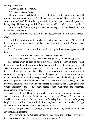and separating them?"

"Pekes?" he asked scornfully.

"No—men," she answered.

"Then why the mischief didn't you ring the bell, send for the manager or the night porter—use your common sense?" he demanded, rising unwillingly to his feet. "What concern is it of mine? I'm just having a last drink before I go to bed and if you have been giving a Hollywood party, I don't see why I should be called upon to interfere."

"You are not half so nice as you were this morning," she complained. "I don't want anyone to be hurt."

"Then why don't you ring up the bureau?" Besserley asked. "I'm not a chuckerout."

"But I don't want anyone to be chucked out, either," she replied. "It's just that Mr. Copperas is our manager and he is very nearly fed up with Morris Dring already."

Besserley knocked the ashes from his pipe and pulled his dressing gown round him.

"Which is your room?" he asked, with a sigh of resignation.

"Now isn't that sweet of you?" she exclaimed gratefully. "Follow me, please."

She danced away in front of him a few yards down the dimly lit corridor and threw open the door of a room on the other side of the lift. It was a very pleasant sitting room under ordinary circumstances, but its present appearance was rather that of a drawing-room battlefield. The furniture was in disarray, several vases of flowers had been upset, there was water trickling over the carpet, and a young man, whom Besserley recognised as being one of the participants in the nightly show, lay groaning upon his side, with his back against the leg of a table. Standing upon the hearthrug, smoking a cigarette and still wearing his overcoat, was a young man with whom Besserley had some acquaintance—Alan Copperas—the theatrical representative of the *Société*.

"Will you tell me," Besserley demanded, struggling to repress his annoyance, "what I am dragged in here for at this hour of the night? Why can't you two go outside and settle your differences, instead of making this unholy mess of a young lady's sitting room? And what's it all about, anyhow? I tell you frankly I shall go straight down from here to the management and complain."

"This is the gentleman, Mr. Copperas, who got in the way of my golf ball," the girl explained pleasantly.

"Oh, everyone knows General Besserley," the young man replied. "If you will forgive my asking, though—what is it you want in here, sir?"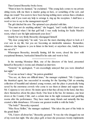Then General Besserley broke loose.

"Want in here be damned," he exclaimed. "This young lady comes to my private sitting room, tells me there is murder going on here, or something of the sort, and drags me round! You seem to have been having nothing more serious than a drunken scuffle, and if you want any help to arrange it, ring up the reception. I shall have a word or two to say to the management myself."

The girl clutched his arm. The upturned eyes pleaded with him.

"You must not do anything unkind," she begged, "and I really didn't know you were a General when I hit that golf ball. I was really looking for Sadie Marsh's room, when I saw the light underneath your door."

Quietly but very firmly Besserley disengaged himself.

"My dear young lady," he said, "you are the most charming object to look at I ever saw in my life, but you are becoming an intolerable nuisance. Remember, whatever else happens to you in future in this hotel, or anywhere else, kindly leave me out of it."

Whereupon Besserley, inwardly fuming, left the room, closed the door with exceptional firmness, barricaded himself in his suite and went to bed.

In the morning Monsieur Bloit, one of the directors of the hotel, presented himself at Besserley's rooms and obtained an interview.

"General," he apologised, "I am exceedingly annoyed that you were disturbed last night."

"Cost me an hour's sleep," his patron grumbled.

"You see, sir, these are difficult times," the manager explained. "Mr. Copperas, the theatrical agent, has succeeded in securing for the Sporting Club an amazing collection of beautiful and talented young women, and the place is practically being saved by the enormous crowds who come to see them at dinner and supper time. Mr. Copperas is very clever. He insists upon it that they all stay in the hotel, that they show themselves about the place freely. One hour in the bar, for instance, one hour down at the Country Club, and a certain time in the night restaurant and gambling rooms after the performance. They have made many friends and naturally this has created a little disturbance. Of course our greatest trouble is with the bride."

"The bride?" Besserley repeated.

"Miss Rosa Helliot," the manager explained. "She takes the part of the bride in the grand finale."

"Oh, I know all about her," Besserley groaned. "It was she who dragged me out of my room last night. She also plays golf, at least she possesses twenty implements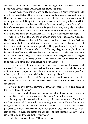she calls sticks, without the faintest idea what she ought to do with them. I wish the people who give her things would teach her how to use them."

"A great many young men," Monsieur Bloit assured him, "have lost their heads over Miss Rosa Helliot. This young man who takes the principal male part, Morris Dring, for instance, is worse than anyone. In the finale, there is, as you know, a great wedding scene. Well, Dring is the bridegroom, and when he has got through with it, he is in such a state of excitement, with that little minx making eyes at him and her little affectionate gestures all the time, that he gets drunk nearly every night, imagines he is really married to her and tries to come up to her rooms. Her manager has to wait up and see him to bed most nights. That was just what happened last night."

"Well, there's a certain amount of humour about your explanation, Monsieur Bloit," General Besserley observed, "but there's one thing I must ask you. Will you impress upon the bride, or whatever that young lady calls herself, that she must not force her way into the rooms of respectable elderly gentlemen like myself in these hours of peril. Tell her I am out of bounds. Tell her anything you choose, but I cannot have children of her age, with eyes like that, coming weaving spells over me when I want to go to sleep. The girl is a nuisance, and as for allowing her loose on the golf links with those heels and her ignorance—well, the man who started her at that ought to be turned out of the club, even though he is Jim Montressor."

"I'll try to see that you are not annoyed again, General," Monsieur Bloit promised. "The young lady, if you will pardon my saying so, although she is very difficult with most people, seems to have taken an extraordinary fancy to you. She tells everyone that you were so kind to her up at the golf links."

Besserley failed to find a satisfactory outlet in speech. He threw down his newspaper and rose to his feet. Monsieur Bloit hastened on to his final word of explanation.

"It will be all over directly, anyway, General," he confided. "You have heard of the real wedding, of course?"

"I heard that Jim Montressor, who is old enough to know better, is going to marry a child of sixteen or seventeen out of the show," Besserley grunted.

"She is going to be married to him the day after to-morrow at the Cathedral," the director assented. "She is to have the same girls as bridesmaids, the *Société* are giving the wedding supper and it will be a marvellous show. There will be one final performance at night, for which we are charging two hundred and fifty francs. Every inch of space is taken for dinner and supper. The next morning she leaves as a respectably married woman for her honeymoon."

"And what becomes of Dring?" Besserley asked.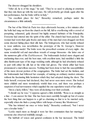The director shrugged his shoulders.

"After all, he is of the stage," he said. "They're so used to playing at emotions that they mix them up with the real ones. He will probably get drunk again after the last performance, but the bride will be in Italy."

"An excellent place for her," Besserley remarked, perhaps under the circumstances a little unkindly.

The bar of the Hôtel de Paris two days afterwards became, a few minutes after the bells had rung out from the church on the hill, full to overflowing with a crowd of perspiring, exhausted, gaily dressed but highly amused habitués of the Principality. Everyone had entered into the spirit of the affair. The church had been packed. The women had worn their gala frocks and many of the men had even dragged out from some discreet hiding place their silk hats. The bridegroom, who had sternly refused to wear uniform, was nevertheless the prototype of the St. George's, Hanover Square, civilian model. The bride wore the prescribed costume of every night—the same wonderful veil and marvellous wreath of orange blossoms—the latter one of the numerous gifts of the *Établissement*. The bridesmaids looked more elegant and enchanting than ever, and the best man, with excellent taste, had modified a little the ultra flamboyant type of his stage wedding outfit, although he had absolutely refused to part with either his silk hat or his white kid gloves. The whole affair had been pronounced a marvellous success. Nothing had been done to hurt the susceptibilities of the more devout portion of the congregation. The bride had set the fashion, and the bridesmaids had followed her example, of making an ordinary modest entrance without the fascinating little hesitation which they had adopted during the show. The bride herself, everyone had declared, they had never seen more sweet. She looked more childish and more tremulously wistful than ever, and there was perhaps a suspicion of real nervousness which supplied the one superlative touch of her allure.

"Jim is a lucky fellow," they were all declaring over their cocktails.

"I should say he was," Copperas agreed a little dolefully. "Rosa is as straight as a line—I can answer for that. She has been most carefully brought up but of course the best thing that can happen to a girl as charming as that is to be married early, especially when she finds a young fellow with heaps of money like Montressor."

"She has irritated me once or twice lately," Besserley confessed, "but I never saw a lovelier bride."

"Looks much more as though it were her first communion than her marriage," someone else observed truthfully enough. . . .

The hubbub of voices and general confusion in the bar increased. The bridal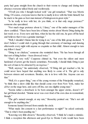party had gone straight from the church to their rooms to change and during their absence everyone talked freely and vociferously.

"I'll tell you who I thought looked well," one girl remarked. "That was Morris Dring. Of course, everyone knows that he is madly in love with the bride himself, but he stuck to his guns as best man instead of bridegroom in great style."

"Is he really in love with her, do you think, or is that only stage pretence?" someone else speculated.

"Not much stage pretence about it, I fancy," one of the under managers of the show confided. "There have been lots of funny stories about Morris Dring during the last week or so. Every now and then, when he has the odd one, he goes off his head and believes that it was a genuine marriage."

"Well, I shouldn't blame him for trying it on," one of the little group declared. "I don't believe I could stick it going through that ceremony of marriage and dancing afterwards every night with anyone so exquisite as that child. Almost enough to turn any fellow's head."

"Dring is no chicken," someone else reminded them. "He has been through all that sort of thing before—been divorced twice."

"That's all very well," Copperas chimed in, "but even the oldest and most hardened of actors get the knock sometimes. Personally, I should think Dring is just the sort of man to be attracted by an *ingénue*."

"Well, anyway," his understudy observed, "if Dring did get touched a bit, he could never have hoped that anything was likely to come of it. The girl is only between sixteen and seventeen. Besides, she is in love with Jim. Anyone can see that."

"Well, it's a queer thing," one of the young women of the Principality remarked, "to think that a show child like that should come over from New York, make her *début* on the stage here, and carry off Jim, our one eligible young man."

"Seems rather a drawback to be born amongst the upper circles, doesn't it?" her girl friend drawled. "Jimmie never was over-fond of his own class in womenkind, though."

"The girl's natural enough, at any rate," Besserley pointed out. "She's not old enough to be anything else."

Someone leaned forward from outside the circle.

"What made Jim consent to a last performance to-night?" he asked curiously. "That is what's been puzzling me."

"Knowing very little about it," Besserley observed, "I think he's made a mistake. I think a reception this afternoon and good-bye to Monte Carlo would have been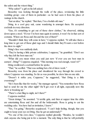the safest and the wisest thing."

"Why safest?" a girl on his left asked.

Besserley was looking through the walls of the place, revisioning the little wedding group—one of them in particular—as he had seen it from his place of vantage in the church.

"Just an idea," he replied. "But then, I'm a foolish old man."

Dring, in a cool grey suit, came wandering in amongst them. He accepted cocktails in every direction.

"Gee, it's something to get out of those show clothes," he observed, sinking down upon a stool. "If ever I'm best man again in earnest, it won't be in that sort of costume. Where are Rosa and Jim and the rest of them?"

"Shouldn't think they will come in here," Copperas replied. "It will take them a long time to get out of those glad rags and I should think they'll want a rest before the show to-night."

Dring's face was suddenly dark.

"They're having a little private celebration, I suppose," he grumbled. "Don't see why they left the best man out."

"What did you mean when you said just now 'if ever you are best man in earnest', Dring?" Copperas enquired. "This morning was real enough, wasn't it?"

Dring swallowed a cocktail before he spoke.

"That," he scoffed. "That was nothing but a bit of show work."

Besserley rose from his place and shouldered his way through the crowd to where Copperas was standing. So far as was possible, he drew him on one side.

"Doesn't it strike you, Copperas," he suggested, "that Dring is a little overstrung?"

"He's been like that for weeks," the manager agreed. "You remember how Rosa had to send for me the other night? He'll get over it all right, especially now this show is breaking up."

"There's a last fling to-night, isn't there?"

Copperas nodded.

"Great doings," he assented. "A terrific gala, and then at supper time the clubs are entertaining Rosa and Jim and all the bridesmaids. Rosa is going to cut the wedding cake. You have had an invitation, I know."

"Yes, I'm going," Besserley acquiesced. "I can't help feeling, though, that you ought to keep your eye on Dring. Has he got an understudy?"

"No one of his own class," Copperas replied gloomily. "Besides, he wouldn't stick anyone else being put in for a moment. The only thing is that he will probably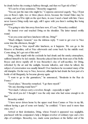be drunk before the evening is halfway through, and then we'll get rid of him."

"If I can be of any assistance," Besserley suggested.

"You are just the man who might be," Copperas answered eagerly. "Say, I'll put you on Rosa's right, two or three places down, because the Grand Duke may be coming, and you'll be right on the spot there, in case I need a hand with him. I have never known Dring really turn ugly; still I agree with you there's nothing like being prepared."

"I'm going to take him away from here now, if I can," Besserley confided.

He leaned over and touched Dring on the shoulder. The latter turned swiftly round.

"Can you come and have luncheon with me, Dring?"

"Much obliged, General," was the dubious reply. "I want to get over to Nice some time this afternoon, though."

"I'm going to Nice myself after luncheon, as it happens. We can go to the Réserve at Beaulieu, call at Nice afterwards and come back by the middle road. Come along, let's get out of this mob."

Dring, a little stupid with the cocktails he had drunk and the smoky atmosphere, suffered himself to be led outside. Besserley placed him in the front seat of his Rolls-Royce and drove rapidly off. It was Besserley's day of self-sacrifice, for Dring, refreshed by the air and the sunlight, became talkative, and when he talked, the subject of conversation was usually himself. Over luncheon he recounted many of his old triumphs. On the way to Nice, however, although he had drunk the best part of a bottle of old Burgundy, he became gloomy again.

"I want to go to the gunmakers," he announced, "Boulestin in the Rue de France."

"Good place," Besserley remarked. "I go there myself."

"Do any shooting round here?"

"Not much. I always carry a revolver, though—especially at night."

"The devil you do! I thought I was the only man who had sense enough to do that."

Besserley smiled.

"I have never driven home by the upper road from Cannes or Nice in my life, without having a gun of some sort handy," he confided. "I have used it more than once, too."

Arrived at their destination, Dring, whose French it appeared was negligible, purchased with his companion's help a Belgian revolver of ordinary type and a few clips of cartridges. Besserley, too, made some purchases at the further end of the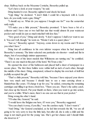shop. Halfway back on the Moyenne Corniche, Besserley pulled up.

"Let's have a look at your weapon," he said.

Dring handed it over. Besserley sighted it and shook his head.

"Ugly thing," he declared. "I don't think I could hit a haystack with it. Look here, do you really want a gun, Dring?"

"I should say so. What do you suppose I bought one for?" was the somewhat surly reply.

"I'll make you a little present," Besserley promised. "I have been a bit of a collector and I have one or two half that size that would almost fit your waistcoat pocket and would do just as much mischief with less fuss."

"Very good of you," Dring said slowly. "I don't suppose I shall ever want to use it. You can't tell, though," he went on. "Monte Carlo is a queer place."

"Just so," Besserley agreed. "Anyway, come down to my rooms and I'll show you what I have."

Dring lost all confidence in his own inferior weapon when he had inspected Besserley's armoury. The latter selected one particular six-shooter—small and flat in shape, but of exceedingly sinister appearance.

"This is one of the latest models that Wilkinsons are turning out," he confided. "There's no one much in this part of the hotel. We'll run a risk."

He opened the door of the bathroom and placed half a sheet of notepaper in a secure place. The first three bullets were within half an inch of each other, through the middle of the sheet. Dring, enraptured, refused to display his own lack ofskill but joyfully accepted the gift.

"That's a little present," Besserley told him, "because I have enjoyed your shows here very much and because I should hate to see a man carrying about a blunderbuss like yours. I'll charge it up for you," he added, extracting the remaining cartridges and filling it up from a fresh box. "There you are. There's the safety catch. Just close up the breech. Put your thumb on there, when you want to go into action, and you're a killer. What's more, there's no one can see that in your pocket."

Dring wrung the other's hand.

"I'll value this, General," he said.

"I would leave the Belgian one here, if I were you," Besserley suggested.

"You can chuck it away, if you like," was the careless reply. "I don't want it."

"And Dring," the General concluded, as he led him towards the lift, "we are all going to be very sorry to lose the little lady, but after all, she is only a child and the stage is not much good for the young 'uns. She's got her chance and I should think she deserves it."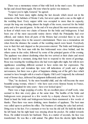There was a momentary return of that wild look in the man's eyes. He opened his lips and closed them again. His tone when he spoke was insincere.

"I expect you're right, General," he agreed.

There had been many nights during the last decade which stood out in the memories of the habitués of Monte Carlo, but never quite such a one as the night of the wedding feast. Every supper table was occupied to more than its capacity, except the long one reaching almost the length of the room, reserved for the bridal party and a few special guests. At the end of it was placed the most enormous cake, in front of which were two chairs of honour for the bride and bridegroom. It had been one of the most successful variety shows which the Principality had ever offered, and visitors from all parts of the Riviera had crowded there to see the somewhat unique close to the season's entertainment. There was a tremendous stir when from the distance the sounds of the wedding march were heard. Everybody rose to their feet and clapped as the procession entered. The bride and bridegroom led the way. The best man with the first bridesmaid were close behind, and the others came in due order, followed by some of the principal guests of the evening. The applause was almost deafening when the two arrived at their chairs and stood hand in hand for a moment, doing their best to respond to the storm of greetings. Rosa was wearing the wedding dress she had worn night after night, but with its new significance something different seemed to have stolen into her expression. The wide-open eyes and tremulous lips were still indications of youth and a slight nervousness, but there was a glow of happiness shining out of the girl's face which seemed to have brought with it a touch of dignity. Old Lord Craigswell, the reformed roué of former days, delivered his judgment deliberately and firmly.

"That," he declared, "is the most beautiful child, and she will become the most beautiful young woman, whom I—who have seen every famous beauty in France, Vienna and England for sixty years—have ever looked upon."

There was a huge popping of corks. By an excellent piece of staff work, wine seemed to flow into every glass at the same time. The healths of the bride and bridegroom were proposed in a few words by a deputy chosen by the *Société*. Hand in hand the bride and bridegroom between them stammered a few words of thanks. Then there was more drinking, more thunders of applause. The best man was called upon to perform his office. The business of cutting the cake had arrived. Dring rose to his feet. For a moment or two he was his old self. He held the knife in his left hand, but his right hand was straying about his pocket. He smiled towards Rosa. He smiled towards her husband. Then, in a matter of seconds, his face was transformed. He was like a wild animal. The glitter from the electric lights flashed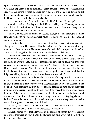upon the weapon he suddenly held in his hand, outstretched towards Rosa. There was a loud explosion. She fell back in her chair, hanging over the side. A second and Jim, who had sprung forward to cover her, fell across the table. Then for a moment there was pandemonium. No one could hear anybody. Dring, thrown on to the floor by Besserley, was held by half a dozen hands.

"He's mad, remember," Besserley shouted. "Don't kill him. Tie him up."

A small crowd was leaning over the bride and bridegroom. Besserley stood up on a chair with upraised hands. His voice thundered through the room. Every one of his words was audible even in that hubbub.

"There's no occasion for alarm," he assured everybody. "The cartridges from the revolver which has just been fired were blank. Neither Miss Rosa nor her husband are in any way hurt."

By this time Jim had staggered to his feet. Rosa had fainted, but a moment later she opened her eyes. Her husband lifted her in his arms. Dring, shouting and raving, was carried from the room. The commotion subsided a little. A representative of the Sporting Club banged on the table for silence. The hubbub died away.

"Ladies and gentlemen," he announced, "there need be no alarm. A friend, whose name we shall have occasion to bless all our lives, became suspicious this afternoon of Dring's sanity and he exchanged the revolver he found the man was carrying for one containing blank cartridges. No harm has been done. The man Dring is under restraint. We all beg you to drink a glass of wine, this time in thankfulness that our two precious guests have escaped a great danger, and that this bright and shining hour will carry with it no disastrous memories."

There were statistics as to the number of bottles of champagne that were drunk that night, the number of handshakes that were exchanged, of kisses that were freely given, but these have not been preserved. Acquiescing in a very wise suggestion, the company, who remained in their places until an unheard-of hour on the following morning, were merciful enough to do even more than speed their two parting guests. In an hour's time a great car was stealing along the dark road across the frontier and on towards San Remo. Rosa, with still damp eyes, was resting happily in her husband's arms. Behind them in that tumultuous supper room, a huge man rose to his feet with a magnum of champagne in his hand.

"A toast," he shouted, "to the man who has saved us from the most hateful tragedy we could any of us ever have witnessed. To Besserley!"

Fantastic stories were told afterwards of the number of glasses that were broken and rafters that were splintered after the shouting had died away, but then, anyhow, that was a night of fantasies.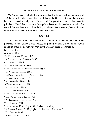#### THE END

#### BOOKS BY E. PHILLIPS OPPENHEIM

Mr. Oppenheim's published books, including the three omnibus volumes, total 133. Some of them have never been published in the United States. All those which have been issued here (by Little, Brown, and Company) are starred. Titles now in print in the United States, either in the regular editions or cheap editions, are doublestarred. Some others are available in English editions. Dates refer to *first* publication in book form, whether in England or the United States.

#### NOVELS

Mr. Oppenheim has published in all 97 novels, of which 10 have not been published in the United States (unless in pirated editions). Five of his novels appeared under the pseudonym "Anthony Partridge"; these are marked †. EXPIATION 1887 A MONK OF CRUTA. 1894 THE PEER AND THE WOMAN 1895 \*A DAUGHTER OF THE MARIONIS. 1895 FALSE EVIDENCE. 1896 A MODERN PROMETHEUS. 1896 \*THE MYSTERY OF MR. BERNARD BROWN. 1896 THE WOODG OF FORTUNE 1896 THE POSTMASTER OF MARKET DEIGHTON. 1897 THE AMAZING JUDGMENT 1897 \*MYSTERIOUS MR. SABIN. 1898 A DAUGHTER OF ASTREA. 1898  $*A<sub>S A</sub> M<sub>AN</sub> L<sub>IVES</sub> 1898$ \*MR. MARX'S SECRET. 1899 \*THE MAN AND HIS KINGDOM. 1899 \*THE WORLD'S GREAT SNARE. 1900 \*A MILLIONAIRE OF YESTERDAY. 1900 \*THE SURVIVOR. 1901 \*ENOCH STRONE. 1901 (English title A MASTER OF MEN.) \*A SLEEPING MEMORY. 1902 (English title THE GREAT AWAKENING.)

\*THE TRAITORS. 1902

\*A PRINCE OF SINNERS. 1903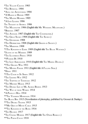\*THE YELLOW CRAYON. 1903 \*THE BETRAYAL. 1904 \*ANNA THE ADVENTURESS. 1904 \*A MAKER OF HISTORY. 1905 \*THE MASTER MUMMER. 1905 \*A LOST LEADER. 1906 THE TRAGEDY OF ANDREA 1906 \*THE MALEFACTOR. 1906 (English title MR. WINGRAVE, MILLIONAIRE.) \*BERENICE. 1907 \*THE AVENGER. 1907 (English title THE CONSPIRATORS.) \*THE GREAT SECRET. 1908 (English title THE SECRET.) \*THE GOVERNORS. 1908 †THE DISTRIBUTORS. 1908 (English title GHOSTS OF SOCIETY.) \*THE MISSIONER. 1908 \*†THE KINGDOM OF EARTH. 1909 (English title THE BLACK WATCHER.) \*JEANNE OF THE MARSHES. 1909 \*THE ILLUSTRIOUS PRINCE. 1910 \*†PASSERS BY. 1910 \*THE LOST AMBASSADOR. 1910 (English title THE MISSING DELORA.) \*†THE GOLDEN WEB. 1911 \*THE MOVING FINGER. 1911 (English title A FALLING STAR.) \*HAVOC. 1911 \*†THE COURT OF ST. SIMON. 1912 \*THE LIGHTED WAY. 1912 \*THE TEMPTING OF TAVERNAKE. 1912 \*THE MISCHIEF MAKER. 1913 \*THE DOUBLE LIFE OF MR. ALFRED BURTON. 1913 \*THE WAY OF THESE WOMEN. 1914  $*$ A P<sub>EOPLE'S</sub> M<sub>AN</sub> 1914 \*\*THE VANISHED MESSENGER. 1914 THE BLACK BOX. 1915 (Novelization of photoplay, published by Grosset & Dunlap.) \*\*THE DOUBLE TRAITOR. 1915 \*\*MR. GREX OF MONTE CARLO. 1915 \*\*THE KINGDOM OF THE BLIND. 1916  $*$ The Hillman. 1917 \*THE CINEMA MURDER. 1917 (English title THE OTHER ROMILLY.) \*\*THE PAWNS COUNT. 1918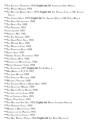- \*\*THE ZEPPELIN'S PASSENGER. 1918 (English title MR. LESSINGHAM GOES HOME.)
- \*\*THE WICKED MARQUIS. 1919
- \*\*THE BOX WITH BROKEN SEALS. 1919 (English title THE STRANGE CASE OF MR. JOCELYN  $T<sub>HEW</sub>$ )
- \*\*THE CURIOUS QUEST. 1919 (English title THE AMAZING QUEST OF MR. ERNEST BLISS.)
- \*\*THE GREAT IMPERSONATION. 1920
- \*\* $T_{HF}$  D<sub>EVIL'S</sub> P<sub>AW</sub> 1920
- \*\*THE PROFITEERS. 1921
- \*JACOB'S LADDER. 1921
- \*\*NOBODY'S MAN. 1921
- \*\*THE EVIL SHEPHERD. 1922
- \*\*THE GREAT PRINCE SHAN. 1922
- \*\*THE MYSTERY ROAD. 1923
- \*\*THE WRATH TO COME. 1924
- \*\*THE PASSIONATE QUEST. 1924
- \*\*STOLEN IDOLS. 1925
- \*\*GABRIEL SAMARA, PEACEMAKER. 1925
- \*\*THE GOLDEN BEAST. 1926
- \*\*PRODIGALS OF MONTE CARLO. 1926
- \*\*HARVEY GARRARD'S CRIME. 1926
- \*\*THE INTERLOPER. 1927 (English title THE EX-DUKE.)
- \*\*MISS BROWN OF X. Y. O. 1927
- \*\*THE LIGHT BEYOND. 1928
- \*\*THE FORTUNATE WAYFARER. 1928
- \*\*MATORNI'S VINEYARD. 1928
- \*\*THE TREASURE HOUSE OF MARTIN HEWS. 1929
- \*\*THE GLENLITTEN MURDER. 1929
- \*\*THE MILLION POUND DEPOSIT. 1930
- \*\*THE LION AND THE LAMB. 1930
- \*\*U<sup>P</sup> THE LADDER OF GOLD. 1931
- \*\*SIMPLE PETER CRADD. 1931
- \*\*THE MAN FROM SING SING. 1932 (English title MORAN CHAMBERS SMILED.)
- \*\*THE OSTREKOFF JEWELS. 1932
- \*\*MURDER AT MONTE CARLO. 1933
- \*\*JEREMIAH AND THE PRINCESS. 1933
- \*\*THE GALLOWS OF CHANCE. 1934
- \*\*THE MAN WITHOUT NERVES. 1934 (English title THE BANK MANAGER.)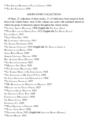\*\*THE STRANGE BOARDERS OF PALACE CRESCENT. 1934 \*\*THE SPY PARAMOUNT. 1934

### SHORT-STORY COLLECTIONS

Of these 32 collections of short stories, 21 of which have been issued in book form in the United States, most of the volumes are series with sustained interest in which one group of characters appear throughout the various stories. \*THE LONG ARM OF MANNISTER. 1908 (English title THE LONG ARM.) \*\*PETER RUFF AND THE DOUBLE-FOUR. 1912 (English title THE DOUBLE-FOUR.) FOR THE OUEEN. 1912 \*THOSE OTHER DAYS. 1912 MR. LAXWORTHY'S ADVENTURES. 1913 THE AMAZING PARTNERSHIP 1914 \*A<sup>N</sup> AMIABLE CHARLATAN. 1915 (English title THE GAME OF LIBERTY.) MYSTERIES OF THE RIVIERA. 1916 AARON RODD, DIVINER. 1920 AMBROSE LAVENDALE DIPLOMAT 1920 HON. ALGERNON KNOX, DETECTIVE. 1920 \*THE SEVEN CONUNDRUMS. 1923 \*\*MICHAEL'S EVIL DEEDS. 1923 \*\*THE INEVITABLE MILLIONAIRES. 1923 \*THE TERRIBLE HOBBY OF SIR JOSEPH LONDE. 1924 \*THE ADVENTURES OF MR. JOSEPH P. CRAY. 1925 THE LITTLE GENTLEMAN FROM OKEHAMPSTEAD. 1926 \*THE CHANNAY SYNDICATE. 1927 \*\*MR. BILLINGHAM, THE MARQUIS AND MADELON. 1927 \*MADAME AND HER TWELVE VIRGINS. 1927 \*\*NICHOLAS GOADE, DETECTIVE. 1927 THE EXPLOITS OF PUDGY PETE. 1928 CHRONICLES OF MELHAMPTON. 1928 THE HUMAN CHASE 1929  $J_{ENNERTON}$  &  $Co$  1929 \*\*WHAT HAPPENED TO FORESTER. 1929 \*\*SLANE'S LONG SHOTS. 1930. \*\*GANGSTER'S GLORY. 1931 (English title INSPECTOR DICKENS RETIRES.) \*\*SINNERS BEWARE. 1931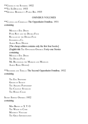\*\*CROOKS IN THE SUNSHINE. 1932 \*\*THE EX-DETECTIVE. 1933 \*\*GENERAL BESSERLEY'S PUZZLE BOX. 1935

## OMNIBUS VOLUMES

\*\*CLOWNS AND CRIMINALS: The Oppenheim Omnibus. 1931 containing

MICHAEL'S EVIL DEEDS PETER RUFF AND THE DOUBLE-FOUR RECALLED BY THE DOUBLE-FOUR JENNERTON & CO. AARON RODD, DIVINER [The cheap edition contains only the first four books] (English title THE OPPENHEIM OMNIBUS: Forty-one Stories containing MICHAEL'S EVIL DEEDS THE DOUBLE-FOUR MR. BILLINGHAM, THE MAROUIS AND MADELON AARON RODD, DIVINER)

\*\*SHUDDERS AND THRILLS: The Second Oppenheim Omnibus. 1932 containing

THE EVIL SHEPHERD GHOSTS OF SOCIETY THE AMAZING PARTNERSHIP THE CHANNAY SYNDICATE THE HUMAN CHASE

SECRET SERVICE OMNIBUS. 1932 containing

> $M_{ISS}$  Brown of  $X$  Y O. THE WRATH TO COME MATORNI'S VINEYARD THE GREAT IMPERSONATION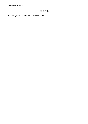GABRIEL SAMARA

## TRAVEL

\*\*THE QUEST FOR WINTER SUNSHINE. 1927